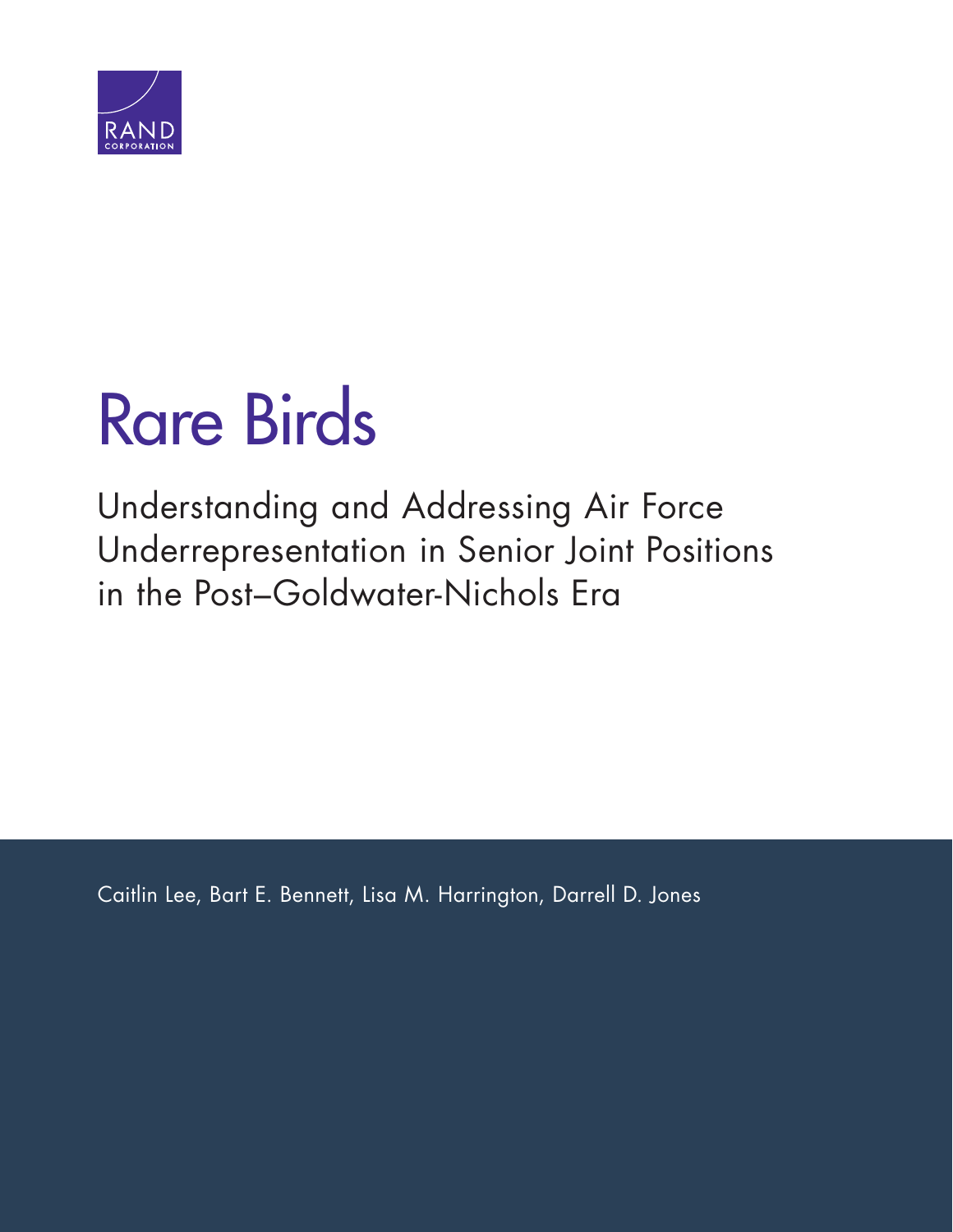

# Rare Birds

Understanding and Addressing Air Force [Underrepresentation in Senior Joint Positions](https://www.rand.org/pubs/research_reports/RR2089.html)  in the Post–Goldwater-Nichols Era

Caitlin Lee, Bart E. Bennett, Lisa M. Harrington, Darrell D. Jones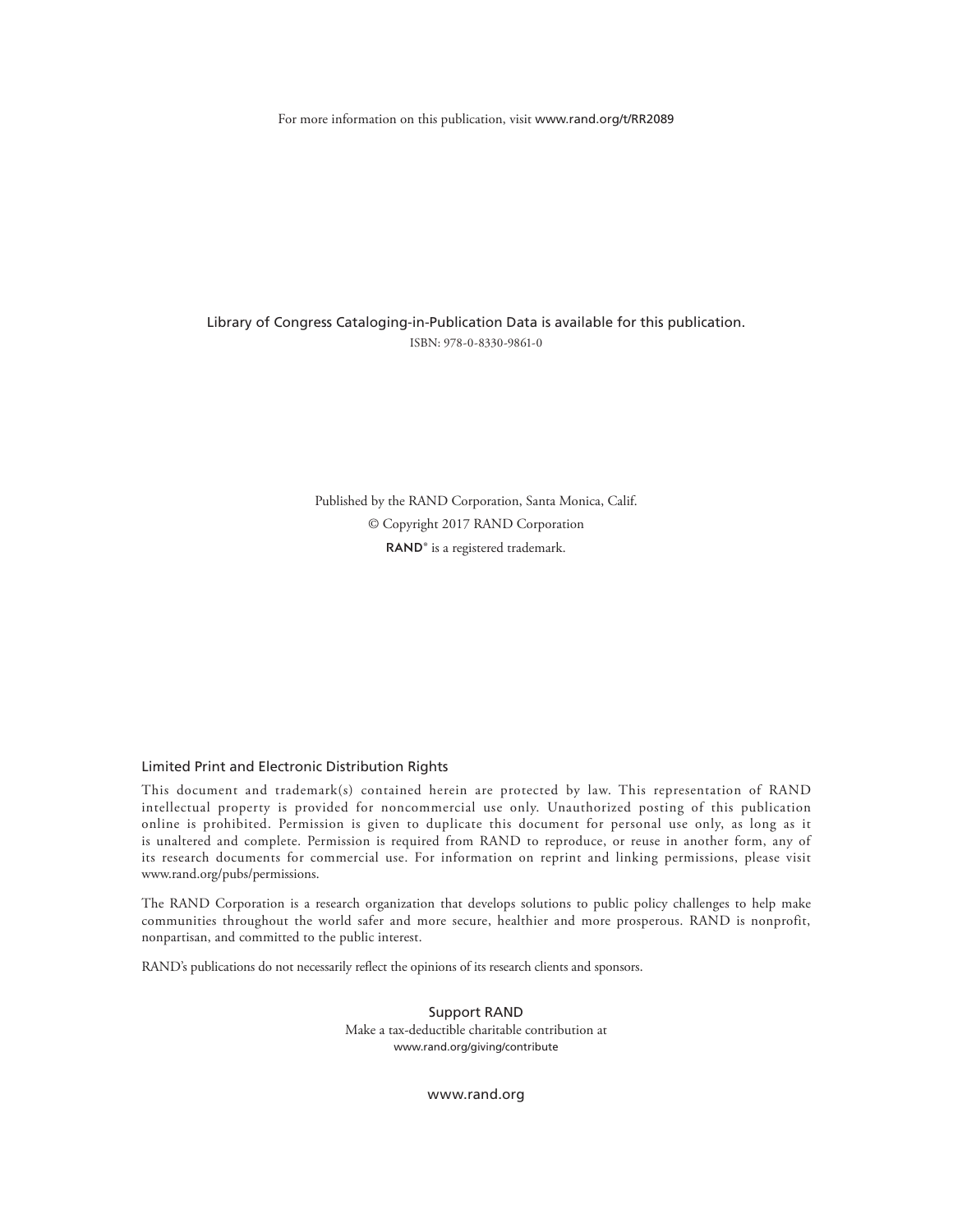For more information on this publication, visit [www.rand.org/t/RR2089](http://www.rand.org/t/RR2089)

Library of Congress Cataloging-in-Publication Data is available for this publication. ISBN: 978-0-8330-9861-0

> Published by the RAND Corporation, Santa Monica, Calif. © Copyright 2017 RAND Corporation RAND<sup>®</sup> is a registered trademark.

#### Limited Print and Electronic Distribution Rights

This document and trademark(s) contained herein are protected by law. This representation of RAND intellectual property is provided for noncommercial use only. Unauthorized posting of this publication online is prohibited. Permission is given to duplicate this document for personal use only, as long as it is unaltered and complete. Permission is required from RAND to reproduce, or reuse in another form, any of its research documents for commercial use. For information on reprint and linking permissions, please visit [www.rand.org/pubs/permissions.](http://www.rand.org/pubs/permissions)

The RAND Corporation is a research organization that develops solutions to public policy challenges to help make communities throughout the world safer and more secure, healthier and more prosperous. RAND is nonprofit, nonpartisan, and committed to the public interest.

RAND's publications do not necessarily reflect the opinions of its research clients and sponsors.

Support RAND Make a tax-deductible charitable contribution at [www.rand.org/giving/contribute](http://www.rand.org/giving/contribute)

[www.rand.org](http://www.rand.org)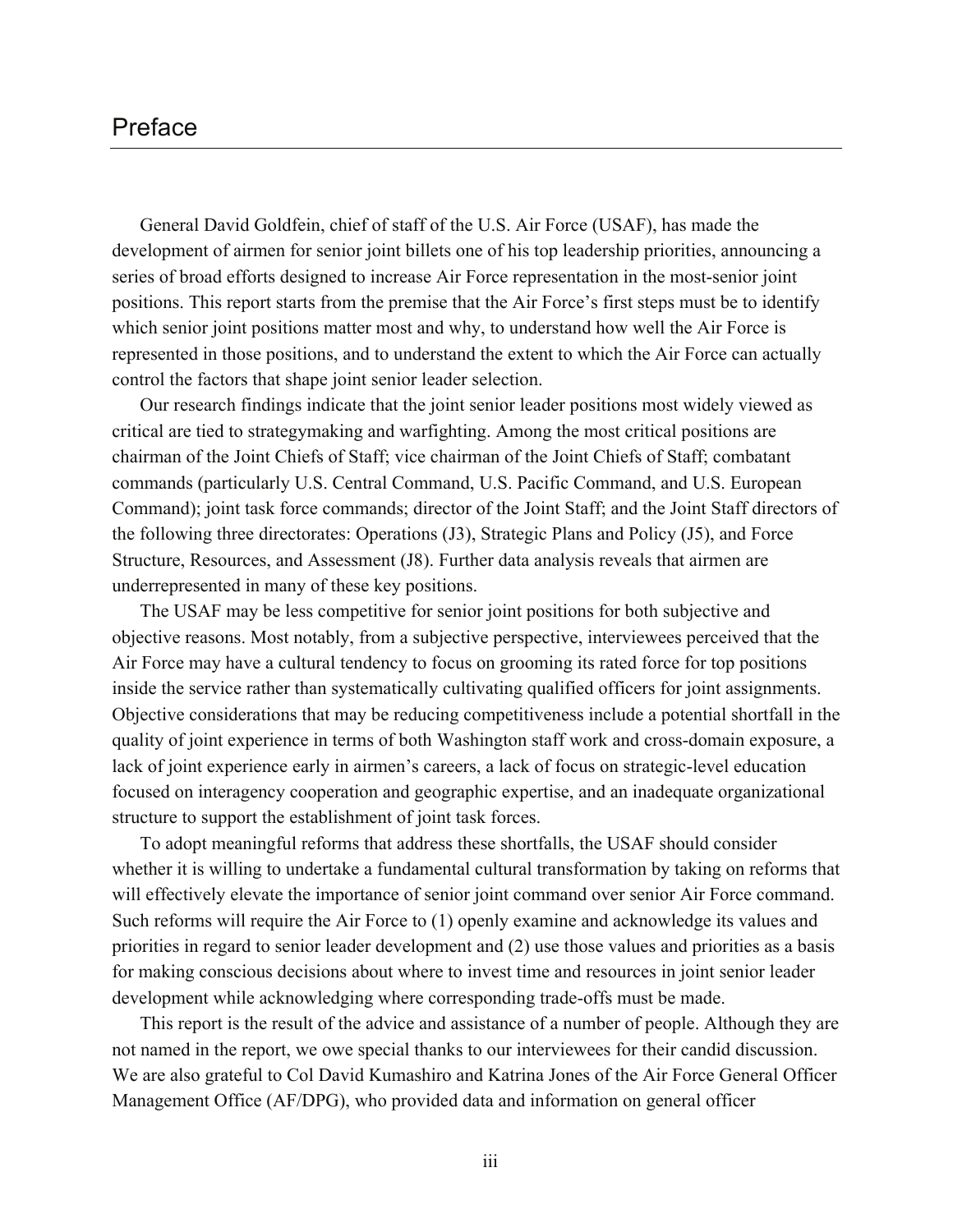# Preface

General David Goldfein, chief of staff of the U.S. Air Force (USAF), has made the development of airmen for senior joint billets one of his top leadership priorities, announcing a series of broad efforts designed to increase Air Force representation in the most-senior joint positions. This report starts from the premise that the Air Force's first steps must be to identify which senior joint positions matter most and why, to understand how well the Air Force is represented in those positions, and to understand the extent to which the Air Force can actually control the factors that shape joint senior leader selection.

Our research findings indicate that the joint senior leader positions most widely viewed as critical are tied to strategymaking and warfighting. Among the most critical positions are chairman of the Joint Chiefs of Staff; vice chairman of the Joint Chiefs of Staff; combatant commands (particularly U.S. Central Command, U.S. Pacific Command, and U.S. European Command); joint task force commands; director of the Joint Staff; and the Joint Staff directors of the following three directorates: Operations (J3), Strategic Plans and Policy (J5), and Force Structure, Resources, and Assessment (J8). Further data analysis reveals that airmen are underrepresented in many of these key positions.

The USAF may be less competitive for senior joint positions for both subjective and objective reasons. Most notably, from a subjective perspective, interviewees perceived that the Air Force may have a cultural tendency to focus on grooming its rated force for top positions inside the service rather than systematically cultivating qualified officers for joint assignments. Objective considerations that may be reducing competitiveness include a potential shortfall in the quality of joint experience in terms of both Washington staff work and cross-domain exposure, a lack of joint experience early in airmen's careers, a lack of focus on strategic-level education focused on interagency cooperation and geographic expertise, and an inadequate organizational structure to support the establishment of joint task forces.

To adopt meaningful reforms that address these shortfalls, the USAF should consider whether it is willing to undertake a fundamental cultural transformation by taking on reforms that will effectively elevate the importance of senior joint command over senior Air Force command. Such reforms will require the Air Force to (1) openly examine and acknowledge its values and priorities in regard to senior leader development and (2) use those values and priorities as a basis for making conscious decisions about where to invest time and resources in joint senior leader development while acknowledging where corresponding trade-offs must be made.

This report is the result of the advice and assistance of a number of people. Although they are not named in the report, we owe special thanks to our interviewees for their candid discussion. We are also grateful to Col David Kumashiro and Katrina Jones of the Air Force General Officer Management Office (AF/DPG), who provided data and information on general officer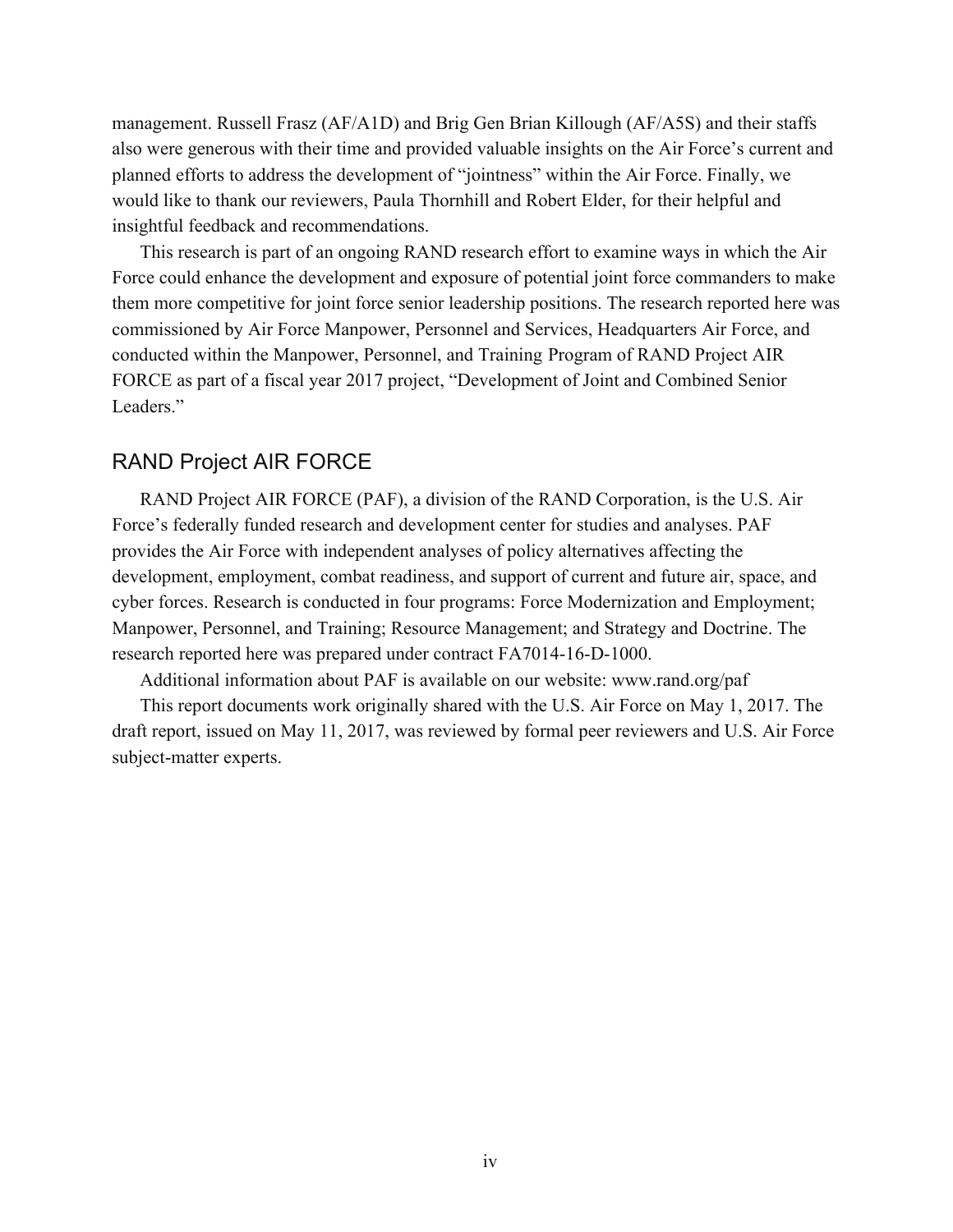management. Russell Frasz (AF/A1D) and Brig Gen Brian Killough (AF/A5S) and their staffs also were generous with their time and provided valuable insights on the Air Force's current and planned efforts to address the development of "jointness" within the Air Force. Finally, we would like to thank our reviewers, Paula Thornhill and Robert Elder, for their helpful and insightful feedback and recommendations.

This research is part of an ongoing RAND research effort to examine ways in which the Air Force could enhance the development and exposure of potential joint force commanders to make them more competitive for joint force senior leadership positions. The research reported here was commissioned by Air Force Manpower, Personnel and Services, Headquarters Air Force, and conducted within the Manpower, Personnel, and Training Program of RAND Project AIR FORCE as part of a fiscal year 2017 project, "Development of Joint and Combined Senior Leaders."

# RAND Project AIR FORCE

RAND Project AIR FORCE (PAF), a division of the RAND Corporation, is the U.S. Air Force's federally funded research and development center for studies and analyses. PAF provides the Air Force with independent analyses of policy alternatives affecting the development, employment, combat readiness, and support of current and future air, space, and cyber forces. Research is conducted in four programs: Force Modernization and Employment; Manpower, Personnel, and Training; Resource Management; and Strategy and Doctrine. The research reported here was prepared under contract FA7014-16-D-1000.

Additional information about PAF is available on our website: [www.rand.org/paf](http://www.rand.org/paf) 

This report documents work originally shared with the U.S. Air Force on May 1, 2017. The draft report, issued on May 11, 2017, was reviewed by formal peer reviewers and U.S. Air Force subject-matter experts.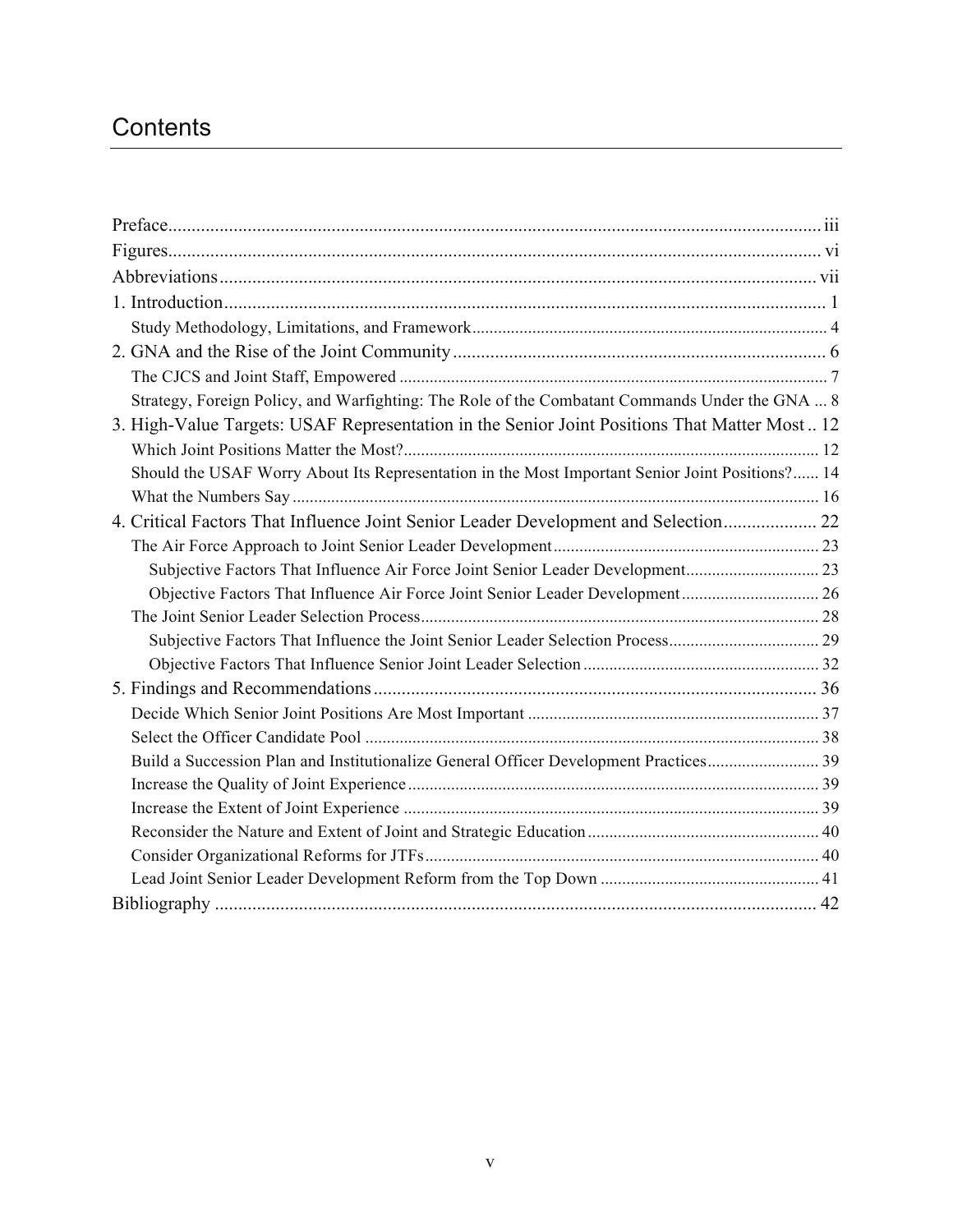# **Contents**

| Strategy, Foreign Policy, and Warfighting: The Role of the Combatant Commands Under the GNA  8  |  |
|-------------------------------------------------------------------------------------------------|--|
| 3. High-Value Targets: USAF Representation in the Senior Joint Positions That Matter Most 12    |  |
|                                                                                                 |  |
| Should the USAF Worry About Its Representation in the Most Important Senior Joint Positions? 14 |  |
|                                                                                                 |  |
| 4. Critical Factors That Influence Joint Senior Leader Development and Selection 22             |  |
|                                                                                                 |  |
| Subjective Factors That Influence Air Force Joint Senior Leader Development 23                  |  |
|                                                                                                 |  |
|                                                                                                 |  |
|                                                                                                 |  |
|                                                                                                 |  |
|                                                                                                 |  |
|                                                                                                 |  |
|                                                                                                 |  |
| Build a Succession Plan and Institutionalize General Officer Development Practices 39           |  |
|                                                                                                 |  |
|                                                                                                 |  |
|                                                                                                 |  |
|                                                                                                 |  |
|                                                                                                 |  |
|                                                                                                 |  |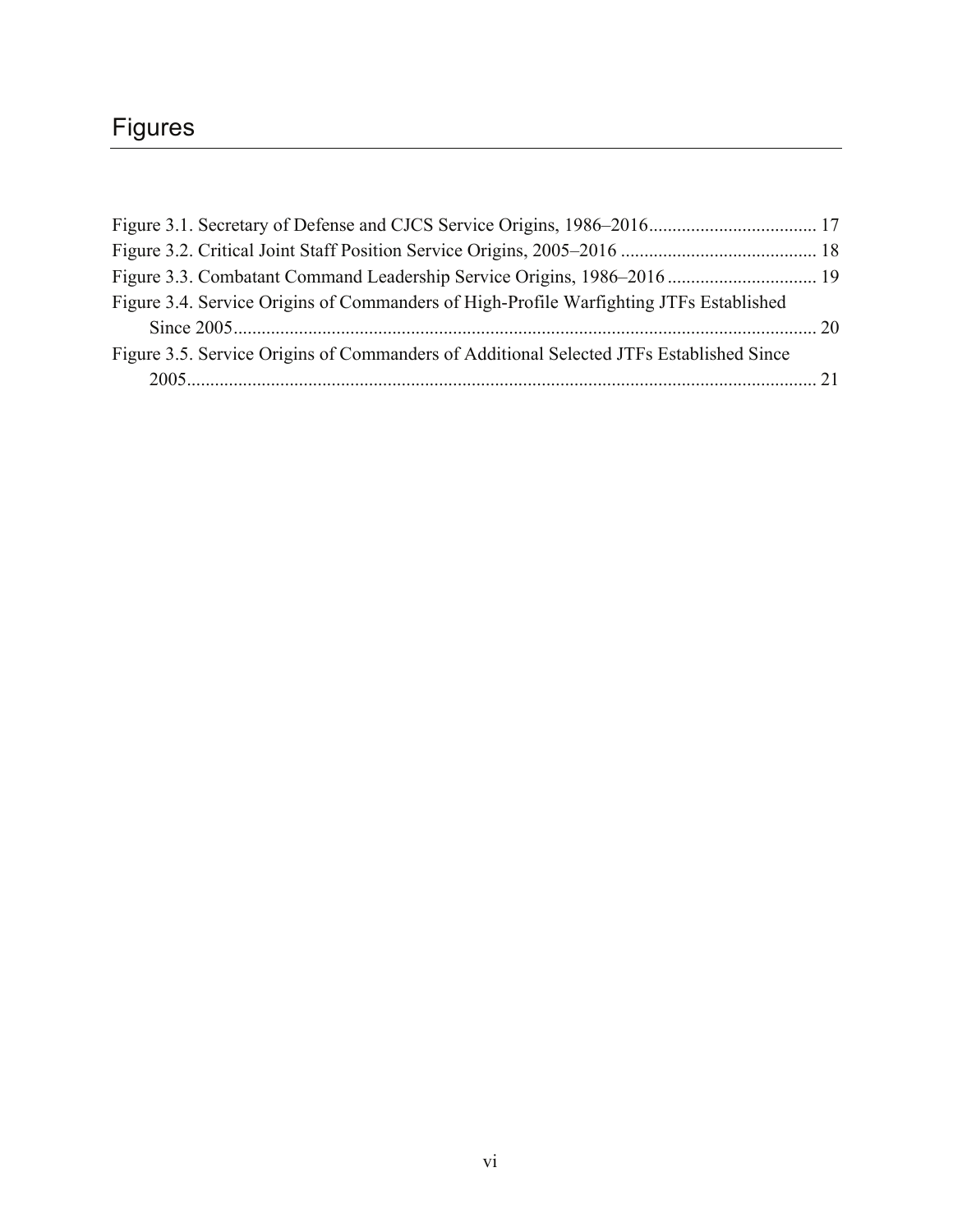# Figures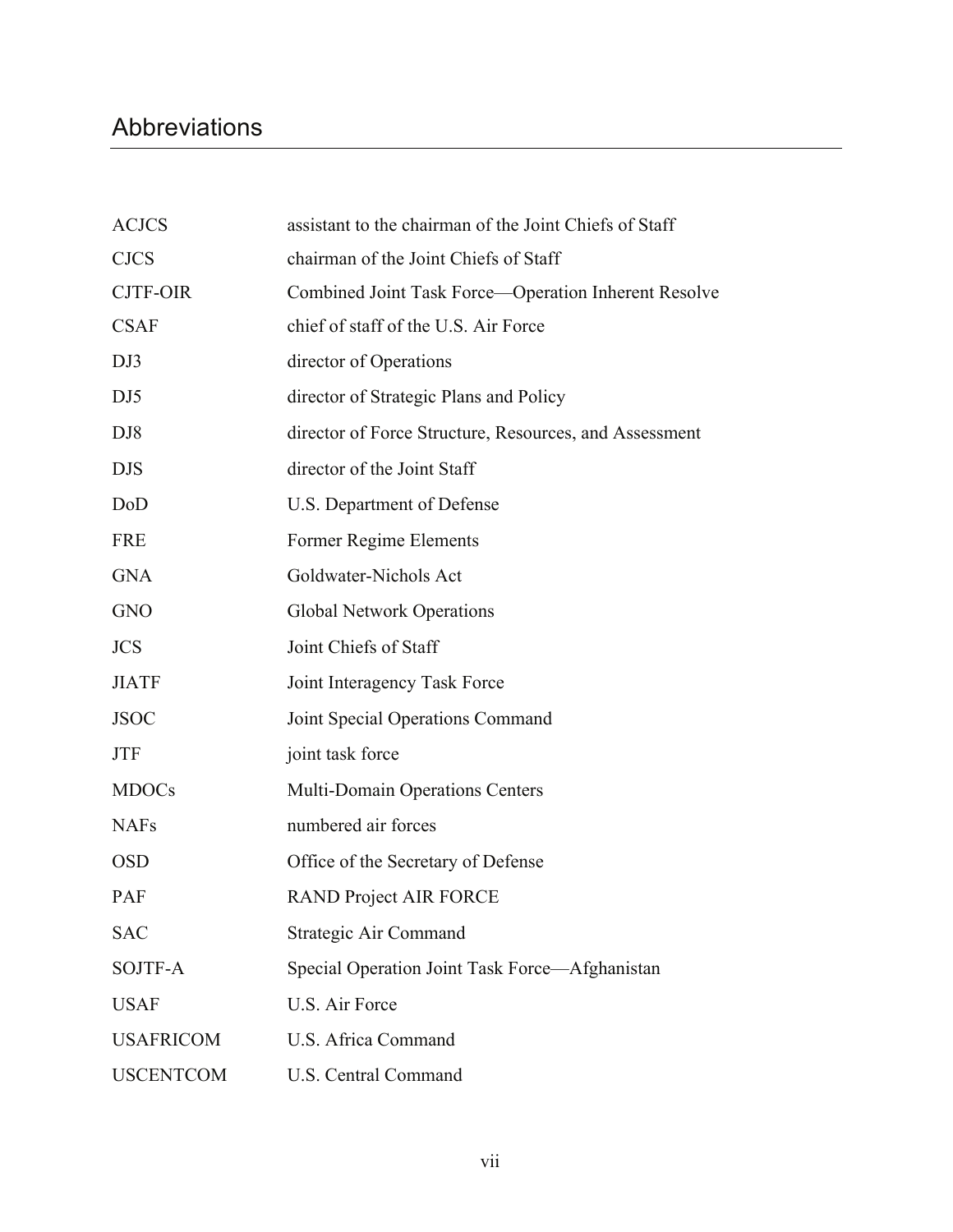# Abbreviations

| <b>ACJCS</b>     | assistant to the chairman of the Joint Chiefs of Staff |
|------------------|--------------------------------------------------------|
| <b>CJCS</b>      | chairman of the Joint Chiefs of Staff                  |
| <b>CJTF-OIR</b>  | Combined Joint Task Force-Operation Inherent Resolve   |
| <b>CSAF</b>      | chief of staff of the U.S. Air Force                   |
| DJ3              | director of Operations                                 |
| DJ <sub>5</sub>  | director of Strategic Plans and Policy                 |
| DJ <sub>8</sub>  | director of Force Structure, Resources, and Assessment |
| <b>DJS</b>       | director of the Joint Staff                            |
| DoD              | U.S. Department of Defense                             |
| <b>FRE</b>       | Former Regime Elements                                 |
| <b>GNA</b>       | Goldwater-Nichols Act                                  |
| <b>GNO</b>       | <b>Global Network Operations</b>                       |
| <b>JCS</b>       | Joint Chiefs of Staff                                  |
| <b>JIATF</b>     | Joint Interagency Task Force                           |
| <b>JSOC</b>      | Joint Special Operations Command                       |
| <b>JTF</b>       | joint task force                                       |
| <b>MDOCs</b>     | Multi-Domain Operations Centers                        |
| <b>NAFs</b>      | numbered air forces                                    |
| <b>OSD</b>       | Office of the Secretary of Defense                     |
| <b>PAF</b>       | <b>RAND Project AIR FORCE</b>                          |
| <b>SAC</b>       | Strategic Air Command                                  |
| <b>SOJTF-A</b>   | Special Operation Joint Task Force—Afghanistan         |
| <b>USAF</b>      | U.S. Air Force                                         |
| <b>USAFRICOM</b> | U.S. Africa Command                                    |
| <b>USCENTCOM</b> | U.S. Central Command                                   |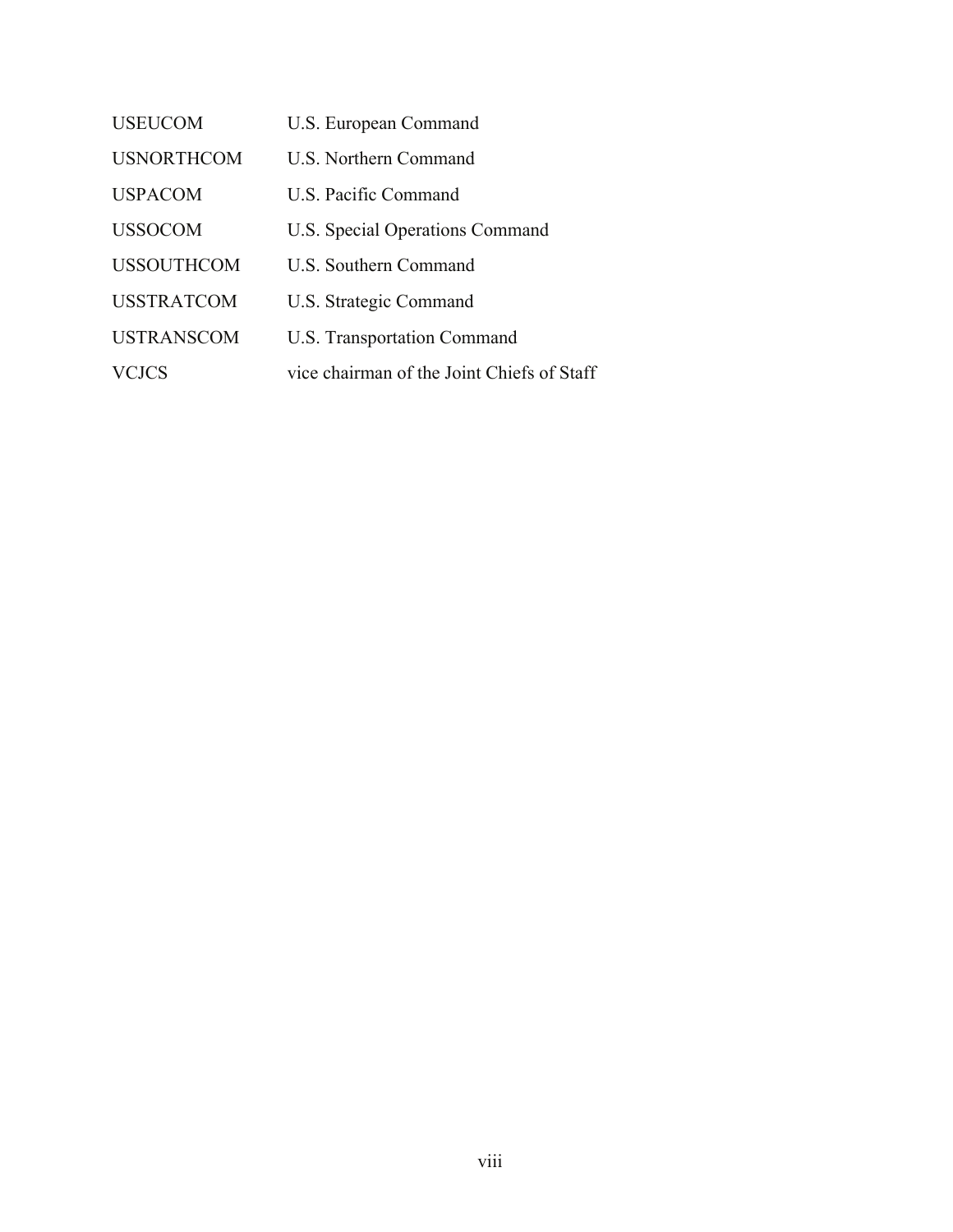| <b>USEUCOM</b>    | U.S. European Command                      |
|-------------------|--------------------------------------------|
| <b>USNORTHCOM</b> | U.S. Northern Command                      |
| <b>USPACOM</b>    | U.S. Pacific Command                       |
| <b>USSOCOM</b>    | U.S. Special Operations Command            |
| <b>USSOUTHCOM</b> | U.S. Southern Command                      |
| <b>USSTRATCOM</b> | U.S. Strategic Command                     |
| <b>USTRANSCOM</b> | U.S. Transportation Command                |
| <b>VCJCS</b>      | vice chairman of the Joint Chiefs of Staff |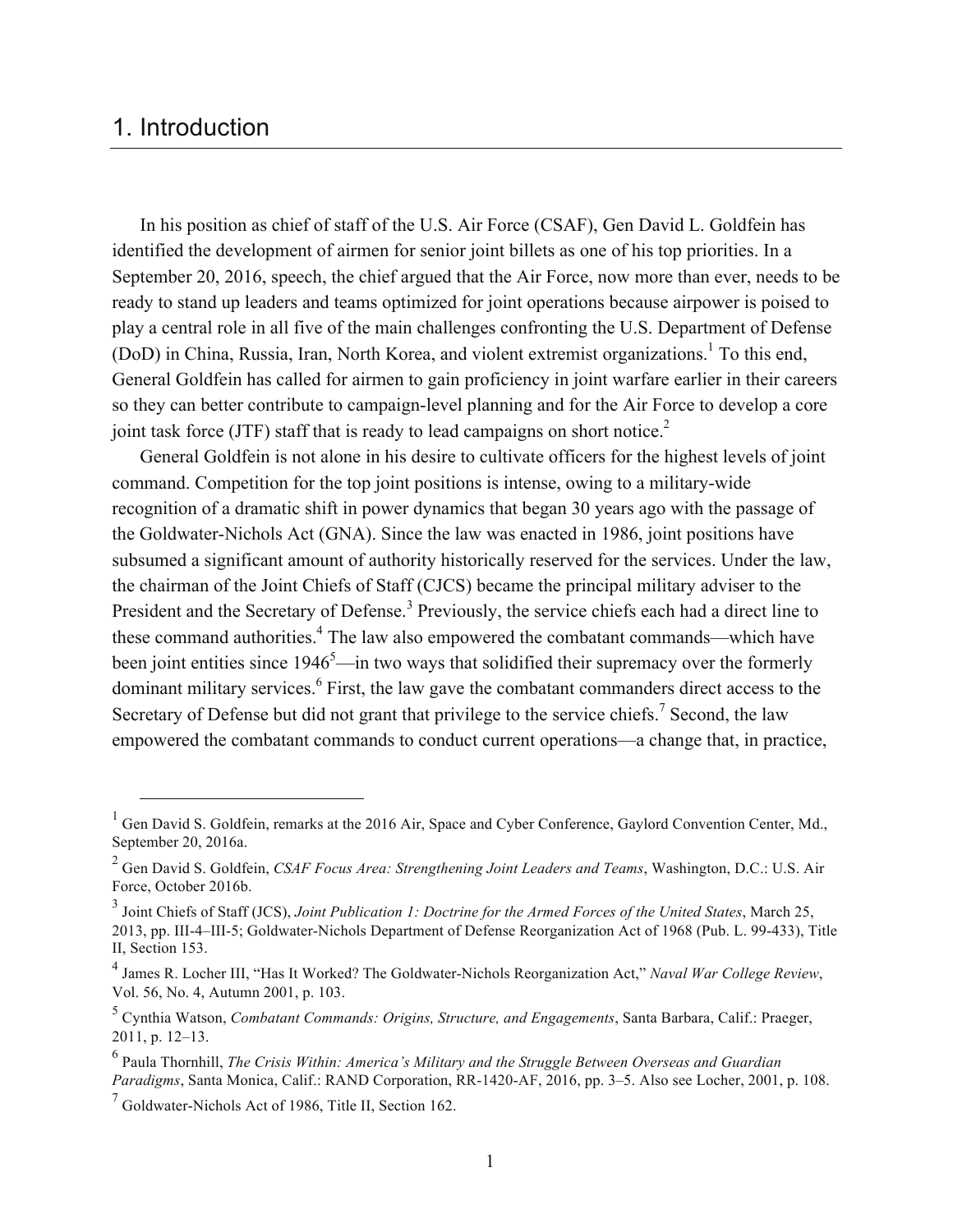# 1. Introduction

In his position as chief of staff of the U.S. Air Force (CSAF), Gen David L. Goldfein has identified the development of airmen for senior joint billets as one of his top priorities. In a September 20, 2016, speech, the chief argued that the Air Force, now more than ever, needs to be ready to stand up leaders and teams optimized for joint operations because airpower is poised to play a central role in all five of the main challenges confronting the U.S. Department of Defense (DoD) in China, Russia, Iran, North Korea, and violent extremist organizations.<sup>1</sup> To this end, General Goldfein has called for airmen to gain proficiency in joint warfare earlier in their careers so they can better contribute to campaign-level planning and for the Air Force to develop a core joint task force (JTF) staff that is ready to lead campaigns on short notice.<sup>2</sup>

General Goldfein is not alone in his desire to cultivate officers for the highest levels of joint command. Competition for the top joint positions is intense, owing to a military-wide recognition of a dramatic shift in power dynamics that began 30 years ago with the passage of the Goldwater-Nichols Act (GNA). Since the law was enacted in 1986, joint positions have subsumed a significant amount of authority historically reserved for the services. Under the law, the chairman of the Joint Chiefs of Staff (CJCS) became the principal military adviser to the President and the Secretary of Defense.<sup>3</sup> Previously, the service chiefs each had a direct line to these command authorities.<sup>4</sup> The law also empowered the combatant commands—which have been joint entities since  $1946<sup>5</sup>$ —in two ways that solidified their supremacy over the formerly dominant military services.<sup>6</sup> First, the law gave the combatant commanders direct access to the Secretary of Defense but did not grant that privilege to the service chiefs.<sup>7</sup> Second, the law empowered the combatant commands to conduct current operations—a change that, in practice,

 $1$  Gen David S. Goldfein, remarks at the 2016 Air, Space and Cyber Conference, Gaylord Convention Center, Md., September 20, 2016a.

<sup>2</sup> Gen David S. Goldfein, *CSAF Focus Area: Strengthening Joint Leaders and Teams*, Washington, D.C.: U.S. Air Force, October 2016b.

<sup>3</sup> Joint Chiefs of Staff (JCS), *Joint Publication 1: Doctrine for the Armed Forces of the United States*, March 25, 2013, pp. III-4–III-5; Goldwater-Nichols Department of Defense Reorganization Act of 1968 (Pub. L. 99-433), Title II, Section 153.

<sup>4</sup> James R. Locher III, "Has It Worked? The Goldwater-Nichols Reorganization Act," *Naval War College Review*, Vol. 56, No. 4, Autumn 2001, p. 103.

<sup>5</sup> Cynthia Watson, *Combatant Commands: Origins, Structure, and Engagements*, Santa Barbara, Calif.: Praeger, 2011, p. 12–13.

<sup>6</sup> Paula Thornhill, *The Crisis Within: America's Military and the Struggle Between Overseas and Guardian Paradigms*, Santa Monica, Calif.: RAND Corporation, RR-1420-AF, 2016, pp. 3–5. Also see Locher, 2001, p. 108.

 $<sup>7</sup>$  Goldwater-Nichols Act of 1986, Title II, Section 162.</sup>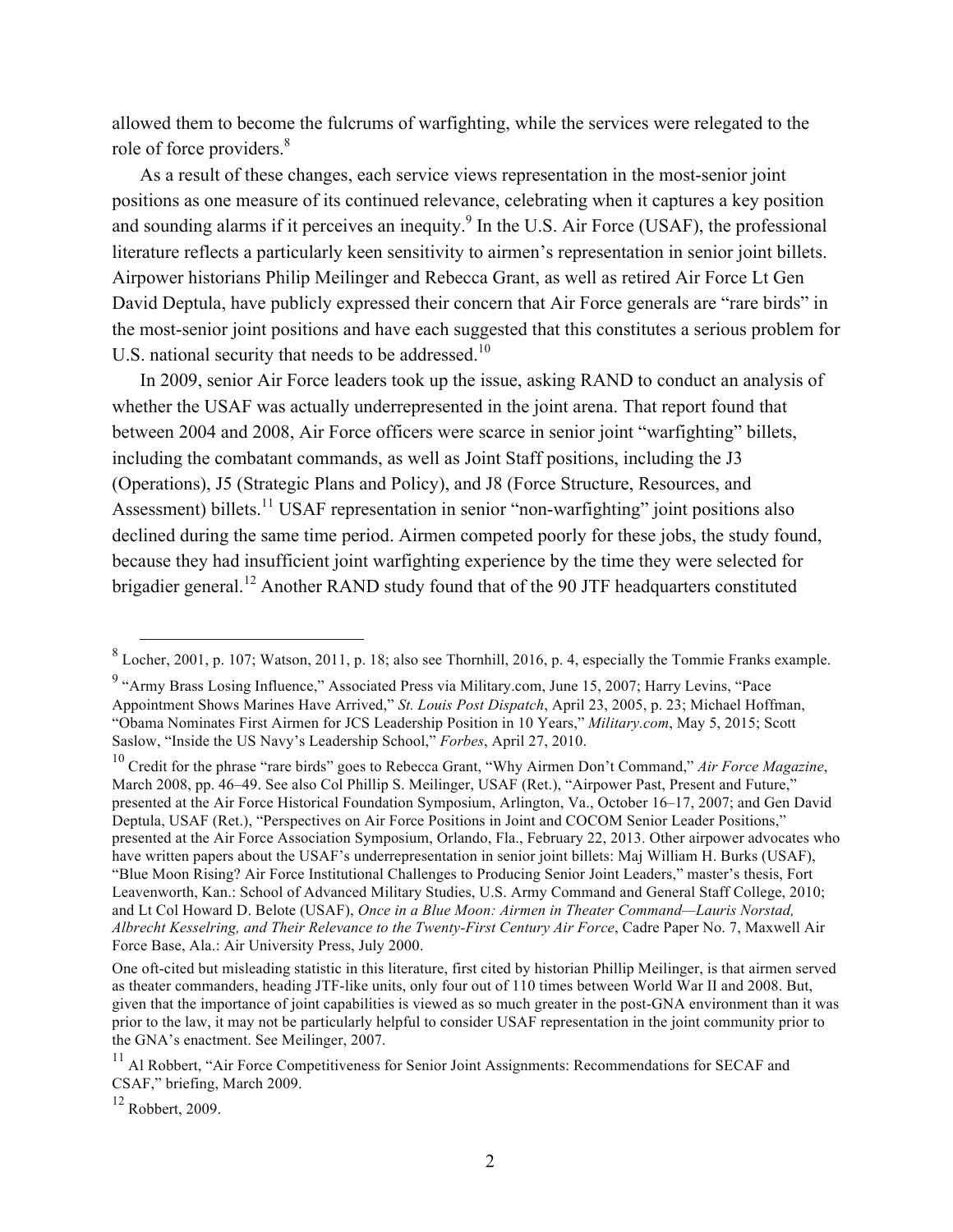allowed them to become the fulcrums of warfighting, while the services were relegated to the role of force providers.<sup>8</sup>

As a result of these changes, each service views representation in the most-senior joint positions as one measure of its continued relevance, celebrating when it captures a key position and sounding alarms if it perceives an inequity.<sup>9</sup> In the U.S. Air Force (USAF), the professional literature reflects a particularly keen sensitivity to airmen's representation in senior joint billets. Airpower historians Philip Meilinger and Rebecca Grant, as well as retired Air Force Lt Gen David Deptula, have publicly expressed their concern that Air Force generals are "rare birds" in the most-senior joint positions and have each suggested that this constitutes a serious problem for U.S. national security that needs to be addressed.<sup>10</sup>

In 2009, senior Air Force leaders took up the issue, asking RAND to conduct an analysis of whether the USAF was actually underrepresented in the joint arena. That report found that between 2004 and 2008, Air Force officers were scarce in senior joint "warfighting" billets, including the combatant commands, as well as Joint Staff positions, including the J3 (Operations), J5 (Strategic Plans and Policy), and J8 (Force Structure, Resources, and Assessment) billets.<sup>11</sup> USAF representation in senior "non-warfighting" joint positions also declined during the same time period. Airmen competed poorly for these jobs, the study found, because they had insufficient joint warfighting experience by the time they were selected for brigadier general.<sup>12</sup> Another RAND study found that of the 90 JTF headquarters constituted

 <sup>8</sup> Locher, 2001, p. 107; Watson, 2011, p. 18; also see Thornhill, 2016, p. 4, especially the Tommie Franks example.

<sup>9</sup> "Army Brass Losing Influence," Associated Press via Military.com, June 15, 2007; Harry Levins, "Pace Appointment Shows Marines Have Arrived," *St. Louis Post Dispatch*, April 23, 2005, p. 23; Michael Hoffman, "Obama Nominates First Airmen for JCS Leadership Position in 10 Years," *Military.com*, May 5, 2015; Scott Saslow, "Inside the US Navy's Leadership School," *Forbes*, April 27, 2010.

<sup>10</sup> Credit for the phrase "rare birds" goes to Rebecca Grant, "Why Airmen Don't Command," *Air Force Magazine*, March 2008, pp. 46–49. See also Col Phillip S. Meilinger, USAF (Ret.), "Airpower Past, Present and Future," presented at the Air Force Historical Foundation Symposium, Arlington, Va., October 16–17, 2007; and Gen David Deptula, USAF (Ret.), "Perspectives on Air Force Positions in Joint and COCOM Senior Leader Positions," presented at the Air Force Association Symposium, Orlando, Fla., February 22, 2013. Other airpower advocates who have written papers about the USAF's underrepresentation in senior joint billets: Maj William H. Burks (USAF), "Blue Moon Rising? Air Force Institutional Challenges to Producing Senior Joint Leaders," master's thesis, Fort Leavenworth, Kan.: School of Advanced Military Studies, U.S. Army Command and General Staff College, 2010; and Lt Col Howard D. Belote (USAF), *Once in a Blue Moon: Airmen in Theater Command—Lauris Norstad, Albrecht Kesselring, and Their Relevance to the Twenty-First Century Air Force*, Cadre Paper No. 7, Maxwell Air Force Base, Ala.: Air University Press, July 2000.

One oft-cited but misleading statistic in this literature, first cited by historian Phillip Meilinger, is that airmen served as theater commanders, heading JTF-like units, only four out of 110 times between World War II and 2008. But, given that the importance of joint capabilities is viewed as so much greater in the post-GNA environment than it was prior to the law, it may not be particularly helpful to consider USAF representation in the joint community prior to the GNA's enactment. See Meilinger, 2007.

<sup>&</sup>lt;sup>11</sup> Al Robbert, "Air Force Competitiveness for Senior Joint Assignments: Recommendations for SECAF and CSAF," briefing, March 2009.

 $12$  Robbert, 2009.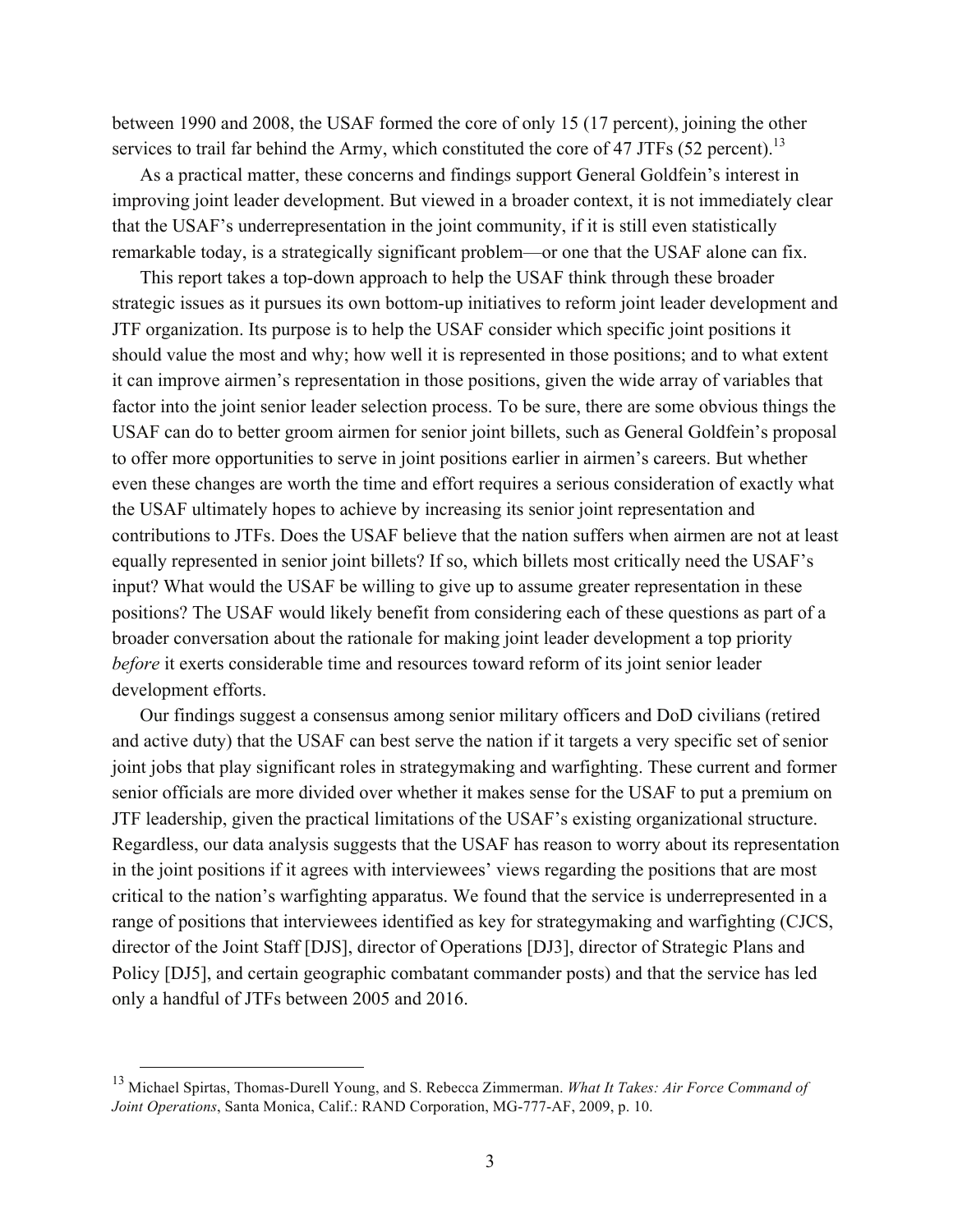between 1990 and 2008, the USAF formed the core of only 15 (17 percent), joining the other services to trail far behind the Army, which constituted the core of 47 JTFs  $(52 \text{ percent})$ .<sup>13</sup>

As a practical matter, these concerns and findings support General Goldfein's interest in improving joint leader development. But viewed in a broader context, it is not immediately clear that the USAF's underrepresentation in the joint community, if it is still even statistically remarkable today, is a strategically significant problem—or one that the USAF alone can fix.

This report takes a top-down approach to help the USAF think through these broader strategic issues as it pursues its own bottom-up initiatives to reform joint leader development and JTF organization. Its purpose is to help the USAF consider which specific joint positions it should value the most and why; how well it is represented in those positions; and to what extent it can improve airmen's representation in those positions, given the wide array of variables that factor into the joint senior leader selection process. To be sure, there are some obvious things the USAF can do to better groom airmen for senior joint billets, such as General Goldfein's proposal to offer more opportunities to serve in joint positions earlier in airmen's careers. But whether even these changes are worth the time and effort requires a serious consideration of exactly what the USAF ultimately hopes to achieve by increasing its senior joint representation and contributions to JTFs. Does the USAF believe that the nation suffers when airmen are not at least equally represented in senior joint billets? If so, which billets most critically need the USAF's input? What would the USAF be willing to give up to assume greater representation in these positions? The USAF would likely benefit from considering each of these questions as part of a broader conversation about the rationale for making joint leader development a top priority *before* it exerts considerable time and resources toward reform of its joint senior leader development efforts.

Our findings suggest a consensus among senior military officers and DoD civilians (retired and active duty) that the USAF can best serve the nation if it targets a very specific set of senior joint jobs that play significant roles in strategymaking and warfighting. These current and former senior officials are more divided over whether it makes sense for the USAF to put a premium on JTF leadership, given the practical limitations of the USAF's existing organizational structure. Regardless, our data analysis suggests that the USAF has reason to worry about its representation in the joint positions if it agrees with interviewees' views regarding the positions that are most critical to the nation's warfighting apparatus. We found that the service is underrepresented in a range of positions that interviewees identified as key for strategymaking and warfighting (CJCS, director of the Joint Staff [DJS], director of Operations [DJ3], director of Strategic Plans and Policy [DJ5], and certain geographic combatant commander posts) and that the service has led only a handful of JTFs between 2005 and 2016.

 <sup>13</sup> Michael Spirtas, Thomas-Durell Young, and S. Rebecca Zimmerman. *What It Takes: Air Force Command of Joint Operations*, Santa Monica, Calif.: RAND Corporation, MG-777-AF, 2009, p. 10.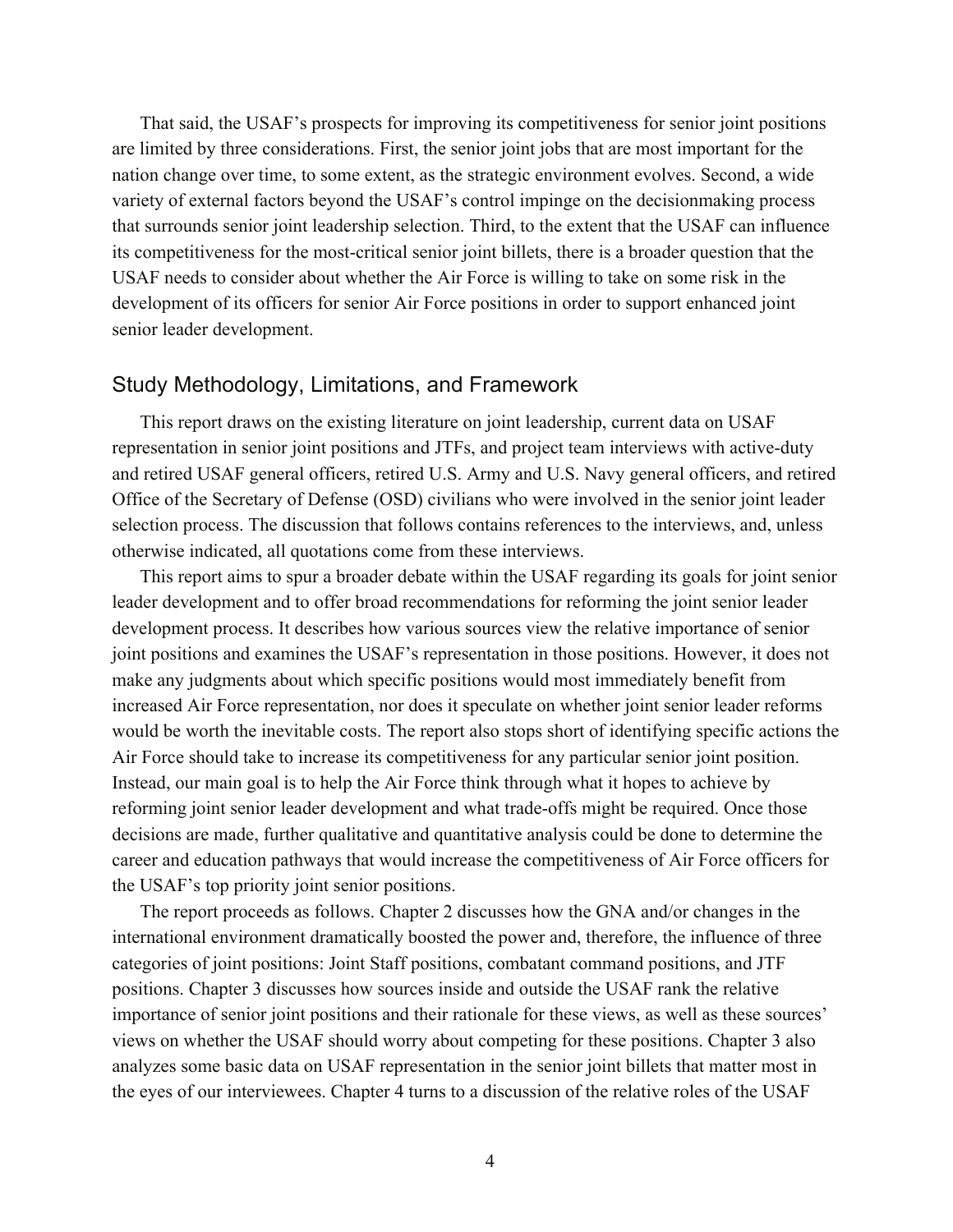That said, the USAF's prospects for improving its competitiveness for senior joint positions are limited by three considerations. First, the senior joint jobs that are most important for the nation change over time, to some extent, as the strategic environment evolves. Second, a wide variety of external factors beyond the USAF's control impinge on the decisionmaking process that surrounds senior joint leadership selection. Third, to the extent that the USAF can influence its competitiveness for the most-critical senior joint billets, there is a broader question that the USAF needs to consider about whether the Air Force is willing to take on some risk in the development of its officers for senior Air Force positions in order to support enhanced joint senior leader development.

## Study Methodology, Limitations, and Framework

This report draws on the existing literature on joint leadership, current data on USAF representation in senior joint positions and JTFs, and project team interviews with active-duty and retired USAF general officers, retired U.S. Army and U.S. Navy general officers, and retired Office of the Secretary of Defense (OSD) civilians who were involved in the senior joint leader selection process. The discussion that follows contains references to the interviews, and, unless otherwise indicated, all quotations come from these interviews.

This report aims to spur a broader debate within the USAF regarding its goals for joint senior leader development and to offer broad recommendations for reforming the joint senior leader development process. It describes how various sources view the relative importance of senior joint positions and examines the USAF's representation in those positions. However, it does not make any judgments about which specific positions would most immediately benefit from increased Air Force representation, nor does it speculate on whether joint senior leader reforms would be worth the inevitable costs. The report also stops short of identifying specific actions the Air Force should take to increase its competitiveness for any particular senior joint position. Instead, our main goal is to help the Air Force think through what it hopes to achieve by reforming joint senior leader development and what trade-offs might be required. Once those decisions are made, further qualitative and quantitative analysis could be done to determine the career and education pathways that would increase the competitiveness of Air Force officers for the USAF's top priority joint senior positions.

The report proceeds as follows. Chapter 2 discusses how the GNA and/or changes in the international environment dramatically boosted the power and, therefore, the influence of three categories of joint positions: Joint Staff positions, combatant command positions, and JTF positions. Chapter 3 discusses how sources inside and outside the USAF rank the relative importance of senior joint positions and their rationale for these views, as well as these sources' views on whether the USAF should worry about competing for these positions. Chapter 3 also analyzes some basic data on USAF representation in the senior joint billets that matter most in the eyes of our interviewees. Chapter 4 turns to a discussion of the relative roles of the USAF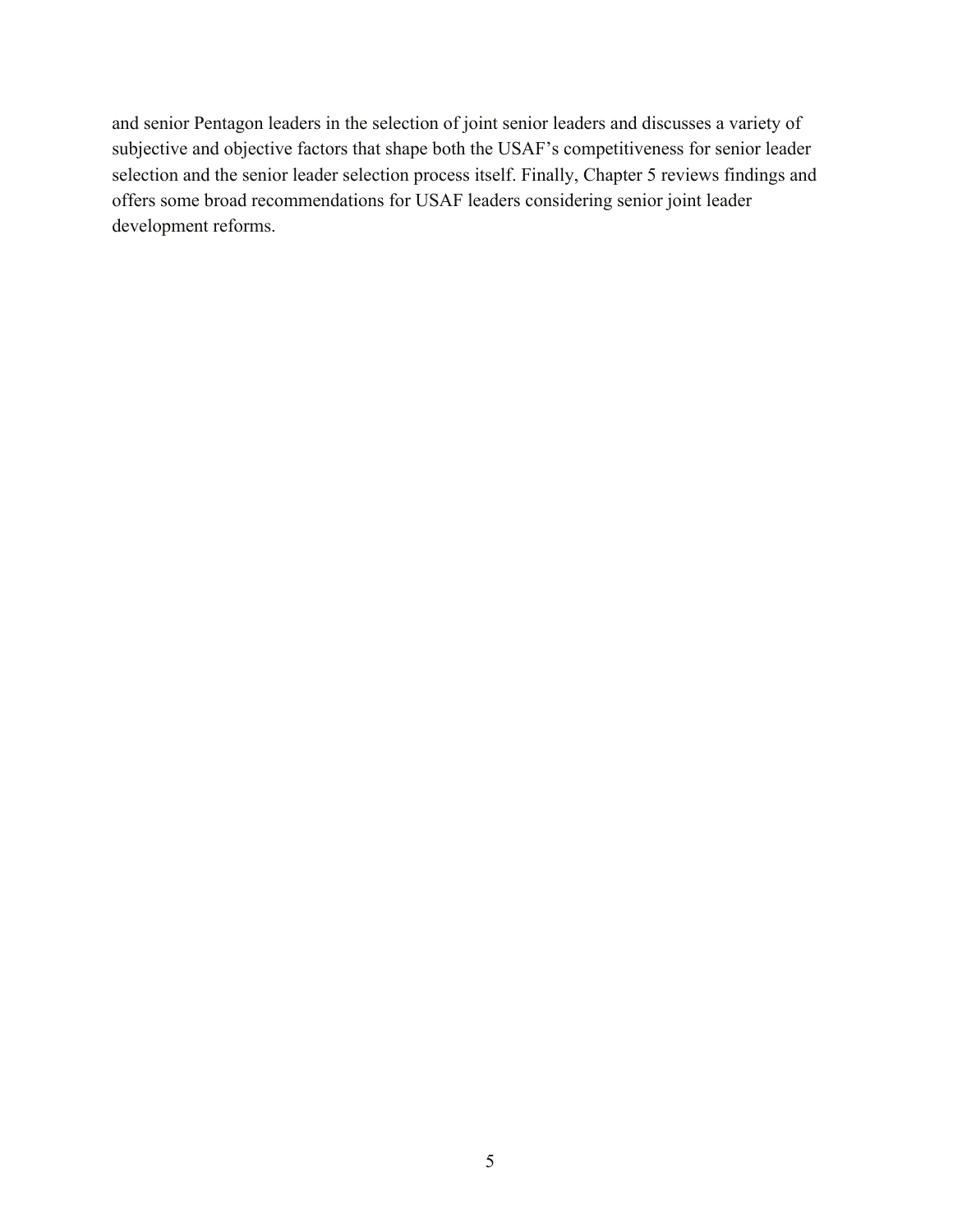and senior Pentagon leaders in the selection of joint senior leaders and discusses a variety of subjective and objective factors that shape both the USAF's competitiveness for senior leader selection and the senior leader selection process itself. Finally, Chapter 5 reviews findings and offers some broad recommendations for USAF leaders considering senior joint leader development reforms.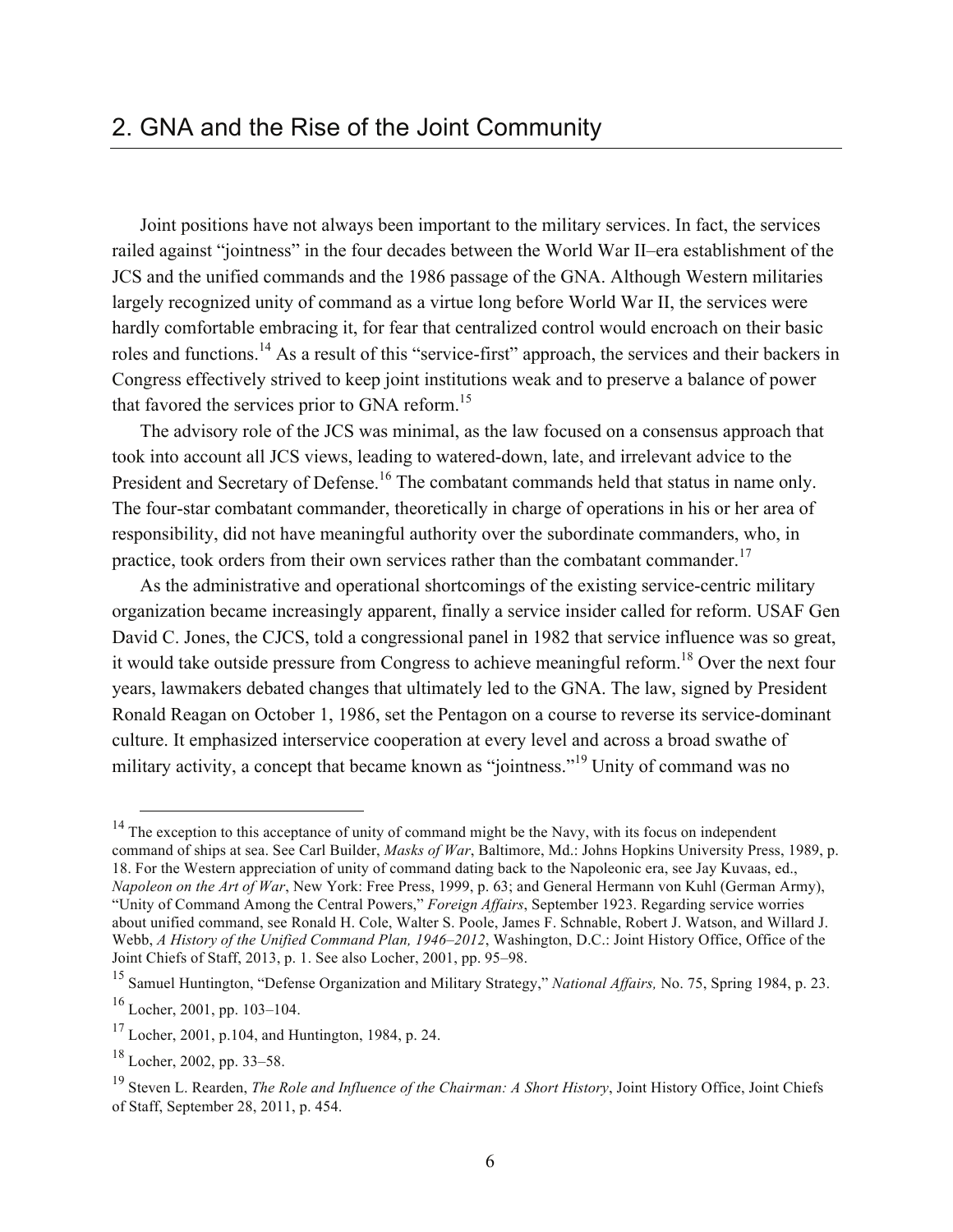Joint positions have not always been important to the military services. In fact, the services railed against "jointness" in the four decades between the World War II–era establishment of the JCS and the unified commands and the 1986 passage of the GNA. Although Western militaries largely recognized unity of command as a virtue long before World War II, the services were hardly comfortable embracing it, for fear that centralized control would encroach on their basic roles and functions.14 As a result of this "service-first" approach, the services and their backers in Congress effectively strived to keep joint institutions weak and to preserve a balance of power that favored the services prior to GNA reform.<sup>15</sup>

The advisory role of the JCS was minimal, as the law focused on a consensus approach that took into account all JCS views, leading to watered-down, late, and irrelevant advice to the President and Secretary of Defense.<sup>16</sup> The combatant commands held that status in name only. The four-star combatant commander, theoretically in charge of operations in his or her area of responsibility, did not have meaningful authority over the subordinate commanders, who, in practice, took orders from their own services rather than the combatant commander.<sup>17</sup>

As the administrative and operational shortcomings of the existing service-centric military organization became increasingly apparent, finally a service insider called for reform. USAF Gen David C. Jones, the CJCS, told a congressional panel in 1982 that service influence was so great, it would take outside pressure from Congress to achieve meaningful reform.18 Over the next four years, lawmakers debated changes that ultimately led to the GNA. The law, signed by President Ronald Reagan on October 1, 1986, set the Pentagon on a course to reverse its service-dominant culture. It emphasized interservice cooperation at every level and across a broad swathe of military activity, a concept that became known as "jointness."<sup>19</sup> Unity of command was no

<sup>&</sup>lt;sup>14</sup> The exception to this acceptance of unity of command might be the Navy, with its focus on independent command of ships at sea. See Carl Builder, *Masks of War*, Baltimore, Md.: Johns Hopkins University Press, 1989, p. 18. For the Western appreciation of unity of command dating back to the Napoleonic era, see Jay Kuvaas, ed., *Napoleon on the Art of War*, New York: Free Press, 1999, p. 63; and General Hermann von Kuhl (German Army), "Unity of Command Among the Central Powers," *Foreign Affairs*, September 1923. Regarding service worries about unified command, see Ronald H. Cole, Walter S. Poole, James F. Schnable, Robert J. Watson, and Willard J. Webb, *A History of the Unified Command Plan, 1946–2012*, Washington, D.C.: Joint History Office, Office of the Joint Chiefs of Staff, 2013, p. 1. See also Locher, 2001, pp. 95–98.

<sup>15</sup> Samuel Huntington, "Defense Organization and Military Strategy," *National Affairs,* No. 75, Spring 1984, p. 23.

 $16$  Locher, 2001, pp. 103–104.

 $17$  Locher, 2001, p.104, and Huntington, 1984, p. 24.

 $18$  Locher, 2002, pp. 33–58.

<sup>19</sup> Steven L. Rearden, *The Role and Influence of the Chairman: A Short History*, Joint History Office, Joint Chiefs of Staff, September 28, 2011, p. 454.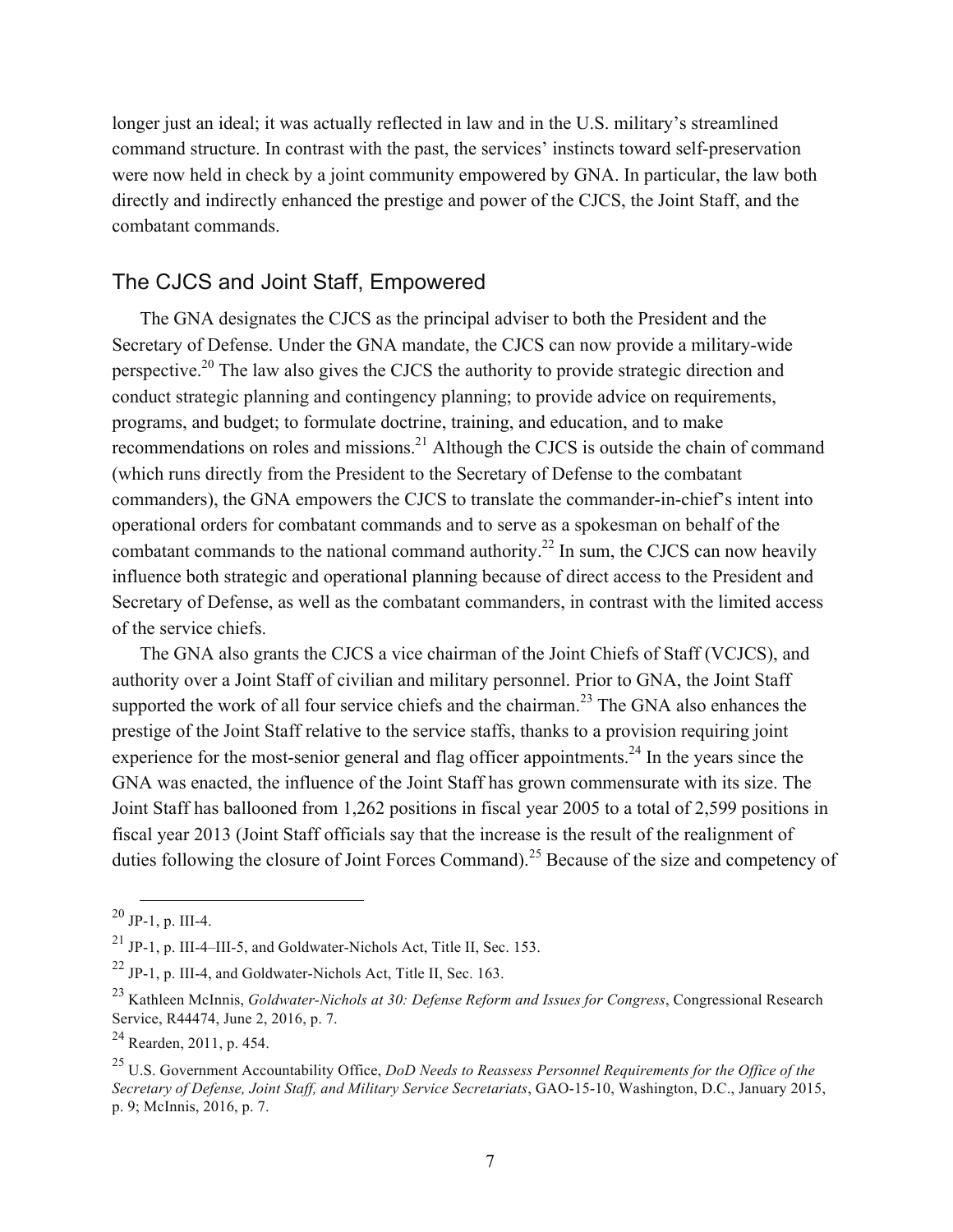longer just an ideal; it was actually reflected in law and in the U.S. military's streamlined command structure. In contrast with the past, the services' instincts toward self-preservation were now held in check by a joint community empowered by GNA. In particular, the law both directly and indirectly enhanced the prestige and power of the CJCS, the Joint Staff, and the combatant commands.

# The CJCS and Joint Staff, Empowered

The GNA designates the CJCS as the principal adviser to both the President and the Secretary of Defense. Under the GNA mandate, the CJCS can now provide a military-wide perspective.20 The law also gives the CJCS the authority to provide strategic direction and conduct strategic planning and contingency planning; to provide advice on requirements, programs, and budget; to formulate doctrine, training, and education, and to make recommendations on roles and missions.<sup>21</sup> Although the CJCS is outside the chain of command (which runs directly from the President to the Secretary of Defense to the combatant commanders), the GNA empowers the CJCS to translate the commander-in-chief's intent into operational orders for combatant commands and to serve as a spokesman on behalf of the combatant commands to the national command authority.<sup>22</sup> In sum, the CJCS can now heavily influence both strategic and operational planning because of direct access to the President and Secretary of Defense, as well as the combatant commanders, in contrast with the limited access of the service chiefs.

The GNA also grants the CJCS a vice chairman of the Joint Chiefs of Staff (VCJCS), and authority over a Joint Staff of civilian and military personnel. Prior to GNA, the Joint Staff supported the work of all four service chiefs and the chairman.<sup>23</sup> The GNA also enhances the prestige of the Joint Staff relative to the service staffs, thanks to a provision requiring joint experience for the most-senior general and flag officer appointments.<sup>24</sup> In the years since the GNA was enacted, the influence of the Joint Staff has grown commensurate with its size. The Joint Staff has ballooned from 1,262 positions in fiscal year 2005 to a total of 2,599 positions in fiscal year 2013 (Joint Staff officials say that the increase is the result of the realignment of duties following the closure of Joint Forces Command).<sup>25</sup> Because of the size and competency of

 $^{20}$  JP-1, p. III-4.

<sup>&</sup>lt;sup>21</sup> JP-1, p. III-4–III-5, and Goldwater-Nichols Act, Title II, Sec. 153.

<sup>22</sup> JP-1, p. III-4, and Goldwater-Nichols Act, Title II, Sec. 163.

<sup>23</sup> Kathleen McInnis, *Goldwater-Nichols at 30: Defense Reform and Issues for Congress*, Congressional Research Service, R44474, June 2, 2016, p. 7.

 $^{24}$  Rearden, 2011, p. 454.

<sup>25</sup> U.S. Government Accountability Office, *DoD Needs to Reassess Personnel Requirements for the Office of the Secretary of Defense, Joint Staff, and Military Service Secretariats*, GAO-15-10, Washington, D.C., January 2015, p. 9; McInnis, 2016, p. 7.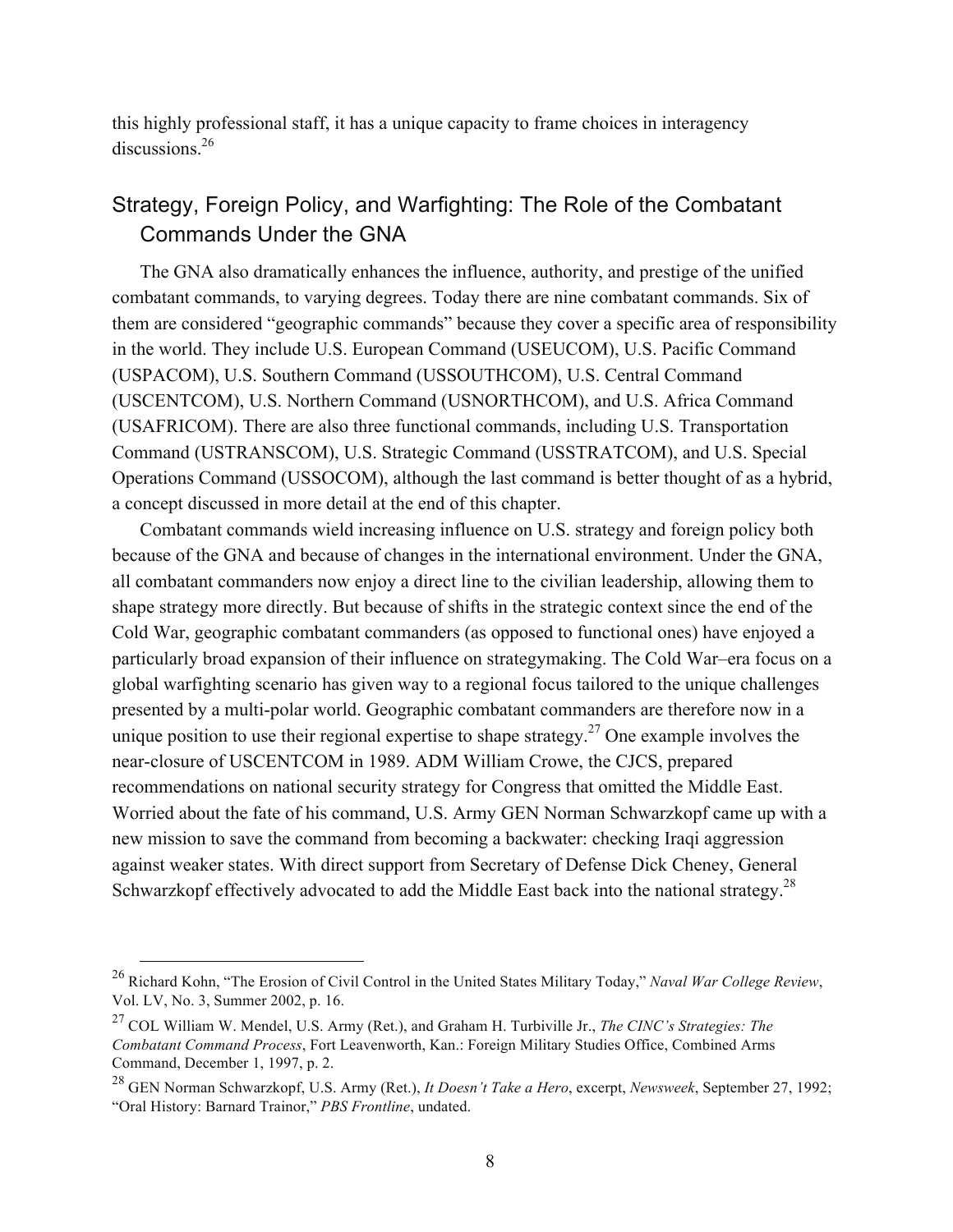this highly professional staff, it has a unique capacity to frame choices in interagency discussions<sup>26</sup>

# Strategy, Foreign Policy, and Warfighting: The Role of the Combatant Commands Under the GNA

The GNA also dramatically enhances the influence, authority, and prestige of the unified combatant commands, to varying degrees. Today there are nine combatant commands. Six of them are considered "geographic commands" because they cover a specific area of responsibility in the world. They include U.S. European Command (USEUCOM), U.S. Pacific Command (USPACOM), U.S. Southern Command (USSOUTHCOM), U.S. Central Command (USCENTCOM), U.S. Northern Command (USNORTHCOM), and U.S. Africa Command (USAFRICOM). There are also three functional commands, including U.S. Transportation Command (USTRANSCOM), U.S. Strategic Command (USSTRATCOM), and U.S. Special Operations Command (USSOCOM), although the last command is better thought of as a hybrid, a concept discussed in more detail at the end of this chapter.

Combatant commands wield increasing influence on U.S. strategy and foreign policy both because of the GNA and because of changes in the international environment. Under the GNA, all combatant commanders now enjoy a direct line to the civilian leadership, allowing them to shape strategy more directly. But because of shifts in the strategic context since the end of the Cold War, geographic combatant commanders (as opposed to functional ones) have enjoyed a particularly broad expansion of their influence on strategymaking. The Cold War–era focus on a global warfighting scenario has given way to a regional focus tailored to the unique challenges presented by a multi-polar world. Geographic combatant commanders are therefore now in a unique position to use their regional expertise to shape strategy.<sup>27</sup> One example involves the near-closure of USCENTCOM in 1989. ADM William Crowe, the CJCS, prepared recommendations on national security strategy for Congress that omitted the Middle East. Worried about the fate of his command, U.S. Army GEN Norman Schwarzkopf came up with a new mission to save the command from becoming a backwater: checking Iraqi aggression against weaker states. With direct support from Secretary of Defense Dick Cheney, General Schwarzkopf effectively advocated to add the Middle East back into the national strategy.<sup>28</sup>

 <sup>26</sup> Richard Kohn, "The Erosion of Civil Control in the United States Military Today," *Naval War College Review*, Vol. LV, No. 3, Summer 2002, p. 16.

<sup>27</sup> COL William W. Mendel, U.S. Army (Ret.), and Graham H. Turbiville Jr., *The CINC's Strategies: The Combatant Command Process*, Fort Leavenworth, Kan.: Foreign Military Studies Office, Combined Arms Command, December 1, 1997, p. 2.

<sup>28</sup> GEN Norman Schwarzkopf, U.S. Army (Ret.), *It Doesn't Take a Hero*, excerpt, *Newsweek*, September 27, 1992; "Oral History: Barnard Trainor," *PBS Frontline*, undated.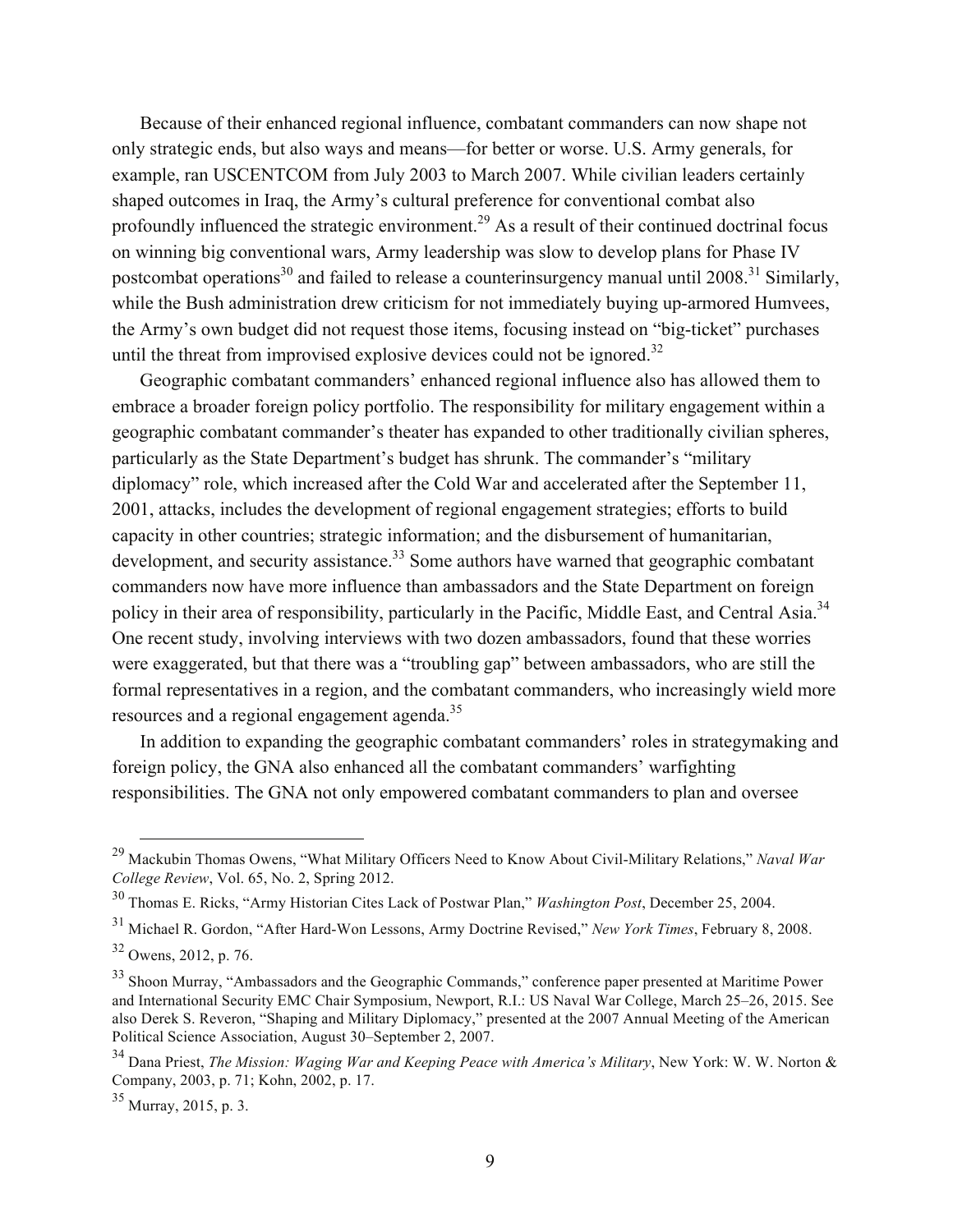Because of their enhanced regional influence, combatant commanders can now shape not only strategic ends, but also ways and means—for better or worse. U.S. Army generals, for example, ran USCENTCOM from July 2003 to March 2007. While civilian leaders certainly shaped outcomes in Iraq, the Army's cultural preference for conventional combat also profoundly influenced the strategic environment.<sup>29</sup> As a result of their continued doctrinal focus on winning big conventional wars, Army leadership was slow to develop plans for Phase IV postcombat operations<sup>30</sup> and failed to release a counterinsurgency manual until 2008.<sup>31</sup> Similarly, while the Bush administration drew criticism for not immediately buying up-armored Humvees, the Army's own budget did not request those items, focusing instead on "big-ticket" purchases until the threat from improvised explosive devices could not be ignored.<sup>32</sup>

Geographic combatant commanders' enhanced regional influence also has allowed them to embrace a broader foreign policy portfolio. The responsibility for military engagement within a geographic combatant commander's theater has expanded to other traditionally civilian spheres, particularly as the State Department's budget has shrunk. The commander's "military diplomacy" role, which increased after the Cold War and accelerated after the September 11, 2001, attacks, includes the development of regional engagement strategies; efforts to build capacity in other countries; strategic information; and the disbursement of humanitarian, development, and security assistance.<sup>33</sup> Some authors have warned that geographic combatant commanders now have more influence than ambassadors and the State Department on foreign policy in their area of responsibility, particularly in the Pacific, Middle East, and Central Asia.<sup>34</sup> One recent study, involving interviews with two dozen ambassadors, found that these worries were exaggerated, but that there was a "troubling gap" between ambassadors, who are still the formal representatives in a region, and the combatant commanders, who increasingly wield more resources and a regional engagement agenda.<sup>35</sup>

In addition to expanding the geographic combatant commanders' roles in strategymaking and foreign policy, the GNA also enhanced all the combatant commanders' warfighting responsibilities. The GNA not only empowered combatant commanders to plan and oversee

 <sup>29</sup> Mackubin Thomas Owens, "What Military Officers Need to Know About Civil-Military Relations," *Naval War College Review*, Vol. 65, No. 2, Spring 2012.

<sup>30</sup> Thomas E. Ricks, "Army Historian Cites Lack of Postwar Plan," *Washington Post*, December 25, 2004.

<sup>31</sup> Michael R. Gordon, "After Hard-Won Lessons, Army Doctrine Revised," *New York Times*, February 8, 2008.

 $32$  Owens, 2012, p. 76.

<sup>&</sup>lt;sup>33</sup> Shoon Murray, "Ambassadors and the Geographic Commands," conference paper presented at Maritime Power and International Security EMC Chair Symposium, Newport, R.I.: US Naval War College, March 25–26, 2015. See also Derek S. Reveron, "Shaping and Military Diplomacy," presented at the 2007 Annual Meeting of the American Political Science Association, August 30–September 2, 2007.

<sup>34</sup> Dana Priest, *The Mission: Waging War and Keeping Peace with America's Military*, New York: W. W. Norton & Company, 2003, p. 71; Kohn, 2002, p. 17.

 $35$  Murray, 2015, p. 3.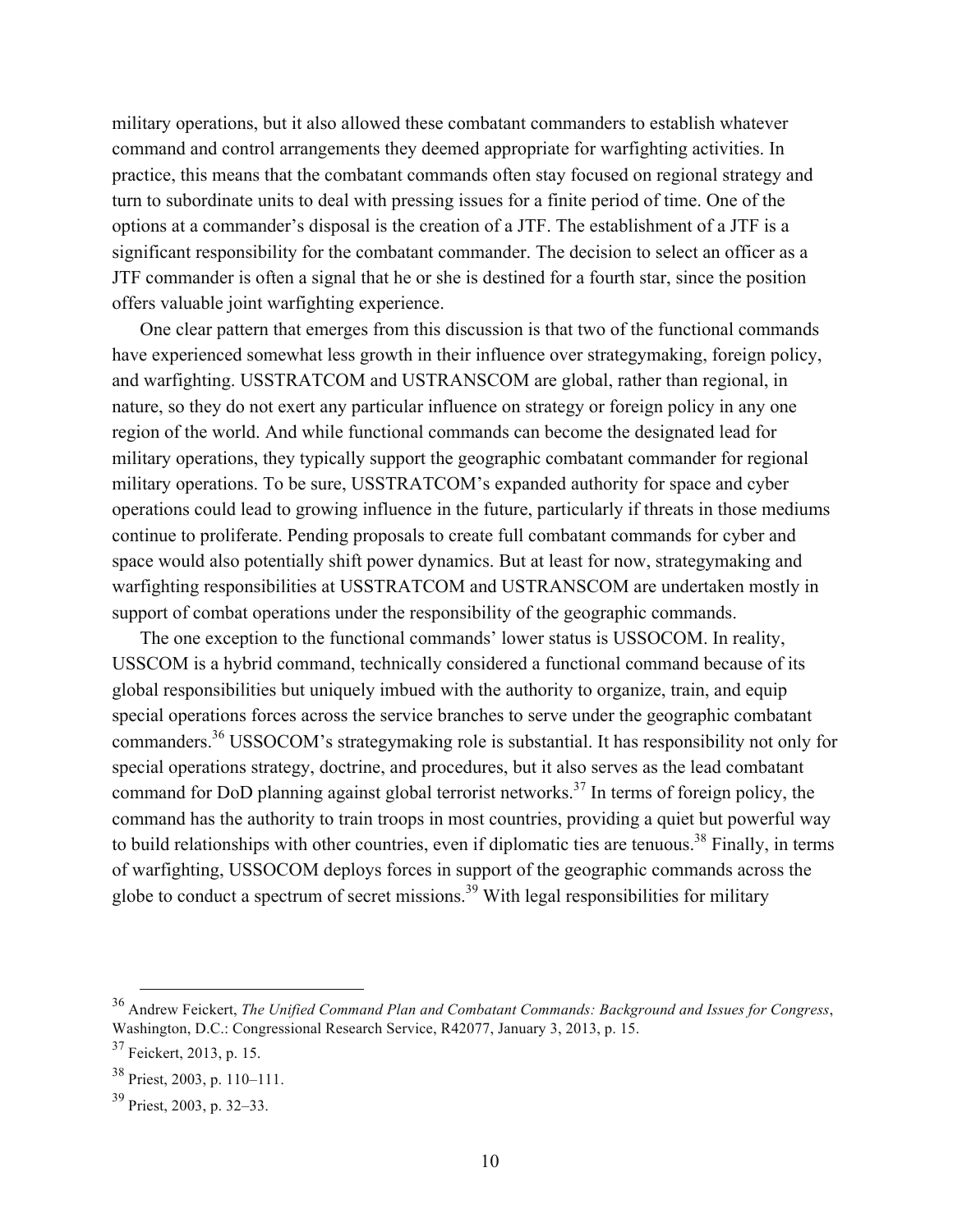military operations, but it also allowed these combatant commanders to establish whatever command and control arrangements they deemed appropriate for warfighting activities. In practice, this means that the combatant commands often stay focused on regional strategy and turn to subordinate units to deal with pressing issues for a finite period of time. One of the options at a commander's disposal is the creation of a JTF. The establishment of a JTF is a significant responsibility for the combatant commander. The decision to select an officer as a JTF commander is often a signal that he or she is destined for a fourth star, since the position offers valuable joint warfighting experience.

One clear pattern that emerges from this discussion is that two of the functional commands have experienced somewhat less growth in their influence over strategymaking, foreign policy, and warfighting. USSTRATCOM and USTRANSCOM are global, rather than regional, in nature, so they do not exert any particular influence on strategy or foreign policy in any one region of the world. And while functional commands can become the designated lead for military operations, they typically support the geographic combatant commander for regional military operations. To be sure, USSTRATCOM's expanded authority for space and cyber operations could lead to growing influence in the future, particularly if threats in those mediums continue to proliferate. Pending proposals to create full combatant commands for cyber and space would also potentially shift power dynamics. But at least for now, strategymaking and warfighting responsibilities at USSTRATCOM and USTRANSCOM are undertaken mostly in support of combat operations under the responsibility of the geographic commands.

The one exception to the functional commands' lower status is USSOCOM. In reality, USSCOM is a hybrid command, technically considered a functional command because of its global responsibilities but uniquely imbued with the authority to organize, train, and equip special operations forces across the service branches to serve under the geographic combatant commanders.36 USSOCOM's strategymaking role is substantial. It has responsibility not only for special operations strategy, doctrine, and procedures, but it also serves as the lead combatant command for DoD planning against global terrorist networks.<sup>37</sup> In terms of foreign policy, the command has the authority to train troops in most countries, providing a quiet but powerful way to build relationships with other countries, even if diplomatic ties are tenuous.<sup>38</sup> Finally, in terms of warfighting, USSOCOM deploys forces in support of the geographic commands across the globe to conduct a spectrum of secret missions.<sup>39</sup> With legal responsibilities for military

 <sup>36</sup> Andrew Feickert, *The Unified Command Plan and Combatant Commands: Background and Issues for Congress*, Washington, D.C.: Congressional Research Service, R42077, January 3, 2013, p. 15.

<sup>&</sup>lt;sup>37</sup> Feickert, 2013, p. 15.

<sup>38</sup> Priest, 2003, p. 110–111.

 $39$  Priest, 2003, p. 32–33.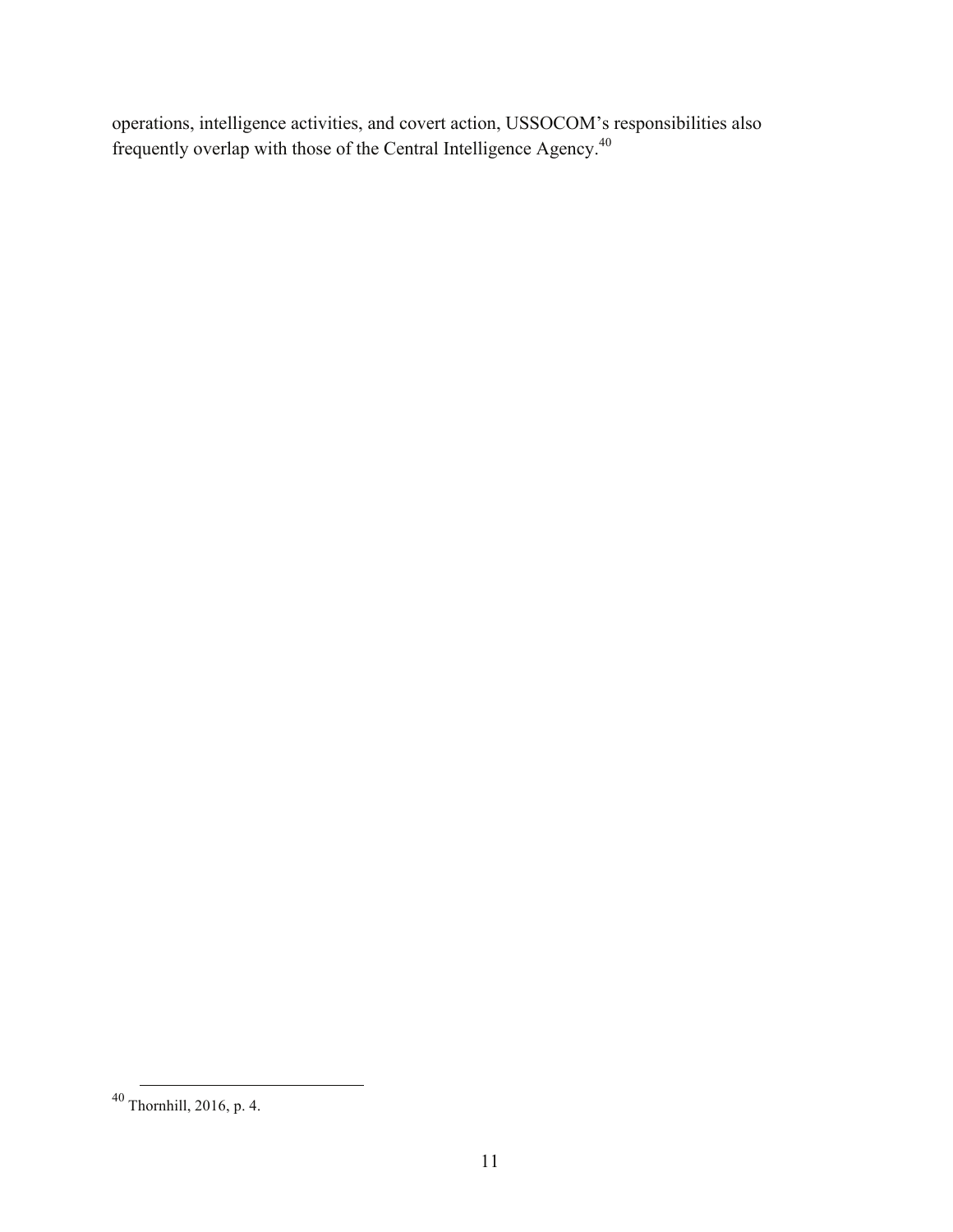operations, intelligence activities, and covert action, USSOCOM's responsibilities also frequently overlap with those of the Central Intelligence Agency.<sup>40</sup>

 <sup>40</sup> Thornhill, 2016, p. 4.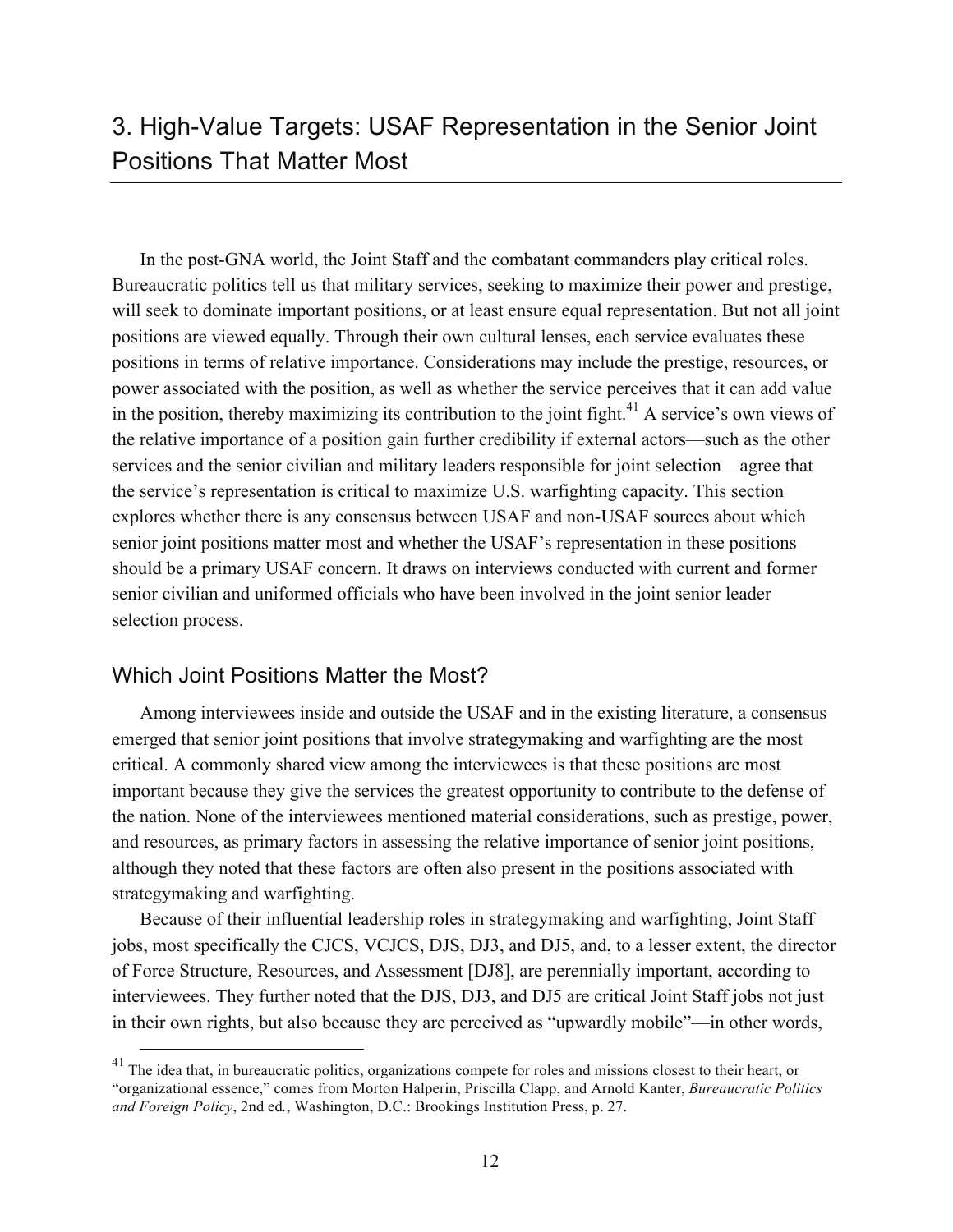# 3. High-Value Targets: USAF Representation in the Senior Joint Positions That Matter Most

In the post-GNA world, the Joint Staff and the combatant commanders play critical roles. Bureaucratic politics tell us that military services, seeking to maximize their power and prestige, will seek to dominate important positions, or at least ensure equal representation. But not all joint positions are viewed equally. Through their own cultural lenses, each service evaluates these positions in terms of relative importance. Considerations may include the prestige, resources, or power associated with the position, as well as whether the service perceives that it can add value in the position, thereby maximizing its contribution to the joint fight.<sup>41</sup> A service's own views of the relative importance of a position gain further credibility if external actors—such as the other services and the senior civilian and military leaders responsible for joint selection—agree that the service's representation is critical to maximize U.S. warfighting capacity. This section explores whether there is any consensus between USAF and non-USAF sources about which senior joint positions matter most and whether the USAF's representation in these positions should be a primary USAF concern. It draws on interviews conducted with current and former senior civilian and uniformed officials who have been involved in the joint senior leader selection process.

## Which Joint Positions Matter the Most?

Among interviewees inside and outside the USAF and in the existing literature, a consensus emerged that senior joint positions that involve strategymaking and warfighting are the most critical. A commonly shared view among the interviewees is that these positions are most important because they give the services the greatest opportunity to contribute to the defense of the nation. None of the interviewees mentioned material considerations, such as prestige, power, and resources, as primary factors in assessing the relative importance of senior joint positions, although they noted that these factors are often also present in the positions associated with strategymaking and warfighting.

Because of their influential leadership roles in strategymaking and warfighting, Joint Staff jobs, most specifically the CJCS, VCJCS, DJS, DJ3, and DJ5, and, to a lesser extent, the director of Force Structure, Resources, and Assessment [DJ8], are perennially important, according to interviewees. They further noted that the DJS, DJ3, and DJ5 are critical Joint Staff jobs not just in their own rights, but also because they are perceived as "upwardly mobile"—in other words,

<sup>&</sup>lt;sup>41</sup> The idea that, in bureaucratic politics, organizations compete for roles and missions closest to their heart, or "organizational essence," comes from Morton Halperin, Priscilla Clapp, and Arnold Kanter, *Bureaucratic Politics and Foreign Policy*, 2nd ed*.*, Washington, D.C.: Brookings Institution Press, p. 27.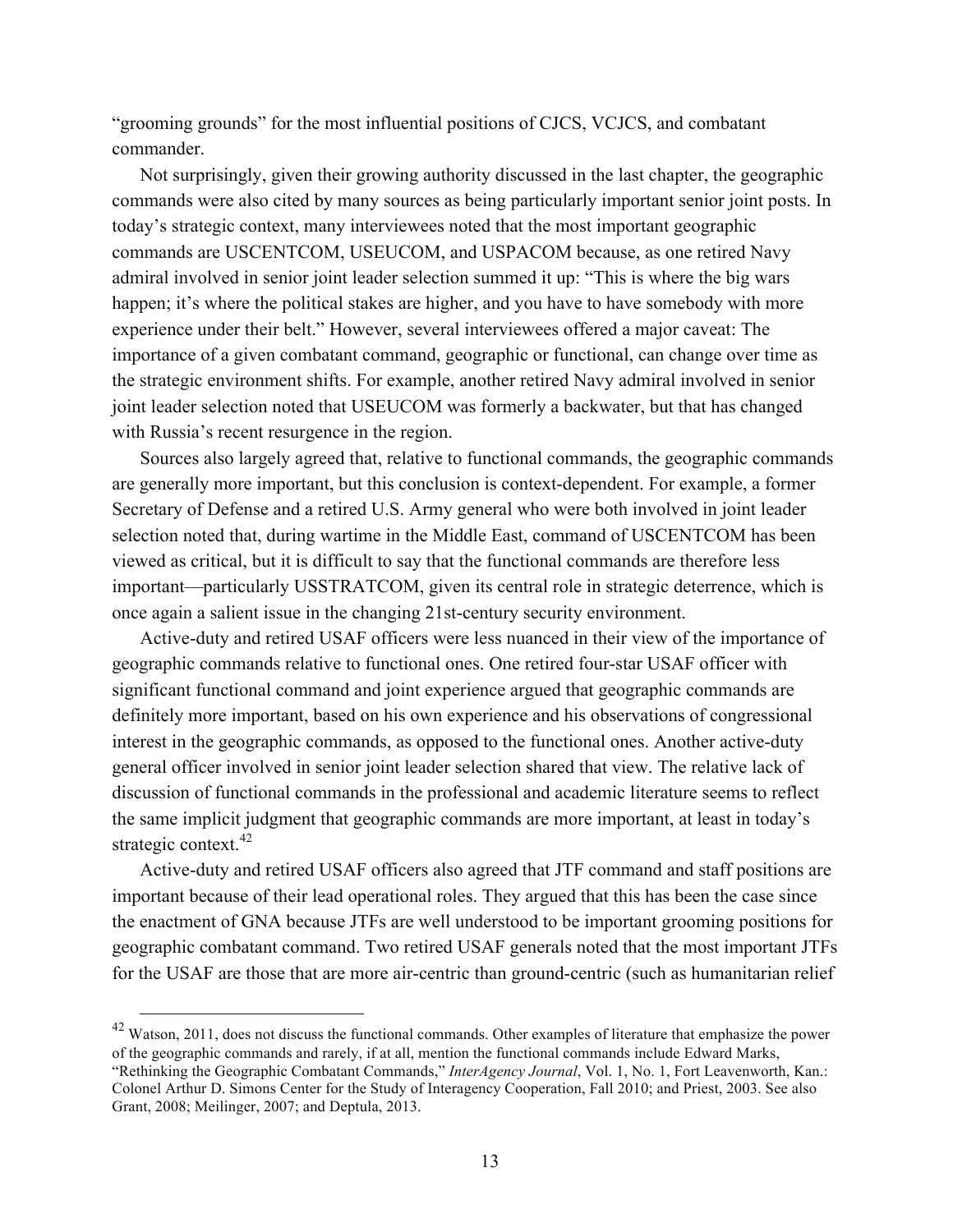"grooming grounds" for the most influential positions of CJCS, VCJCS, and combatant commander.

Not surprisingly, given their growing authority discussed in the last chapter, the geographic commands were also cited by many sources as being particularly important senior joint posts. In today's strategic context, many interviewees noted that the most important geographic commands are USCENTCOM, USEUCOM, and USPACOM because, as one retired Navy admiral involved in senior joint leader selection summed it up: "This is where the big wars happen; it's where the political stakes are higher, and you have to have somebody with more experience under their belt." However, several interviewees offered a major caveat: The importance of a given combatant command, geographic or functional, can change over time as the strategic environment shifts. For example, another retired Navy admiral involved in senior joint leader selection noted that USEUCOM was formerly a backwater, but that has changed with Russia's recent resurgence in the region.

Sources also largely agreed that, relative to functional commands, the geographic commands are generally more important, but this conclusion is context-dependent. For example, a former Secretary of Defense and a retired U.S. Army general who were both involved in joint leader selection noted that, during wartime in the Middle East, command of USCENTCOM has been viewed as critical, but it is difficult to say that the functional commands are therefore less important—particularly USSTRATCOM, given its central role in strategic deterrence, which is once again a salient issue in the changing 21st-century security environment.

Active-duty and retired USAF officers were less nuanced in their view of the importance of geographic commands relative to functional ones. One retired four-star USAF officer with significant functional command and joint experience argued that geographic commands are definitely more important, based on his own experience and his observations of congressional interest in the geographic commands, as opposed to the functional ones. Another active-duty general officer involved in senior joint leader selection shared that view. The relative lack of discussion of functional commands in the professional and academic literature seems to reflect the same implicit judgment that geographic commands are more important, at least in today's strategic context. $42$ 

Active-duty and retired USAF officers also agreed that JTF command and staff positions are important because of their lead operational roles. They argued that this has been the case since the enactment of GNA because JTFs are well understood to be important grooming positions for geographic combatant command. Two retired USAF generals noted that the most important JTFs for the USAF are those that are more air-centric than ground-centric (such as humanitarian relief

<sup>&</sup>lt;sup>42</sup> Watson, 2011, does not discuss the functional commands. Other examples of literature that emphasize the power of the geographic commands and rarely, if at all, mention the functional commands include Edward Marks, "Rethinking the Geographic Combatant Commands," *InterAgency Journal*, Vol. 1, No. 1, Fort Leavenworth, Kan.: Colonel Arthur D. Simons Center for the Study of Interagency Cooperation, Fall 2010; and Priest, 2003. See also Grant, 2008; Meilinger, 2007; and Deptula, 2013.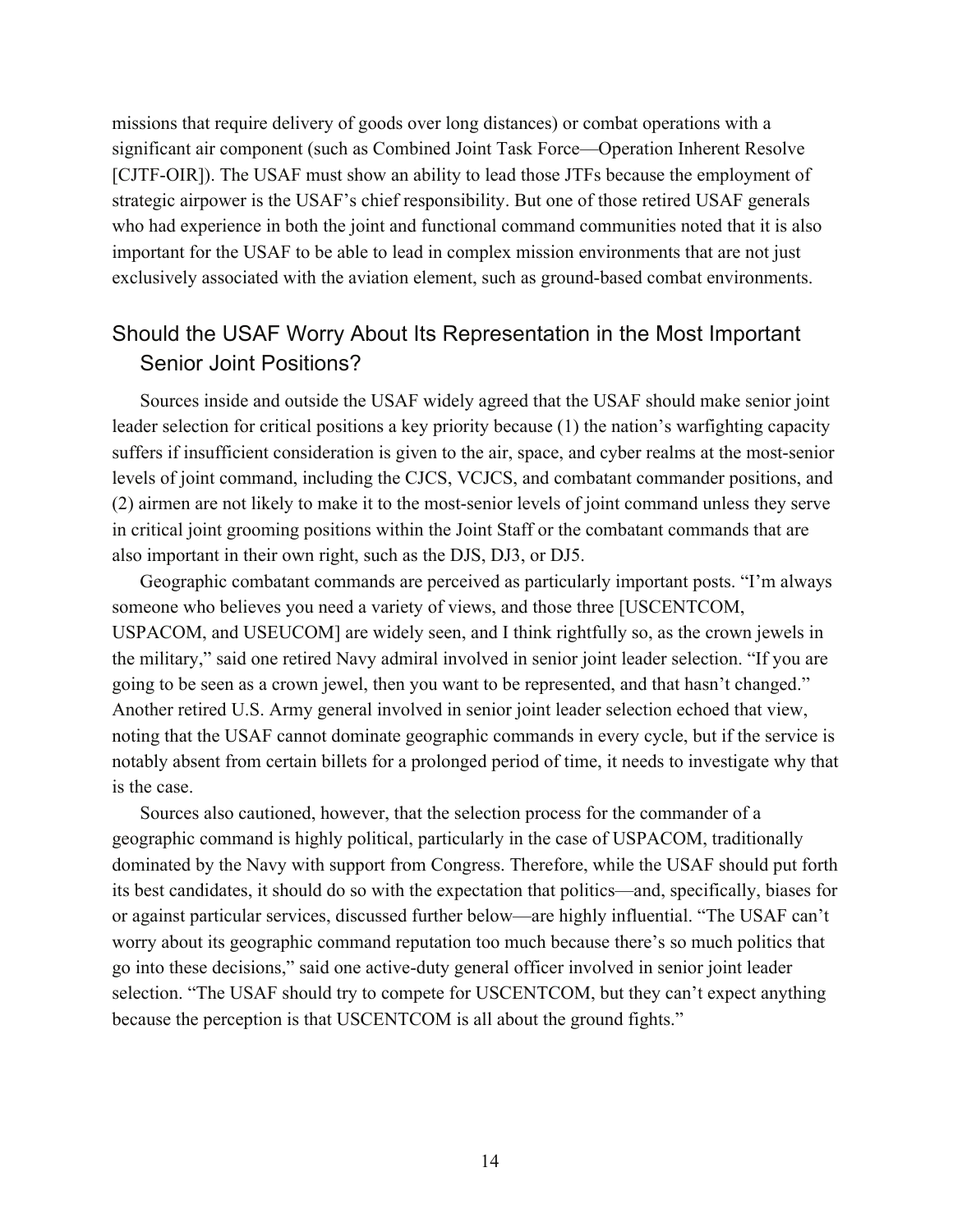missions that require delivery of goods over long distances) or combat operations with a significant air component (such as Combined Joint Task Force—Operation Inherent Resolve [CJTF-OIR]). The USAF must show an ability to lead those JTFs because the employment of strategic airpower is the USAF's chief responsibility. But one of those retired USAF generals who had experience in both the joint and functional command communities noted that it is also important for the USAF to be able to lead in complex mission environments that are not just exclusively associated with the aviation element, such as ground-based combat environments.

# Should the USAF Worry About Its Representation in the Most Important Senior Joint Positions?

Sources inside and outside the USAF widely agreed that the USAF should make senior joint leader selection for critical positions a key priority because (1) the nation's warfighting capacity suffers if insufficient consideration is given to the air, space, and cyber realms at the most-senior levels of joint command, including the CJCS, VCJCS, and combatant commander positions, and (2) airmen are not likely to make it to the most-senior levels of joint command unless they serve in critical joint grooming positions within the Joint Staff or the combatant commands that are also important in their own right, such as the DJS, DJ3, or DJ5.

Geographic combatant commands are perceived as particularly important posts. "I'm always someone who believes you need a variety of views, and those three [USCENTCOM, USPACOM, and USEUCOM] are widely seen, and I think rightfully so, as the crown jewels in the military," said one retired Navy admiral involved in senior joint leader selection. "If you are going to be seen as a crown jewel, then you want to be represented, and that hasn't changed." Another retired U.S. Army general involved in senior joint leader selection echoed that view, noting that the USAF cannot dominate geographic commands in every cycle, but if the service is notably absent from certain billets for a prolonged period of time, it needs to investigate why that is the case.

Sources also cautioned, however, that the selection process for the commander of a geographic command is highly political, particularly in the case of USPACOM, traditionally dominated by the Navy with support from Congress. Therefore, while the USAF should put forth its best candidates, it should do so with the expectation that politics—and, specifically, biases for or against particular services, discussed further below—are highly influential. "The USAF can't worry about its geographic command reputation too much because there's so much politics that go into these decisions," said one active-duty general officer involved in senior joint leader selection. "The USAF should try to compete for USCENTCOM, but they can't expect anything because the perception is that USCENTCOM is all about the ground fights."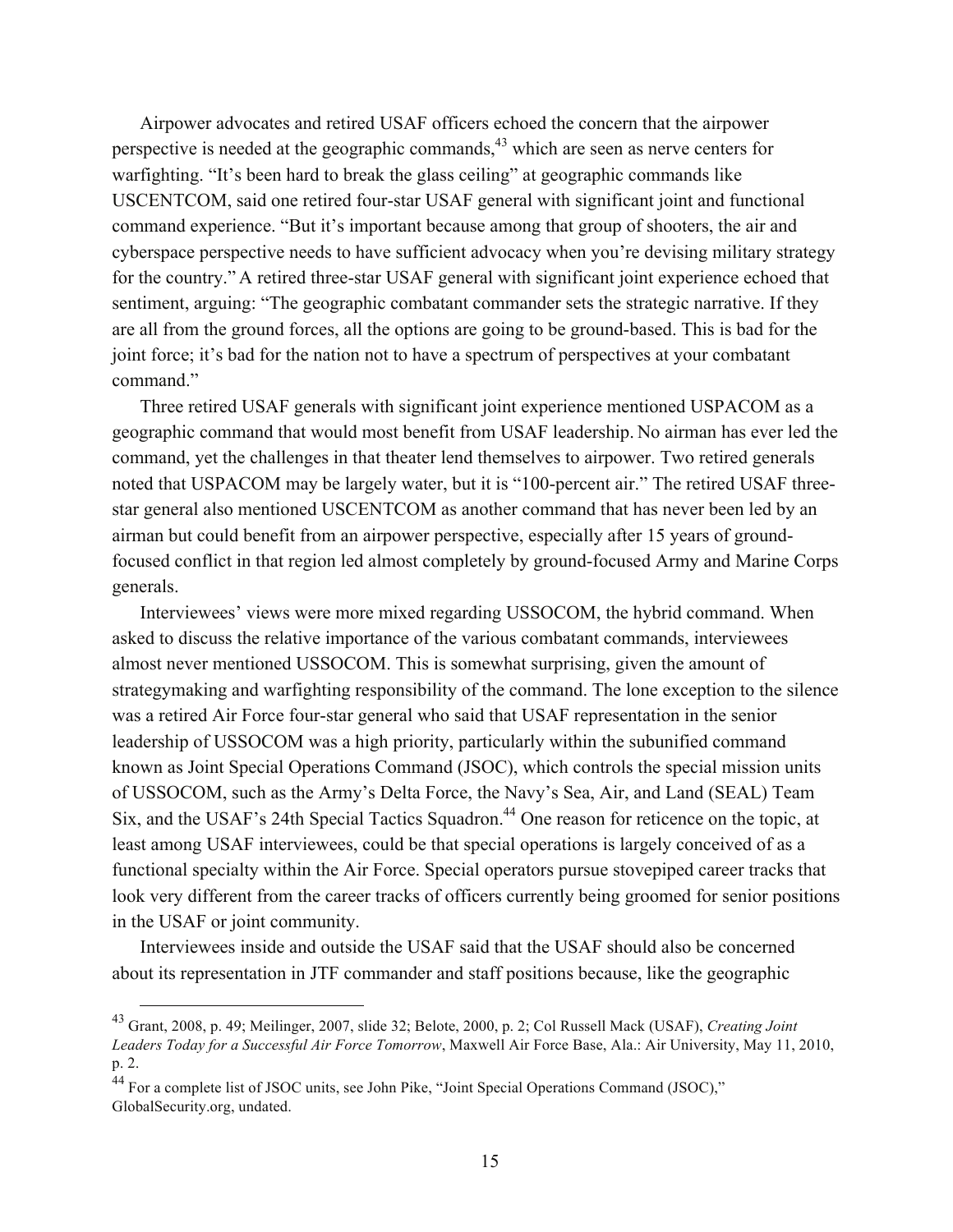Airpower advocates and retired USAF officers echoed the concern that the airpower perspective is needed at the geographic commands,  $43$  which are seen as nerve centers for warfighting. "It's been hard to break the glass ceiling" at geographic commands like USCENTCOM, said one retired four-star USAF general with significant joint and functional command experience. "But it's important because among that group of shooters, the air and cyberspace perspective needs to have sufficient advocacy when you're devising military strategy for the country." A retired three-star USAF general with significant joint experience echoed that sentiment, arguing: "The geographic combatant commander sets the strategic narrative. If they are all from the ground forces, all the options are going to be ground-based. This is bad for the joint force; it's bad for the nation not to have a spectrum of perspectives at your combatant command."

Three retired USAF generals with significant joint experience mentioned USPACOM as a geographic command that would most benefit from USAF leadership. No airman has ever led the command, yet the challenges in that theater lend themselves to airpower. Two retired generals noted that USPACOM may be largely water, but it is "100-percent air." The retired USAF threestar general also mentioned USCENTCOM as another command that has never been led by an airman but could benefit from an airpower perspective, especially after 15 years of groundfocused conflict in that region led almost completely by ground-focused Army and Marine Corps generals.

Interviewees' views were more mixed regarding USSOCOM, the hybrid command. When asked to discuss the relative importance of the various combatant commands, interviewees almost never mentioned USSOCOM. This is somewhat surprising, given the amount of strategymaking and warfighting responsibility of the command. The lone exception to the silence was a retired Air Force four-star general who said that USAF representation in the senior leadership of USSOCOM was a high priority, particularly within the subunified command known as Joint Special Operations Command (JSOC), which controls the special mission units of USSOCOM, such as the Army's Delta Force, the Navy's Sea, Air, and Land (SEAL) Team Six, and the USAF's 24th Special Tactics Squadron.<sup>44</sup> One reason for reticence on the topic, at least among USAF interviewees, could be that special operations is largely conceived of as a functional specialty within the Air Force. Special operators pursue stovepiped career tracks that look very different from the career tracks of officers currently being groomed for senior positions in the USAF or joint community.

Interviewees inside and outside the USAF said that the USAF should also be concerned about its representation in JTF commander and staff positions because, like the geographic

 <sup>43</sup> Grant, 2008, p. 49; Meilinger, 2007, slide 32; Belote, 2000, p. 2; Col Russell Mack (USAF), *Creating Joint Leaders Today for a Successful Air Force Tomorrow*, Maxwell Air Force Base, Ala.: Air University, May 11, 2010, p. 2.

<sup>44</sup> For a complete list of JSOC units, see John Pike, "Joint Special Operations Command (JSOC)," GlobalSecurity.org, undated.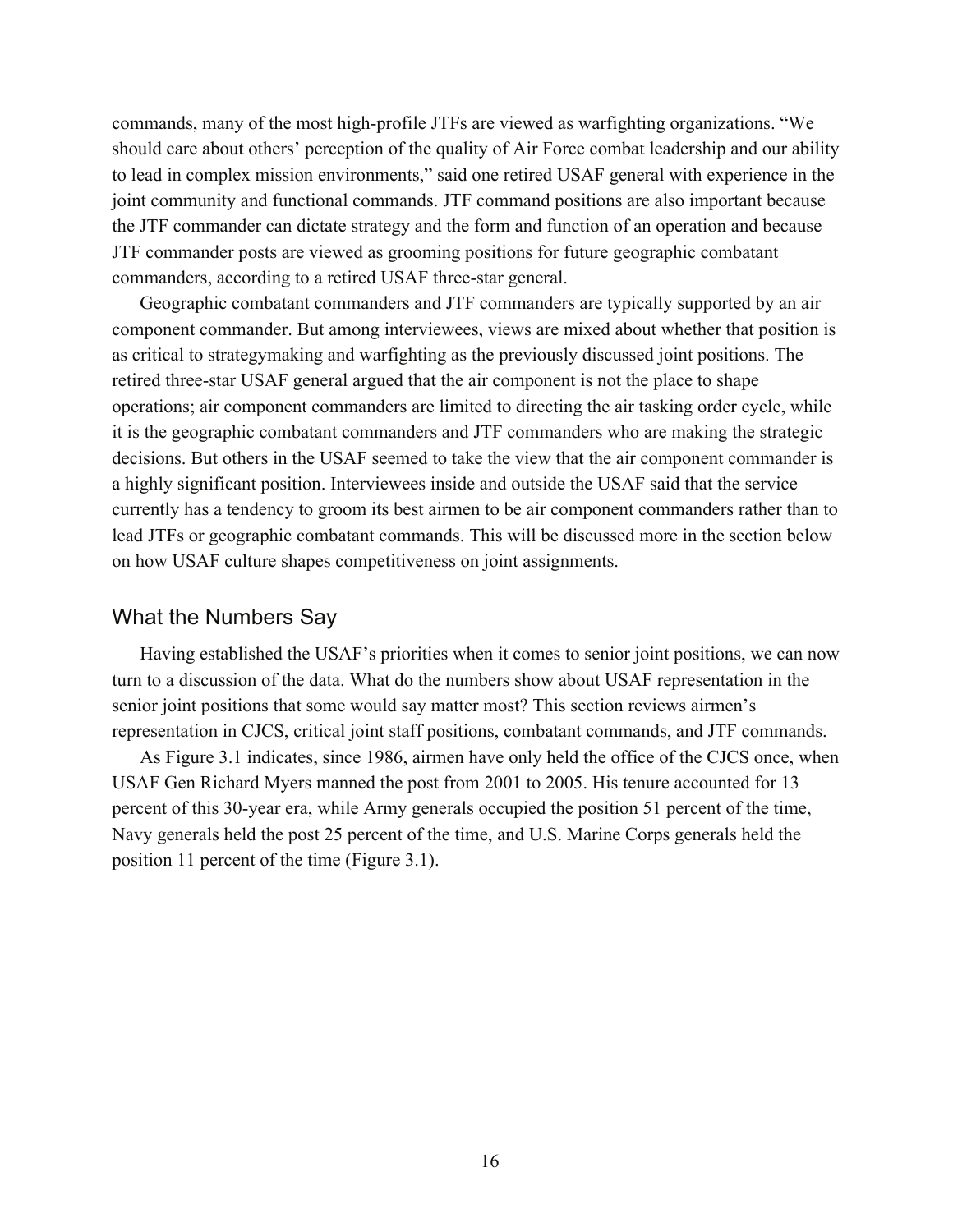commands, many of the most high-profile JTFs are viewed as warfighting organizations. "We should care about others' perception of the quality of Air Force combat leadership and our ability to lead in complex mission environments," said one retired USAF general with experience in the joint community and functional commands. JTF command positions are also important because the JTF commander can dictate strategy and the form and function of an operation and because JTF commander posts are viewed as grooming positions for future geographic combatant commanders, according to a retired USAF three-star general.

Geographic combatant commanders and JTF commanders are typically supported by an air component commander. But among interviewees, views are mixed about whether that position is as critical to strategymaking and warfighting as the previously discussed joint positions. The retired three-star USAF general argued that the air component is not the place to shape operations; air component commanders are limited to directing the air tasking order cycle, while it is the geographic combatant commanders and JTF commanders who are making the strategic decisions. But others in the USAF seemed to take the view that the air component commander is a highly significant position. Interviewees inside and outside the USAF said that the service currently has a tendency to groom its best airmen to be air component commanders rather than to lead JTFs or geographic combatant commands. This will be discussed more in the section below on how USAF culture shapes competitiveness on joint assignments.

## What the Numbers Say

Having established the USAF's priorities when it comes to senior joint positions, we can now turn to a discussion of the data. What do the numbers show about USAF representation in the senior joint positions that some would say matter most? This section reviews airmen's representation in CJCS, critical joint staff positions, combatant commands, and JTF commands.

As Figure 3.1 indicates, since 1986, airmen have only held the office of the CJCS once, when USAF Gen Richard Myers manned the post from 2001 to 2005. His tenure accounted for 13 percent of this 30-year era, while Army generals occupied the position 51 percent of the time, Navy generals held the post 25 percent of the time, and U.S. Marine Corps generals held the position 11 percent of the time (Figure 3.1).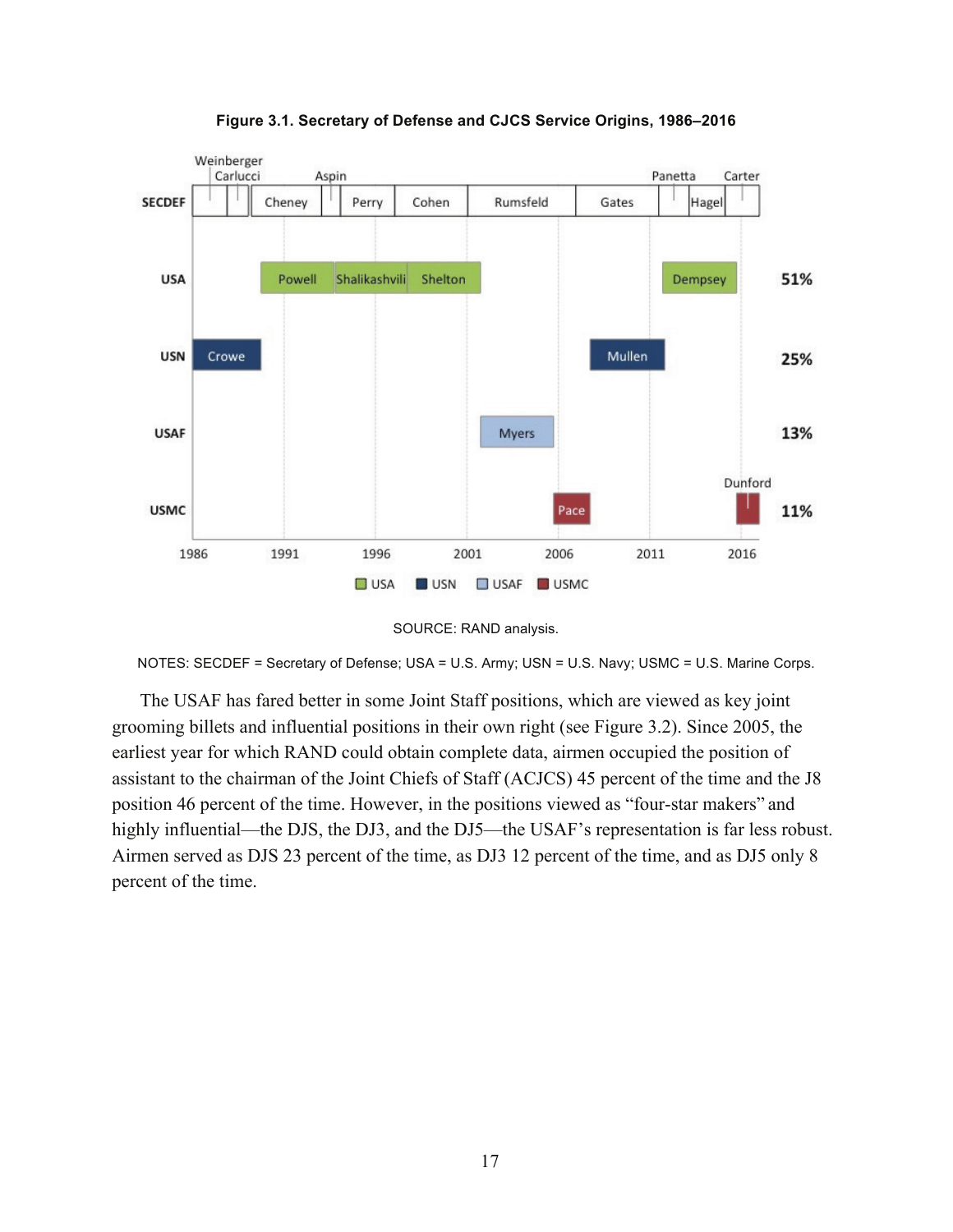

**Figure 3.1. Secretary of Defense and CJCS Service Origins, 1986–2016**

NOTES: SECDEF = Secretary of Defense; USA = U.S. Army; USN = U.S. Navy; USMC = U.S. Marine Corps.

The USAF has fared better in some Joint Staff positions, which are viewed as key joint grooming billets and influential positions in their own right (see Figure 3.2). Since 2005, the earliest year for which RAND could obtain complete data, airmen occupied the position of assistant to the chairman of the Joint Chiefs of Staff (ACJCS) 45 percent of the time and the J8 position 46 percent of the time. However, in the positions viewed as "four-star makers" and highly influential—the DJS, the DJ3, and the DJ5—the USAF's representation is far less robust. Airmen served as DJS 23 percent of the time, as DJ3 12 percent of the time, and as DJ5 only 8 percent of the time.

SOURCE: RAND analysis.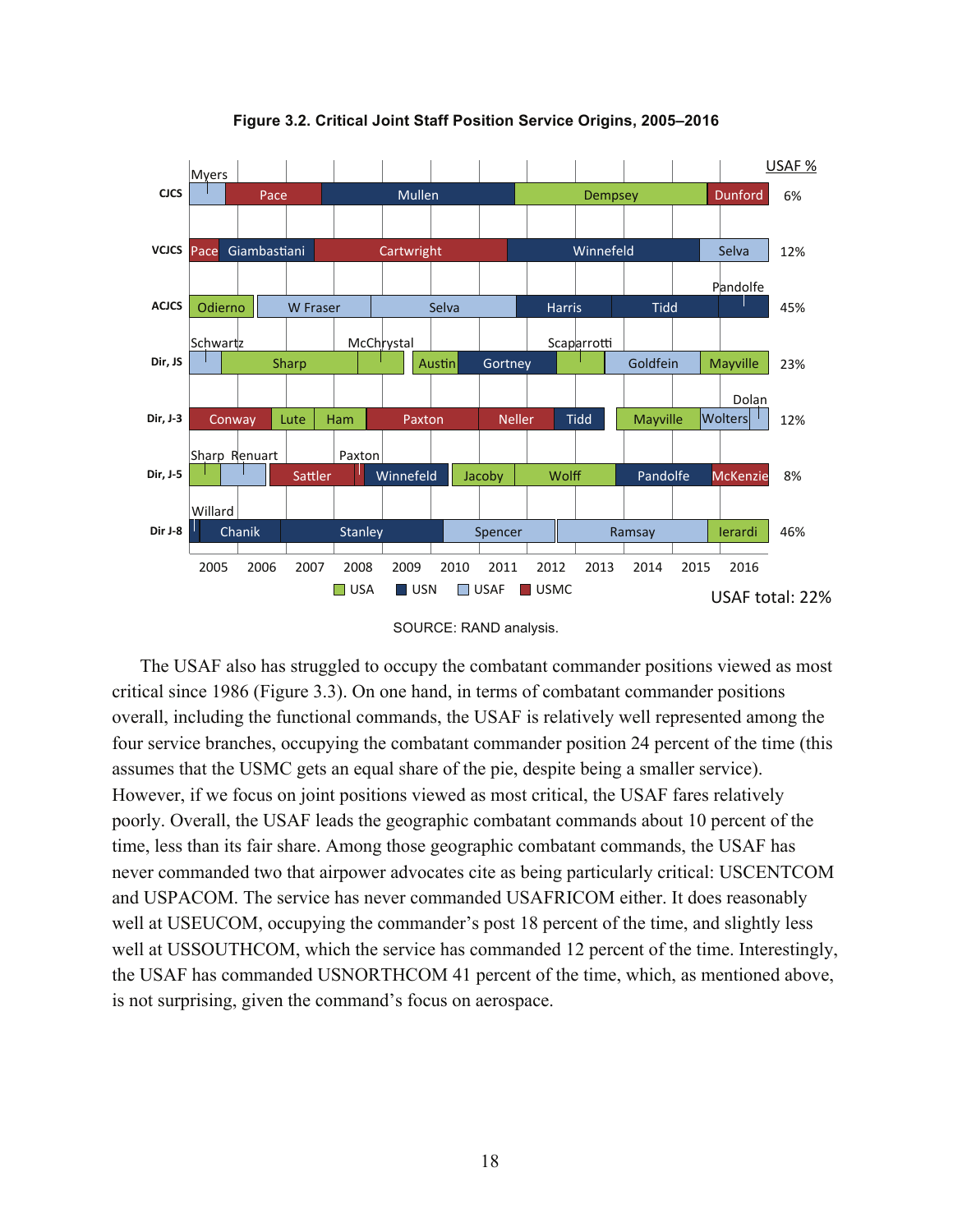

**Figure 3.2. Critical Joint Staff Position Service Origins, 2005–2016** 

The USAF also has struggled to occupy the combatant commander positions viewed as most critical since 1986 (Figure 3.3). On one hand, in terms of combatant commander positions overall, including the functional commands, the USAF is relatively well represented among the four service branches, occupying the combatant commander position 24 percent of the time (this assumes that the USMC gets an equal share of the pie, despite being a smaller service). However, if we focus on joint positions viewed as most critical, the USAF fares relatively poorly. Overall, the USAF leads the geographic combatant commands about 10 percent of the time, less than its fair share. Among those geographic combatant commands, the USAF has never commanded two that airpower advocates cite as being particularly critical: USCENTCOM and USPACOM. The service has never commanded USAFRICOM either. It does reasonably well at USEUCOM, occupying the commander's post 18 percent of the time, and slightly less well at USSOUTHCOM, which the service has commanded 12 percent of the time. Interestingly, the USAF has commanded USNORTHCOM 41 percent of the time, which, as mentioned above, is not surprising, given the command's focus on aerospace.

SOURCE: RAND analysis.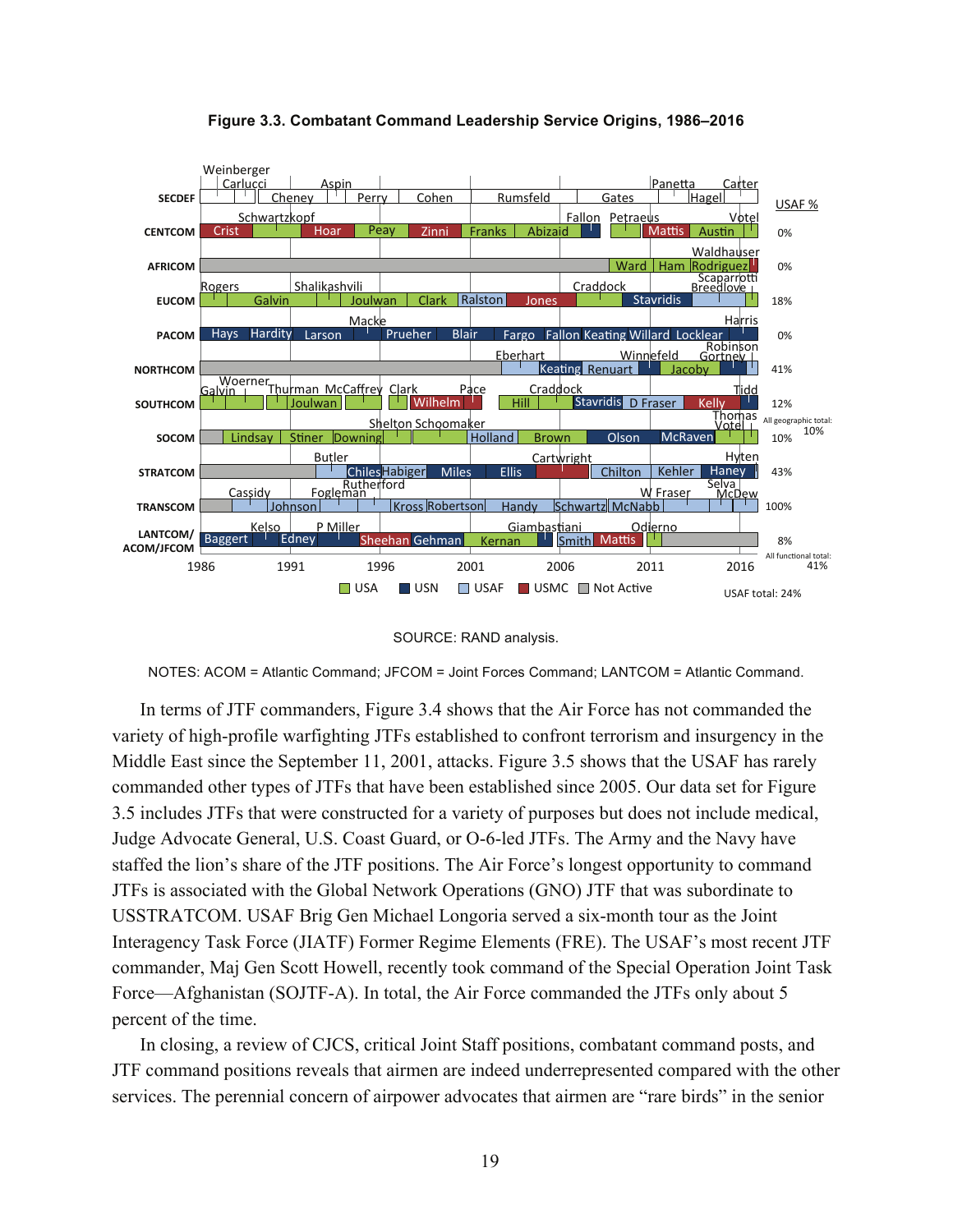

**Figure 3.3. Combatant Command Leadership Service Origins, 1986–2016**

NOTES: ACOM = Atlantic Command; JFCOM = Joint Forces Command; LANTCOM = Atlantic Command.

In terms of JTF commanders, Figure 3.4 shows that the Air Force has not commanded the variety of high-profile warfighting JTFs established to confront terrorism and insurgency in the Middle East since the September 11, 2001, attacks. Figure 3.5 shows that the USAF has rarely commanded other types of JTFs that have been established since 2005. Our data set for Figure 3.5 includes JTFs that were constructed for a variety of purposes but does not include medical, Judge Advocate General, U.S. Coast Guard, or O-6-led JTFs. The Army and the Navy have staffed the lion's share of the JTF positions. The Air Force's longest opportunity to command JTFs is associated with the Global Network Operations (GNO) JTF that was subordinate to USSTRATCOM. USAF Brig Gen Michael Longoria served a six-month tour as the Joint Interagency Task Force (JIATF) Former Regime Elements (FRE). The USAF's most recent JTF commander, Maj Gen Scott Howell, recently took command of the Special Operation Joint Task Force—Afghanistan (SOJTF-A). In total, the Air Force commanded the JTFs only about 5 percent of the time.

In closing, a review of CJCS, critical Joint Staff positions, combatant command posts, and JTF command positions reveals that airmen are indeed underrepresented compared with the other services. The perennial concern of airpower advocates that airmen are "rare birds" in the senior

SOURCE: RAND analysis.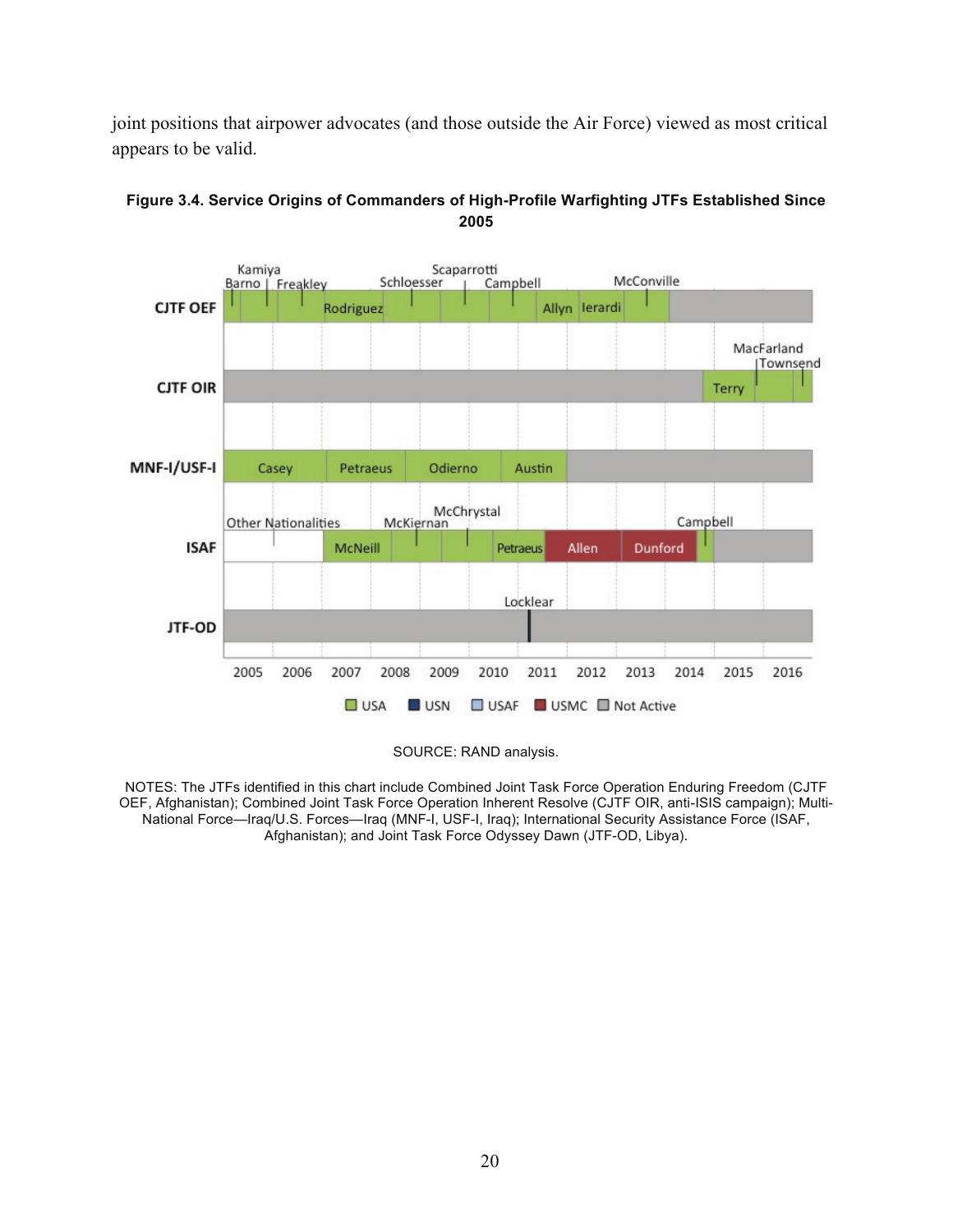joint positions that airpower advocates (and those outside the Air Force) viewed as most critical appears to be valid.



**Figure 3.4. Service Origins of Commanders of High-Profile Warfighting JTFs Established Since 2005**

SOURCE: RAND analysis.

NOTES: The JTFs identified in this chart include Combined Joint Task Force Operation Enduring Freedom (CJTF OEF, Afghanistan); Combined Joint Task Force Operation Inherent Resolve (CJTF OIR, anti-ISIS campaign); Multi-National Force—Iraq/U.S. Forces—Iraq (MNF-I, USF-I, Iraq); International Security Assistance Force (ISAF, Afghanistan); and Joint Task Force Odyssey Dawn (JTF-OD, Libya).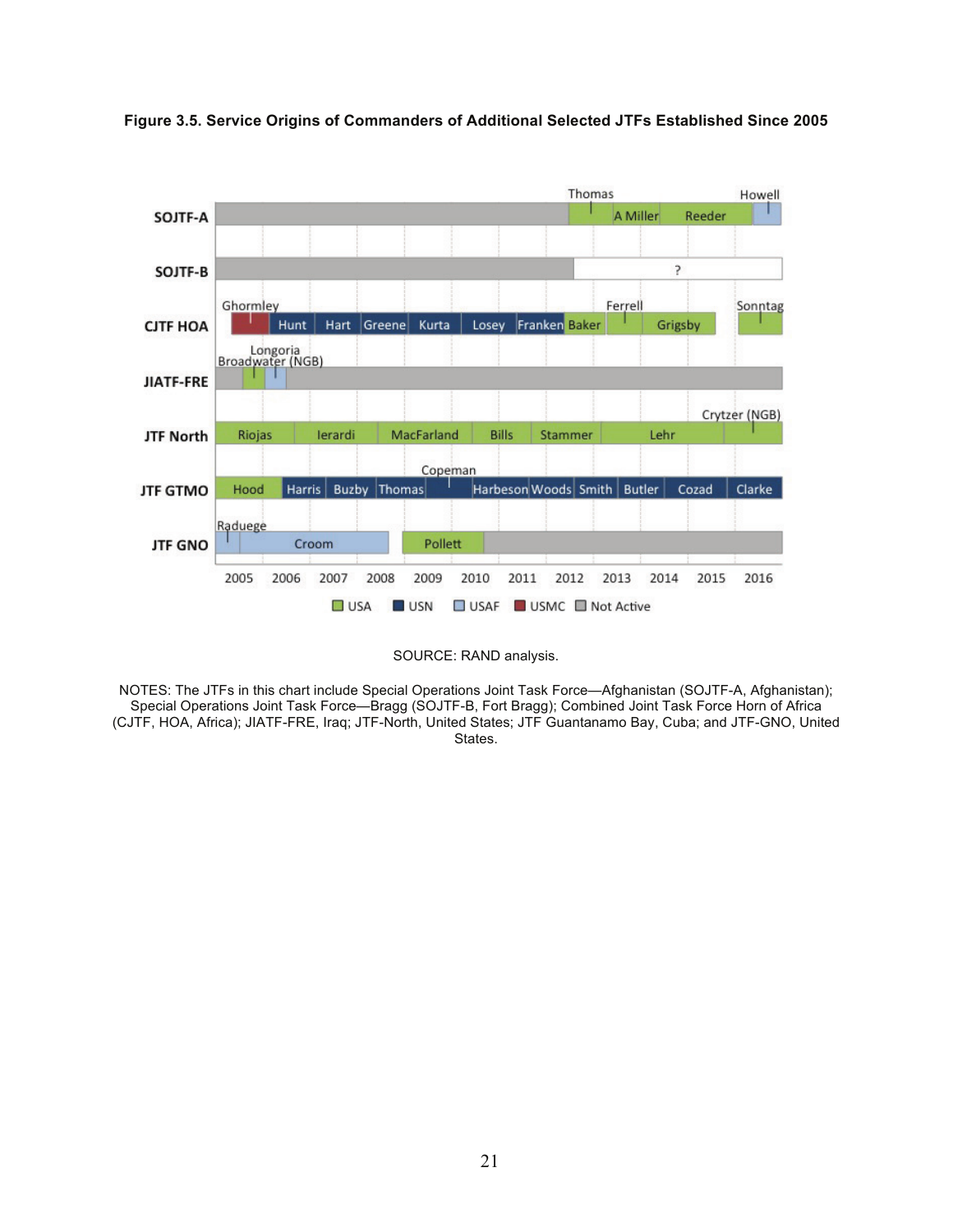

**Figure 3.5. Service Origins of Commanders of Additional Selected JTFs Established Since 2005**

SOURCE: RAND analysis.

NOTES: The JTFs in this chart include Special Operations Joint Task Force—Afghanistan (SOJTF-A, Afghanistan); Special Operations Joint Task Force—Bragg (SOJTF-B, Fort Bragg); Combined Joint Task Force Horn of Africa (CJTF, HOA, Africa); JIATF-FRE, Iraq; JTF-North, United States; JTF Guantanamo Bay, Cuba; and JTF-GNO, United States.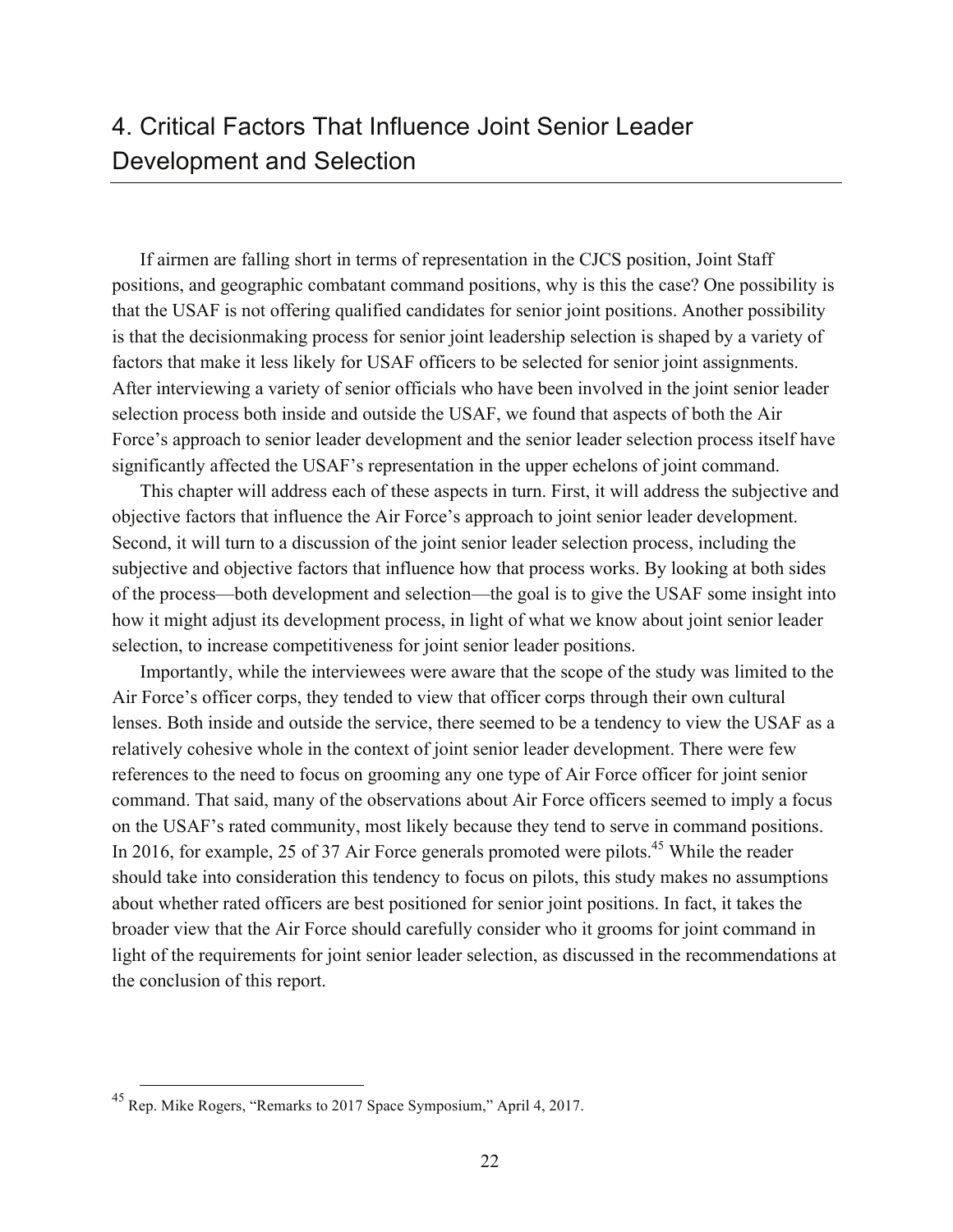# 4. Critical Factors That Influence Joint Senior Leader Development and Selection

If airmen are falling short in terms of representation in the CJCS position, Joint Staff positions, and geographic combatant command positions, why is this the case? One possibility is that the USAF is not offering qualified candidates for senior joint positions. Another possibility is that the decisionmaking process for senior joint leadership selection is shaped by a variety of factors that make it less likely for USAF officers to be selected for senior joint assignments. After interviewing a variety of senior officials who have been involved in the joint senior leader selection process both inside and outside the USAF, we found that aspects of both the Air Force's approach to senior leader development and the senior leader selection process itself have significantly affected the USAF's representation in the upper echelons of joint command.

This chapter will address each of these aspects in turn. First, it will address the subjective and objective factors that influence the Air Force's approach to joint senior leader development. Second, it will turn to a discussion of the joint senior leader selection process, including the subjective and objective factors that influence how that process works. By looking at both sides of the process—both development and selection—the goal is to give the USAF some insight into how it might adjust its development process, in light of what we know about joint senior leader selection, to increase competitiveness for joint senior leader positions.

Importantly, while the interviewees were aware that the scope of the study was limited to the Air Force's officer corps, they tended to view that officer corps through their own cultural lenses. Both inside and outside the service, there seemed to be a tendency to view the USAF as a relatively cohesive whole in the context of joint senior leader development. There were few references to the need to focus on grooming any one type of Air Force officer for joint senior command. That said, many of the observations about Air Force officers seemed to imply a focus on the USAF's rated community, most likely because they tend to serve in command positions. In 2016, for example, 25 of 37 Air Force generals promoted were pilots.<sup>45</sup> While the reader should take into consideration this tendency to focus on pilots, this study makes no assumptions about whether rated officers are best positioned for senior joint positions. In fact, it takes the broader view that the Air Force should carefully consider who it grooms for joint command in light of the requirements for joint senior leader selection, as discussed in the recommendations at the conclusion of this report.

 <sup>45</sup> Rep. Mike Rogers, "Remarks to 2017 Space Symposium," April 4, 2017.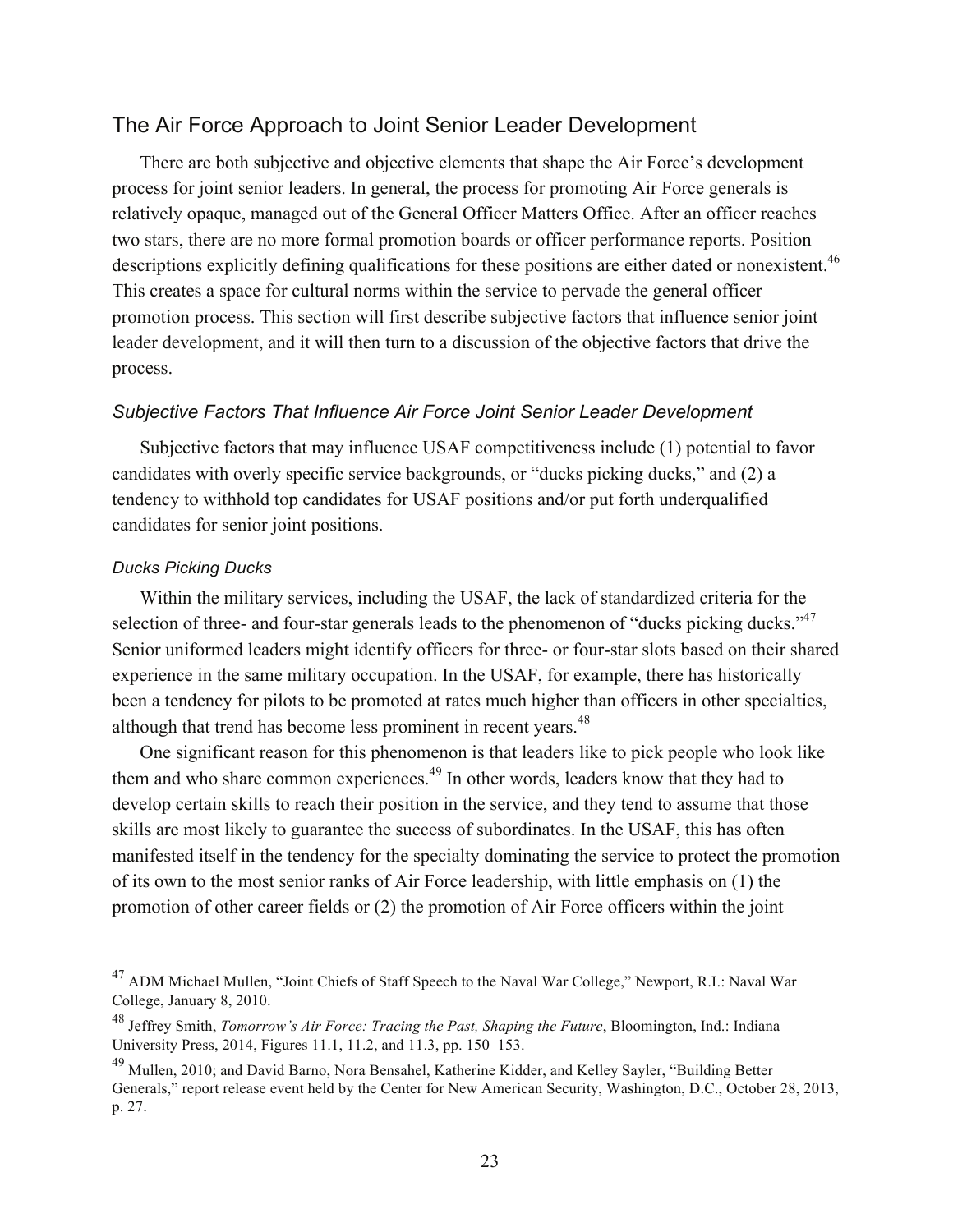## The Air Force Approach to Joint Senior Leader Development

There are both subjective and objective elements that shape the Air Force's development process for joint senior leaders. In general, the process for promoting Air Force generals is relatively opaque, managed out of the General Officer Matters Office. After an officer reaches two stars, there are no more formal promotion boards or officer performance reports. Position descriptions explicitly defining qualifications for these positions are either dated or nonexistent.<sup>46</sup> This creates a space for cultural norms within the service to pervade the general officer promotion process. This section will first describe subjective factors that influence senior joint leader development, and it will then turn to a discussion of the objective factors that drive the process.

#### *Subjective Factors That Influence Air Force Joint Senior Leader Development*

Subjective factors that may influence USAF competitiveness include (1) potential to favor candidates with overly specific service backgrounds, or "ducks picking ducks," and (2) a tendency to withhold top candidates for USAF positions and/or put forth underqualified candidates for senior joint positions.

#### *Ducks Picking Ducks*

<u>.</u>

Within the military services, including the USAF, the lack of standardized criteria for the selection of three- and four-star generals leads to the phenomenon of "ducks picking ducks."<sup>47</sup> Senior uniformed leaders might identify officers for three- or four-star slots based on their shared experience in the same military occupation. In the USAF, for example, there has historically been a tendency for pilots to be promoted at rates much higher than officers in other specialties, although that trend has become less prominent in recent years.<sup>48</sup>

One significant reason for this phenomenon is that leaders like to pick people who look like them and who share common experiences.<sup>49</sup> In other words, leaders know that they had to develop certain skills to reach their position in the service, and they tend to assume that those skills are most likely to guarantee the success of subordinates. In the USAF, this has often manifested itself in the tendency for the specialty dominating the service to protect the promotion of its own to the most senior ranks of Air Force leadership, with little emphasis on (1) the promotion of other career fields or (2) the promotion of Air Force officers within the joint

<sup>&</sup>lt;sup>47</sup> ADM Michael Mullen, "Joint Chiefs of Staff Speech to the Naval War College," Newport, R.I.: Naval War College, January 8, 2010.

<sup>48</sup> Jeffrey Smith, *Tomorrow's Air Force: Tracing the Past, Shaping the Future*, Bloomington, Ind.: Indiana University Press, 2014, Figures 11.1, 11.2, and 11.3, pp. 150–153.

<sup>49</sup> Mullen, 2010; and David Barno, Nora Bensahel, Katherine Kidder, and Kelley Sayler, "Building Better Generals," report release event held by the Center for New American Security, Washington, D.C., October 28, 2013, p. 27.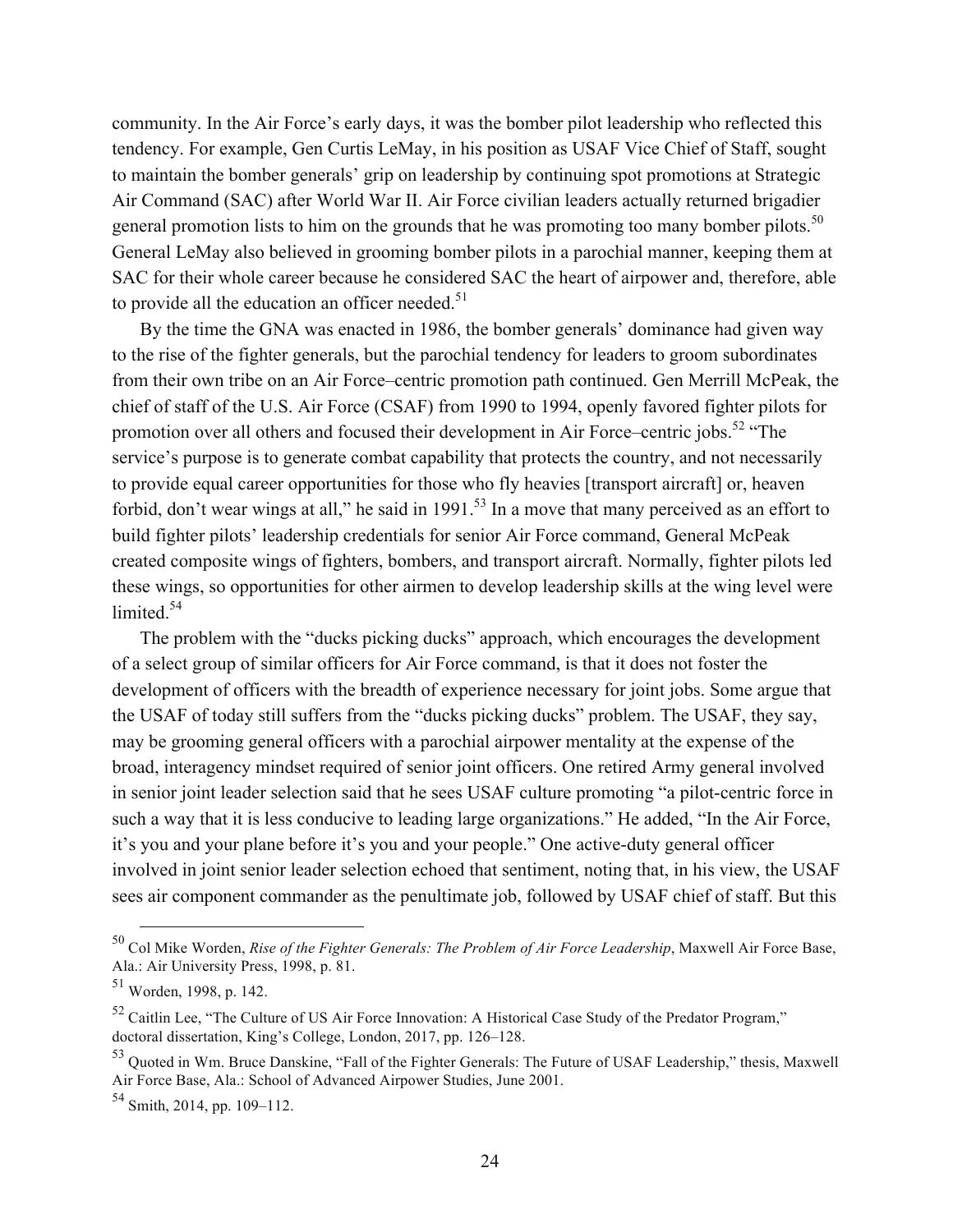community. In the Air Force's early days, it was the bomber pilot leadership who reflected this tendency. For example, Gen Curtis LeMay, in his position as USAF Vice Chief of Staff, sought to maintain the bomber generals' grip on leadership by continuing spot promotions at Strategic Air Command (SAC) after World War II. Air Force civilian leaders actually returned brigadier general promotion lists to him on the grounds that he was promoting too many bomber pilots.<sup>50</sup> General LeMay also believed in grooming bomber pilots in a parochial manner, keeping them at SAC for their whole career because he considered SAC the heart of airpower and, therefore, able to provide all the education an officer needed. $51$ 

By the time the GNA was enacted in 1986, the bomber generals' dominance had given way to the rise of the fighter generals, but the parochial tendency for leaders to groom subordinates from their own tribe on an Air Force–centric promotion path continued. Gen Merrill McPeak, the chief of staff of the U.S. Air Force (CSAF) from 1990 to 1994, openly favored fighter pilots for promotion over all others and focused their development in Air Force–centric jobs.<sup>52</sup> "The service's purpose is to generate combat capability that protects the country, and not necessarily to provide equal career opportunities for those who fly heavies [transport aircraft] or, heaven forbid, don't wear wings at all," he said in  $1991$ .<sup>53</sup> In a move that many perceived as an effort to build fighter pilots' leadership credentials for senior Air Force command, General McPeak created composite wings of fighters, bombers, and transport aircraft. Normally, fighter pilots led these wings, so opportunities for other airmen to develop leadership skills at the wing level were limited.<sup>54</sup>

The problem with the "ducks picking ducks" approach, which encourages the development of a select group of similar officers for Air Force command, is that it does not foster the development of officers with the breadth of experience necessary for joint jobs. Some argue that the USAF of today still suffers from the "ducks picking ducks" problem. The USAF, they say, may be grooming general officers with a parochial airpower mentality at the expense of the broad, interagency mindset required of senior joint officers. One retired Army general involved in senior joint leader selection said that he sees USAF culture promoting "a pilot-centric force in such a way that it is less conducive to leading large organizations." He added, "In the Air Force, it's you and your plane before it's you and your people." One active-duty general officer involved in joint senior leader selection echoed that sentiment, noting that, in his view, the USAF sees air component commander as the penultimate job, followed by USAF chief of staff. But this

 <sup>50</sup> Col Mike Worden, *Rise of the Fighter Generals: The Problem of Air Force Leadership*, Maxwell Air Force Base, Ala.: Air University Press, 1998, p. 81.

<sup>51</sup> Worden, 1998, p. 142.

<sup>&</sup>lt;sup>52</sup> Caitlin Lee, "The Culture of US Air Force Innovation: A Historical Case Study of the Predator Program," doctoral dissertation, King's College, London, 2017, pp. 126–128.

<sup>53</sup> Quoted in Wm. Bruce Danskine, "Fall of the Fighter Generals: The Future of USAF Leadership," thesis, Maxwell Air Force Base, Ala.: School of Advanced Airpower Studies, June 2001.

 $54$  Smith, 2014, pp. 109–112.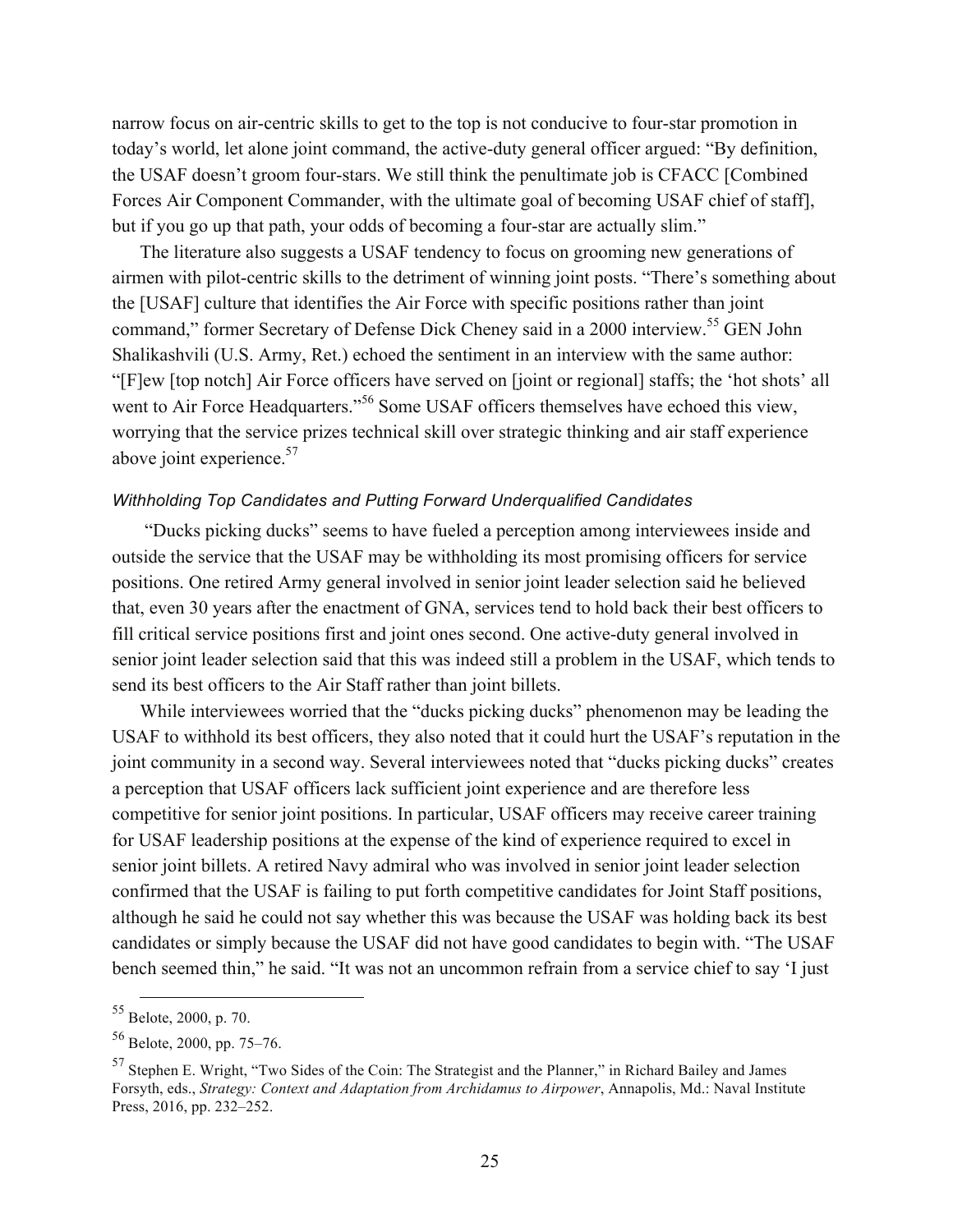narrow focus on air-centric skills to get to the top is not conducive to four-star promotion in today's world, let alone joint command, the active-duty general officer argued: "By definition, the USAF doesn't groom four-stars. We still think the penultimate job is CFACC [Combined Forces Air Component Commander, with the ultimate goal of becoming USAF chief of staff], but if you go up that path, your odds of becoming a four-star are actually slim."

The literature also suggests a USAF tendency to focus on grooming new generations of airmen with pilot-centric skills to the detriment of winning joint posts. "There's something about the [USAF] culture that identifies the Air Force with specific positions rather than joint command," former Secretary of Defense Dick Cheney said in a 2000 interview.<sup>55</sup> GEN John Shalikashvili (U.S. Army, Ret.) echoed the sentiment in an interview with the same author: "[F]ew [top notch] Air Force officers have served on [joint or regional] staffs; the 'hot shots' all went to Air Force Headquarters."<sup>56</sup> Some USAF officers themselves have echoed this view, worrying that the service prizes technical skill over strategic thinking and air staff experience above joint experience.<sup>57</sup>

#### *Withholding Top Candidates and Putting Forward Underqualified Candidates*

 "Ducks picking ducks" seems to have fueled a perception among interviewees inside and outside the service that the USAF may be withholding its most promising officers for service positions. One retired Army general involved in senior joint leader selection said he believed that, even 30 years after the enactment of GNA, services tend to hold back their best officers to fill critical service positions first and joint ones second. One active-duty general involved in senior joint leader selection said that this was indeed still a problem in the USAF, which tends to send its best officers to the Air Staff rather than joint billets.

While interviewees worried that the "ducks picking ducks" phenomenon may be leading the USAF to withhold its best officers, they also noted that it could hurt the USAF's reputation in the joint community in a second way. Several interviewees noted that "ducks picking ducks" creates a perception that USAF officers lack sufficient joint experience and are therefore less competitive for senior joint positions. In particular, USAF officers may receive career training for USAF leadership positions at the expense of the kind of experience required to excel in senior joint billets. A retired Navy admiral who was involved in senior joint leader selection confirmed that the USAF is failing to put forth competitive candidates for Joint Staff positions, although he said he could not say whether this was because the USAF was holding back its best candidates or simply because the USAF did not have good candidates to begin with. "The USAF bench seemed thin," he said. "It was not an uncommon refrain from a service chief to say 'I just

 $55$  Belote, 2000, p. 70.

<sup>56</sup> Belote, 2000, pp. 75–76.

<sup>57</sup> Stephen E. Wright, "Two Sides of the Coin: The Strategist and the Planner," in Richard Bailey and James Forsyth, eds., *Strategy: Context and Adaptation from Archidamus to Airpower*, Annapolis, Md.: Naval Institute Press, 2016, pp. 232–252.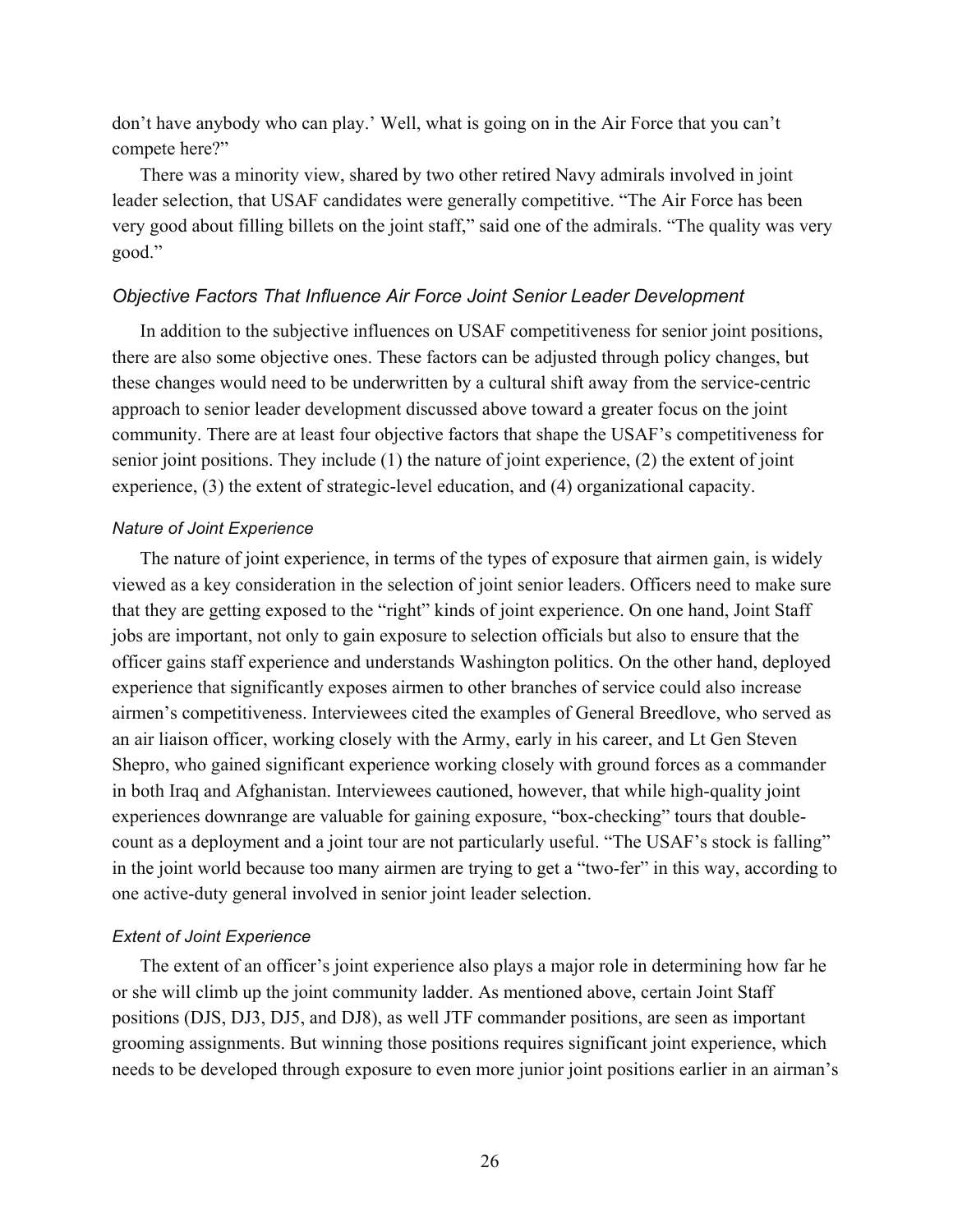don't have anybody who can play.' Well, what is going on in the Air Force that you can't compete here?"

There was a minority view, shared by two other retired Navy admirals involved in joint leader selection, that USAF candidates were generally competitive. "The Air Force has been very good about filling billets on the joint staff," said one of the admirals. "The quality was very good."

#### *Objective Factors That Influence Air Force Joint Senior Leader Development*

In addition to the subjective influences on USAF competitiveness for senior joint positions, there are also some objective ones. These factors can be adjusted through policy changes, but these changes would need to be underwritten by a cultural shift away from the service-centric approach to senior leader development discussed above toward a greater focus on the joint community. There are at least four objective factors that shape the USAF's competitiveness for senior joint positions. They include (1) the nature of joint experience, (2) the extent of joint experience, (3) the extent of strategic-level education, and (4) organizational capacity.

#### *Nature of Joint Experience*

The nature of joint experience, in terms of the types of exposure that airmen gain, is widely viewed as a key consideration in the selection of joint senior leaders. Officers need to make sure that they are getting exposed to the "right" kinds of joint experience. On one hand, Joint Staff jobs are important, not only to gain exposure to selection officials but also to ensure that the officer gains staff experience and understands Washington politics. On the other hand, deployed experience that significantly exposes airmen to other branches of service could also increase airmen's competitiveness. Interviewees cited the examples of General Breedlove, who served as an air liaison officer, working closely with the Army, early in his career, and Lt Gen Steven Shepro, who gained significant experience working closely with ground forces as a commander in both Iraq and Afghanistan. Interviewees cautioned, however, that while high-quality joint experiences downrange are valuable for gaining exposure, "box-checking" tours that doublecount as a deployment and a joint tour are not particularly useful. "The USAF's stock is falling" in the joint world because too many airmen are trying to get a "two-fer" in this way, according to one active-duty general involved in senior joint leader selection.

#### *Extent of Joint Experience*

The extent of an officer's joint experience also plays a major role in determining how far he or she will climb up the joint community ladder. As mentioned above, certain Joint Staff positions (DJS, DJ3, DJ5, and DJ8), as well JTF commander positions, are seen as important grooming assignments. But winning those positions requires significant joint experience, which needs to be developed through exposure to even more junior joint positions earlier in an airman's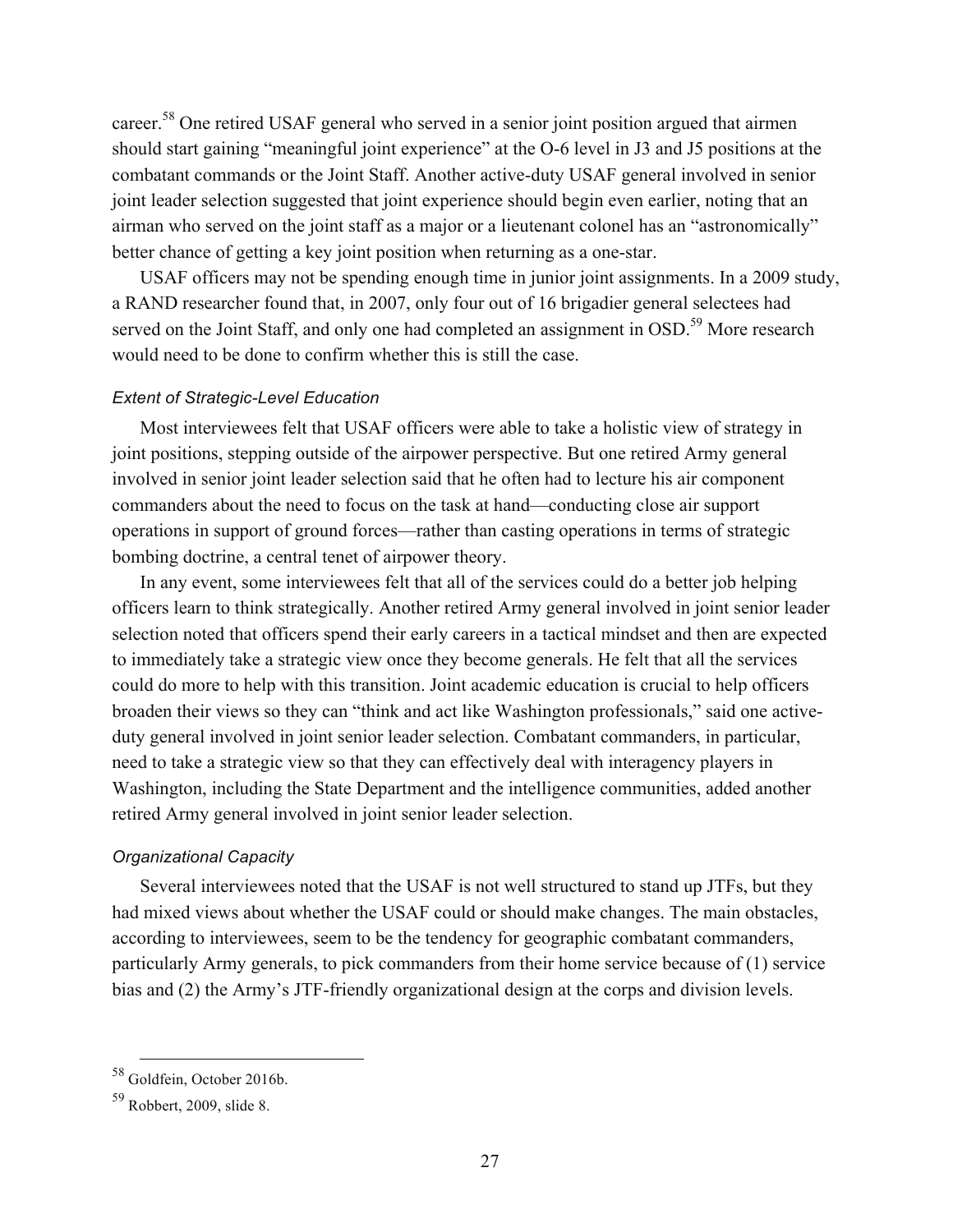career.<sup>58</sup> One retired USAF general who served in a senior joint position argued that airmen should start gaining "meaningful joint experience" at the O-6 level in J3 and J5 positions at the combatant commands or the Joint Staff. Another active-duty USAF general involved in senior joint leader selection suggested that joint experience should begin even earlier, noting that an airman who served on the joint staff as a major or a lieutenant colonel has an "astronomically" better chance of getting a key joint position when returning as a one-star.

USAF officers may not be spending enough time in junior joint assignments. In a 2009 study, a RAND researcher found that, in 2007, only four out of 16 brigadier general selectees had served on the Joint Staff, and only one had completed an assignment in OSD.<sup>59</sup> More research would need to be done to confirm whether this is still the case.

#### *Extent of Strategic-Level Education*

Most interviewees felt that USAF officers were able to take a holistic view of strategy in joint positions, stepping outside of the airpower perspective. But one retired Army general involved in senior joint leader selection said that he often had to lecture his air component commanders about the need to focus on the task at hand—conducting close air support operations in support of ground forces—rather than casting operations in terms of strategic bombing doctrine, a central tenet of airpower theory.

In any event, some interviewees felt that all of the services could do a better job helping officers learn to think strategically. Another retired Army general involved in joint senior leader selection noted that officers spend their early careers in a tactical mindset and then are expected to immediately take a strategic view once they become generals. He felt that all the services could do more to help with this transition. Joint academic education is crucial to help officers broaden their views so they can "think and act like Washington professionals," said one activeduty general involved in joint senior leader selection. Combatant commanders, in particular, need to take a strategic view so that they can effectively deal with interagency players in Washington, including the State Department and the intelligence communities, added another retired Army general involved in joint senior leader selection.

#### *Organizational Capacity*

Several interviewees noted that the USAF is not well structured to stand up JTFs, but they had mixed views about whether the USAF could or should make changes. The main obstacles, according to interviewees, seem to be the tendency for geographic combatant commanders, particularly Army generals, to pick commanders from their home service because of (1) service bias and (2) the Army's JTF-friendly organizational design at the corps and division levels.

 <sup>58</sup> Goldfein, October 2016b.

<sup>59</sup> Robbert, 2009, slide 8.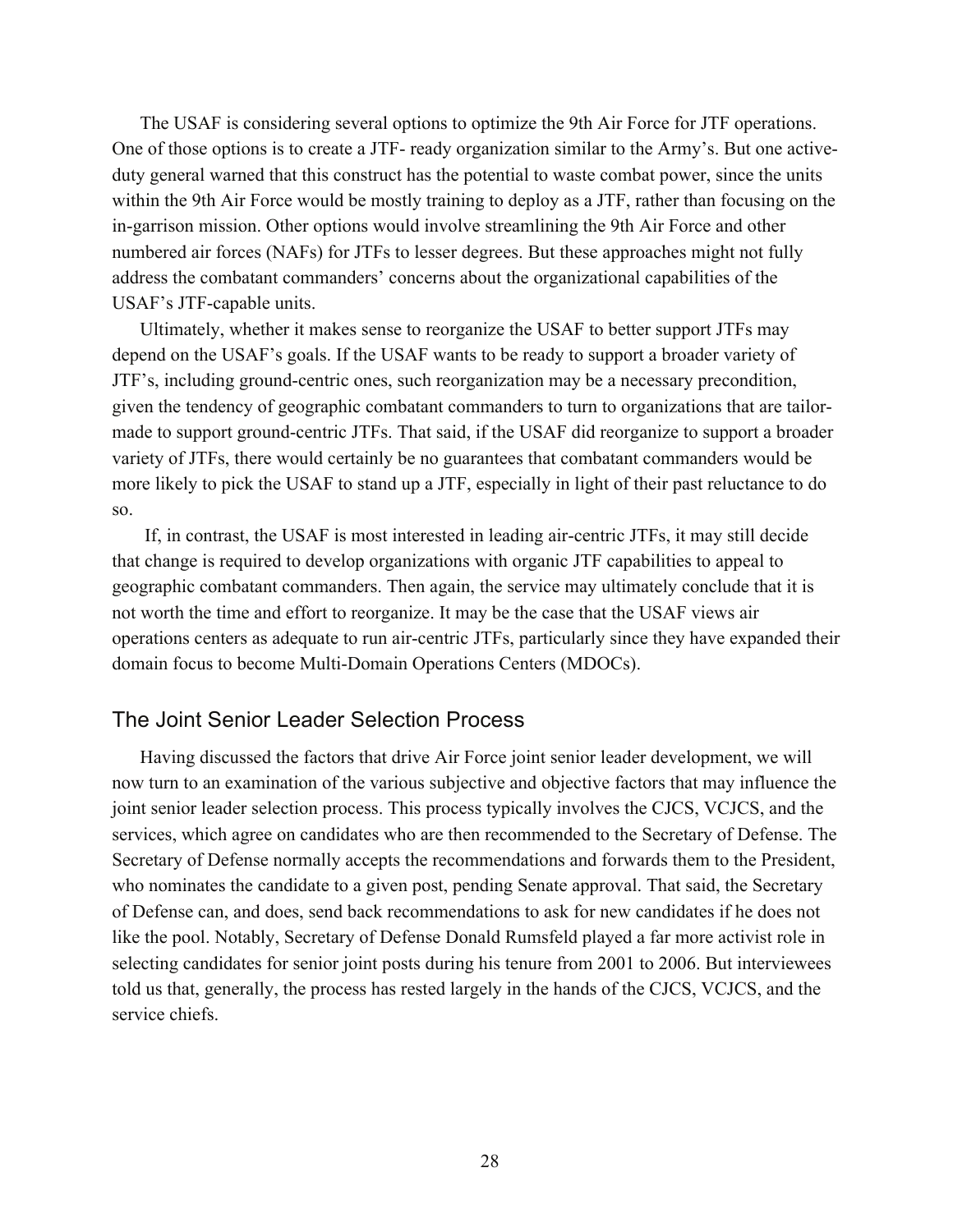The USAF is considering several options to optimize the 9th Air Force for JTF operations. One of those options is to create a JTF- ready organization similar to the Army's. But one activeduty general warned that this construct has the potential to waste combat power, since the units within the 9th Air Force would be mostly training to deploy as a JTF, rather than focusing on the in-garrison mission. Other options would involve streamlining the 9th Air Force and other numbered air forces (NAFs) for JTFs to lesser degrees. But these approaches might not fully address the combatant commanders' concerns about the organizational capabilities of the USAF's JTF-capable units.

Ultimately, whether it makes sense to reorganize the USAF to better support JTFs may depend on the USAF's goals. If the USAF wants to be ready to support a broader variety of JTF's, including ground-centric ones, such reorganization may be a necessary precondition, given the tendency of geographic combatant commanders to turn to organizations that are tailormade to support ground-centric JTFs. That said, if the USAF did reorganize to support a broader variety of JTFs, there would certainly be no guarantees that combatant commanders would be more likely to pick the USAF to stand up a JTF, especially in light of their past reluctance to do so.

 If, in contrast, the USAF is most interested in leading air-centric JTFs, it may still decide that change is required to develop organizations with organic JTF capabilities to appeal to geographic combatant commanders. Then again, the service may ultimately conclude that it is not worth the time and effort to reorganize. It may be the case that the USAF views air operations centers as adequate to run air-centric JTFs, particularly since they have expanded their domain focus to become Multi-Domain Operations Centers (MDOCs).

## The Joint Senior Leader Selection Process

Having discussed the factors that drive Air Force joint senior leader development, we will now turn to an examination of the various subjective and objective factors that may influence the joint senior leader selection process. This process typically involves the CJCS, VCJCS, and the services, which agree on candidates who are then recommended to the Secretary of Defense. The Secretary of Defense normally accepts the recommendations and forwards them to the President, who nominates the candidate to a given post, pending Senate approval. That said, the Secretary of Defense can, and does, send back recommendations to ask for new candidates if he does not like the pool. Notably, Secretary of Defense Donald Rumsfeld played a far more activist role in selecting candidates for senior joint posts during his tenure from 2001 to 2006. But interviewees told us that, generally, the process has rested largely in the hands of the CJCS, VCJCS, and the service chiefs.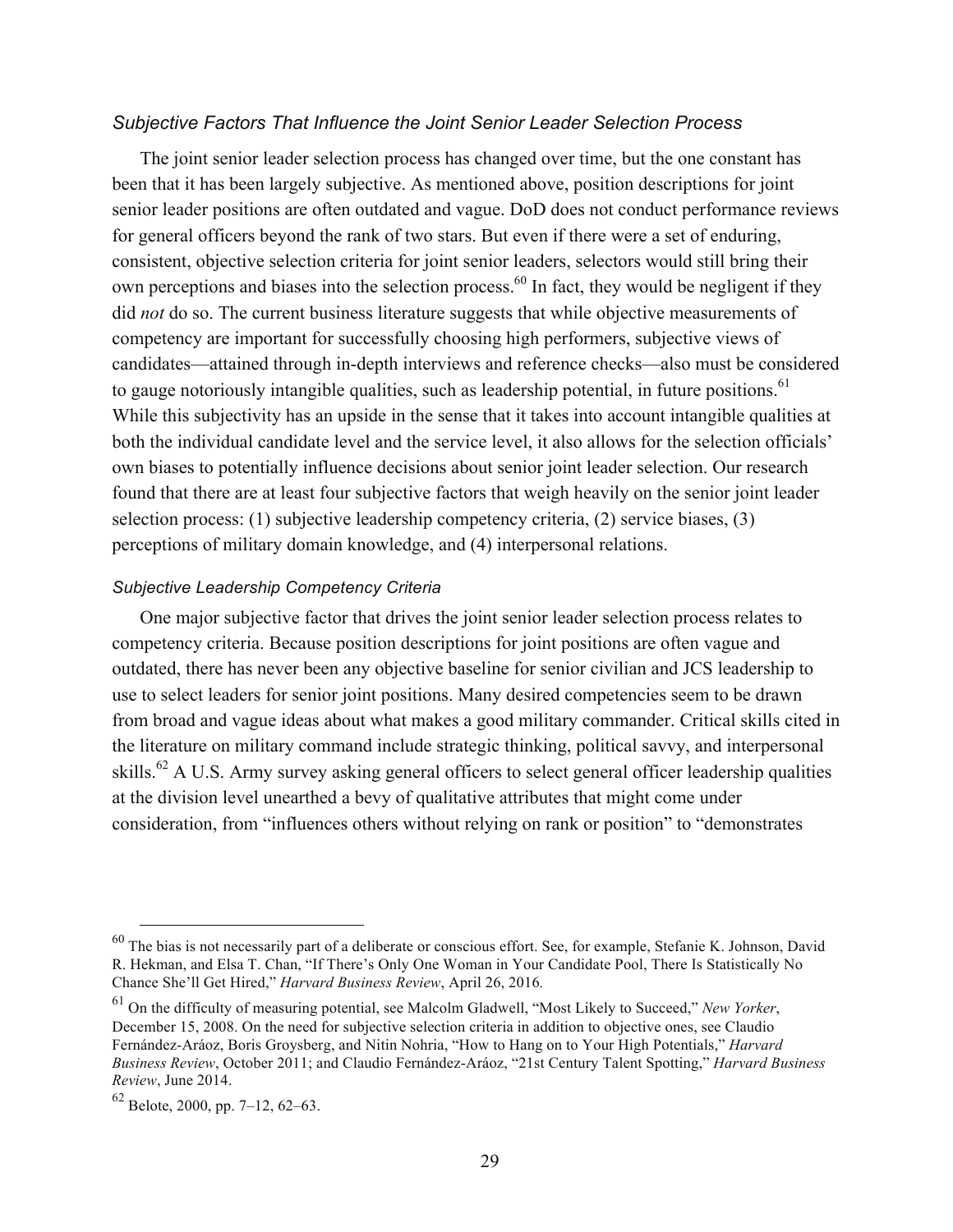#### *Subjective Factors That Influence the Joint Senior Leader Selection Process*

The joint senior leader selection process has changed over time, but the one constant has been that it has been largely subjective. As mentioned above, position descriptions for joint senior leader positions are often outdated and vague. DoD does not conduct performance reviews for general officers beyond the rank of two stars. But even if there were a set of enduring, consistent, objective selection criteria for joint senior leaders, selectors would still bring their own perceptions and biases into the selection process.<sup>60</sup> In fact, they would be negligent if they did *not* do so. The current business literature suggests that while objective measurements of competency are important for successfully choosing high performers, subjective views of candidates—attained through in-depth interviews and reference checks—also must be considered to gauge notoriously intangible qualities, such as leadership potential, in future positions.<sup>61</sup> While this subjectivity has an upside in the sense that it takes into account intangible qualities at both the individual candidate level and the service level, it also allows for the selection officials' own biases to potentially influence decisions about senior joint leader selection. Our research found that there are at least four subjective factors that weigh heavily on the senior joint leader selection process: (1) subjective leadership competency criteria, (2) service biases, (3) perceptions of military domain knowledge, and (4) interpersonal relations.

#### *Subjective Leadership Competency Criteria*

One major subjective factor that drives the joint senior leader selection process relates to competency criteria. Because position descriptions for joint positions are often vague and outdated, there has never been any objective baseline for senior civilian and JCS leadership to use to select leaders for senior joint positions. Many desired competencies seem to be drawn from broad and vague ideas about what makes a good military commander. Critical skills cited in the literature on military command include strategic thinking, political savvy, and interpersonal skills.<sup>62</sup> A U.S. Army survey asking general officers to select general officer leadership qualities at the division level unearthed a bevy of qualitative attributes that might come under consideration, from "influences others without relying on rank or position" to "demonstrates

 $60$  The bias is not necessarily part of a deliberate or conscious effort. See, for example, Stefanie K. Johnson, David R. Hekman, and Elsa T. Chan, "If There's Only One Woman in Your Candidate Pool, There Is Statistically No Chance She'll Get Hired," *Harvard Business Review*, April 26, 2016*.* 

<sup>61</sup> On the difficulty of measuring potential, see Malcolm Gladwell, "Most Likely to Succeed," *New Yorker*, December 15, 2008. On the need for subjective selection criteria in addition to objective ones, see Claudio Fernández-Aráoz, Boris Groysberg, and Nitin Nohria, "How to Hang on to Your High Potentials," *Harvard Business Review*, October 2011; and Claudio Fernández-Aráoz, "21st Century Talent Spotting," *Harvard Business Review*, June 2014.

 $62$  Belote, 2000, pp. 7–12, 62–63.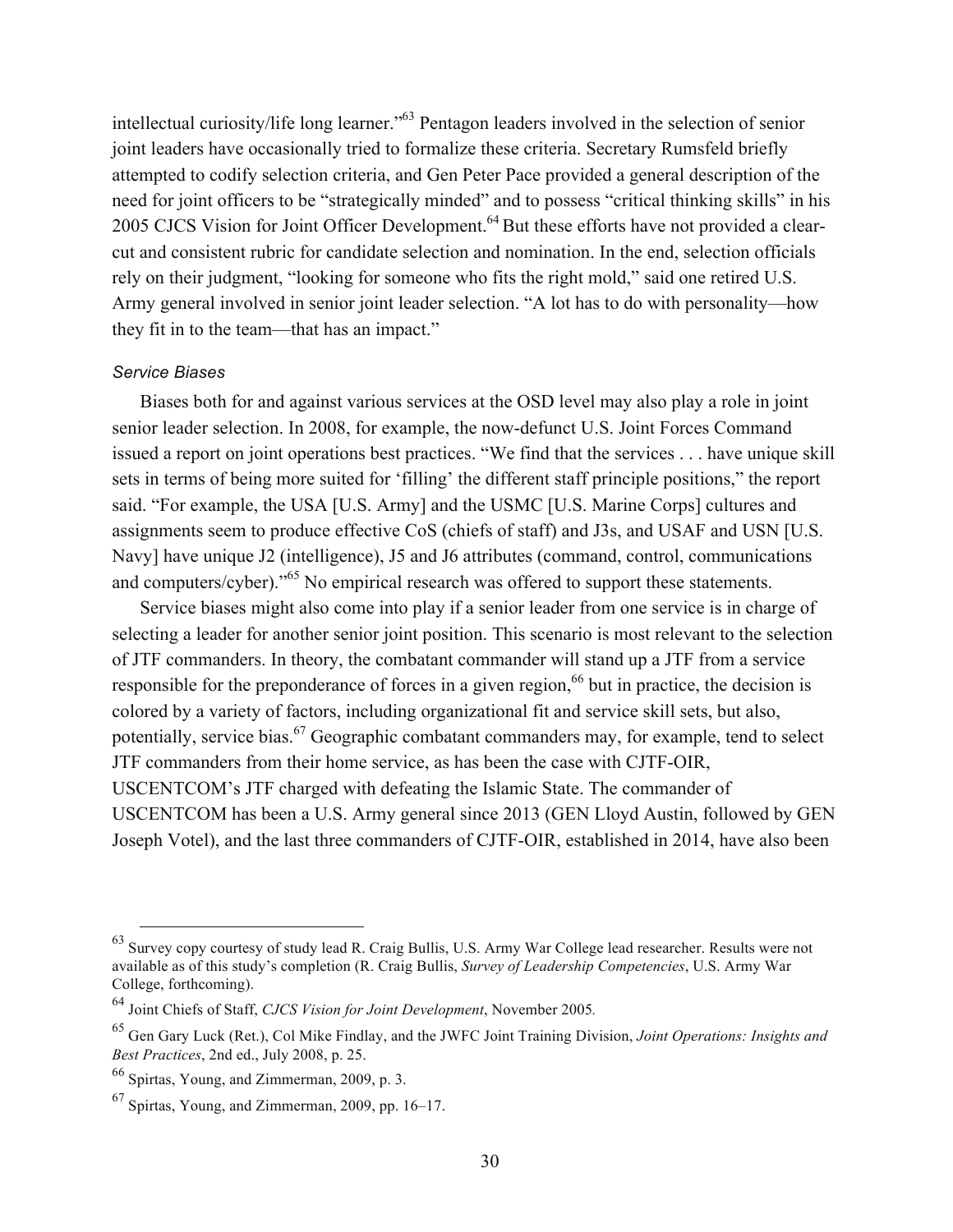intellectual curiosity/life long learner."63 Pentagon leaders involved in the selection of senior joint leaders have occasionally tried to formalize these criteria. Secretary Rumsfeld briefly attempted to codify selection criteria, and Gen Peter Pace provided a general description of the need for joint officers to be "strategically minded" and to possess "critical thinking skills" in his 2005 CJCS Vision for Joint Officer Development.<sup>64</sup> But these efforts have not provided a clearcut and consistent rubric for candidate selection and nomination. In the end, selection officials rely on their judgment, "looking for someone who fits the right mold," said one retired U.S. Army general involved in senior joint leader selection. "A lot has to do with personality—how they fit in to the team—that has an impact."

#### *Service Biases*

Biases both for and against various services at the OSD level may also play a role in joint senior leader selection. In 2008, for example, the now-defunct U.S. Joint Forces Command issued a report on joint operations best practices. "We find that the services . . . have unique skill sets in terms of being more suited for 'filling' the different staff principle positions," the report said. "For example, the USA [U.S. Army] and the USMC [U.S. Marine Corps] cultures and assignments seem to produce effective CoS (chiefs of staff) and J3s, and USAF and USN [U.S. Navy] have unique J2 (intelligence), J5 and J6 attributes (command, control, communications and computers/cyber).<sup>"65</sup> No empirical research was offered to support these statements.

Service biases might also come into play if a senior leader from one service is in charge of selecting a leader for another senior joint position. This scenario is most relevant to the selection of JTF commanders. In theory, the combatant commander will stand up a JTF from a service responsible for the preponderance of forces in a given region,<sup>66</sup> but in practice, the decision is colored by a variety of factors, including organizational fit and service skill sets, but also, potentially, service bias.<sup>67</sup> Geographic combatant commanders may, for example, tend to select JTF commanders from their home service, as has been the case with CJTF-OIR, USCENTCOM's JTF charged with defeating the Islamic State. The commander of USCENTCOM has been a U.S. Army general since 2013 (GEN Lloyd Austin, followed by GEN Joseph Votel), and the last three commanders of CJTF-OIR, established in 2014, have also been

 <sup>63</sup> Survey copy courtesy of study lead R. Craig Bullis, U.S. Army War College lead researcher. Results were not available as of this study's completion (R. Craig Bullis, *Survey of Leadership Competencies*, U.S. Army War College, forthcoming).

<sup>64</sup> Joint Chiefs of Staff, *CJCS Vision for Joint Development*, November 2005*.*

<sup>65</sup> Gen Gary Luck (Ret.), Col Mike Findlay, and the JWFC Joint Training Division, *Joint Operations: Insights and Best Practices*, 2nd ed., July 2008, p. 25.

<sup>66</sup> Spirtas, Young, and Zimmerman, 2009, p. 3.

 $67$  Spirtas, Young, and Zimmerman, 2009, pp. 16–17.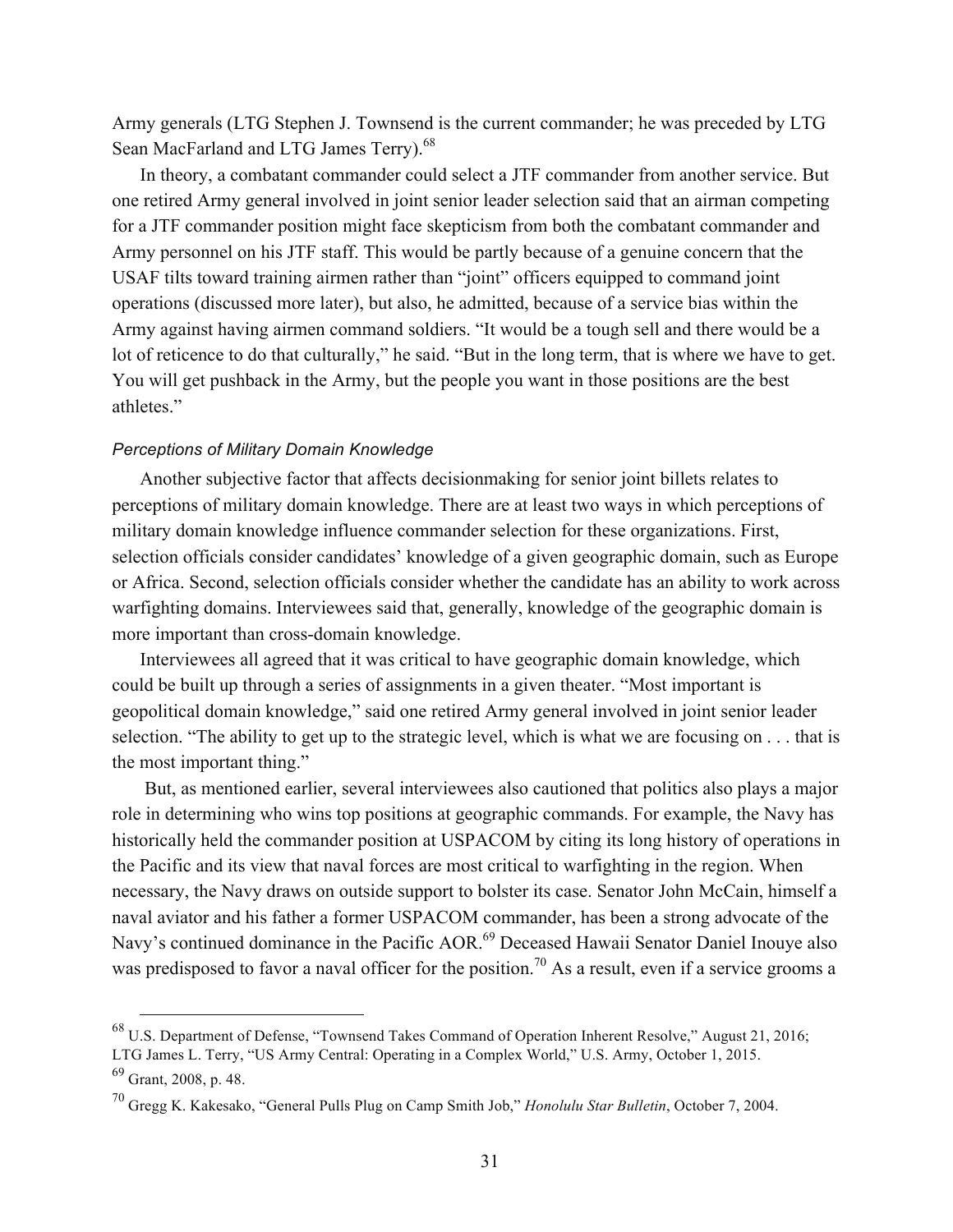Army generals (LTG Stephen J. Townsend is the current commander; he was preceded by LTG Sean MacFarland and LTG James Terry).<sup>68</sup>

In theory, a combatant commander could select a JTF commander from another service. But one retired Army general involved in joint senior leader selection said that an airman competing for a JTF commander position might face skepticism from both the combatant commander and Army personnel on his JTF staff. This would be partly because of a genuine concern that the USAF tilts toward training airmen rather than "joint" officers equipped to command joint operations (discussed more later), but also, he admitted, because of a service bias within the Army against having airmen command soldiers. "It would be a tough sell and there would be a lot of reticence to do that culturally," he said. "But in the long term, that is where we have to get. You will get pushback in the Army, but the people you want in those positions are the best athletes."

#### *Perceptions of Military Domain Knowledge*

Another subjective factor that affects decisionmaking for senior joint billets relates to perceptions of military domain knowledge. There are at least two ways in which perceptions of military domain knowledge influence commander selection for these organizations. First, selection officials consider candidates' knowledge of a given geographic domain, such as Europe or Africa. Second, selection officials consider whether the candidate has an ability to work across warfighting domains. Interviewees said that, generally, knowledge of the geographic domain is more important than cross-domain knowledge.

Interviewees all agreed that it was critical to have geographic domain knowledge, which could be built up through a series of assignments in a given theater. "Most important is geopolitical domain knowledge," said one retired Army general involved in joint senior leader selection. "The ability to get up to the strategic level, which is what we are focusing on . . . that is the most important thing."

 But, as mentioned earlier, several interviewees also cautioned that politics also plays a major role in determining who wins top positions at geographic commands. For example, the Navy has historically held the commander position at USPACOM by citing its long history of operations in the Pacific and its view that naval forces are most critical to warfighting in the region. When necessary, the Navy draws on outside support to bolster its case. Senator John McCain, himself a naval aviator and his father a former USPACOM commander, has been a strong advocate of the Navy's continued dominance in the Pacific AOR.<sup>69</sup> Deceased Hawaii Senator Daniel Inouve also was predisposed to favor a naval officer for the position.<sup>70</sup> As a result, even if a service grooms a

 <sup>68</sup> U.S. Department of Defense, "Townsend Takes Command of Operation Inherent Resolve," August 21, 2016; LTG James L. Terry, "US Army Central: Operating in a Complex World," U.S. Army, October 1, 2015. <sup>69</sup> Grant, 2008, p. 48.

<sup>70</sup> Gregg K. Kakesako, "General Pulls Plug on Camp Smith Job," *Honolulu Star Bulletin*, October 7, 2004.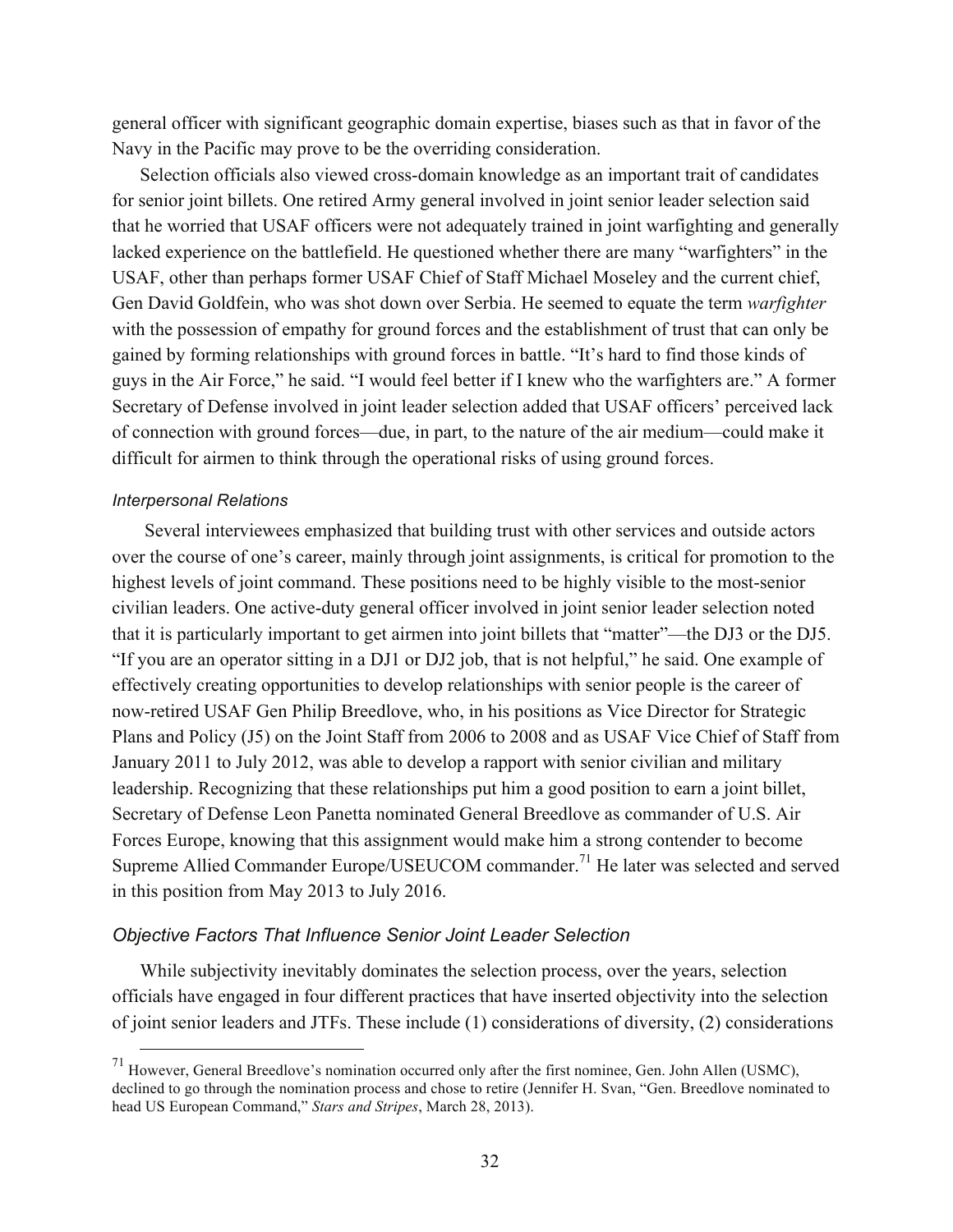general officer with significant geographic domain expertise, biases such as that in favor of the Navy in the Pacific may prove to be the overriding consideration.

Selection officials also viewed cross-domain knowledge as an important trait of candidates for senior joint billets. One retired Army general involved in joint senior leader selection said that he worried that USAF officers were not adequately trained in joint warfighting and generally lacked experience on the battlefield. He questioned whether there are many "warfighters" in the USAF, other than perhaps former USAF Chief of Staff Michael Moseley and the current chief, Gen David Goldfein, who was shot down over Serbia. He seemed to equate the term *warfighter* with the possession of empathy for ground forces and the establishment of trust that can only be gained by forming relationships with ground forces in battle. "It's hard to find those kinds of guys in the Air Force," he said. "I would feel better if I knew who the warfighters are." A former Secretary of Defense involved in joint leader selection added that USAF officers' perceived lack of connection with ground forces—due, in part, to the nature of the air medium—could make it difficult for airmen to think through the operational risks of using ground forces.

#### *Interpersonal Relations*

 Several interviewees emphasized that building trust with other services and outside actors over the course of one's career, mainly through joint assignments, is critical for promotion to the highest levels of joint command. These positions need to be highly visible to the most-senior civilian leaders. One active-duty general officer involved in joint senior leader selection noted that it is particularly important to get airmen into joint billets that "matter"—the DJ3 or the DJ5. "If you are an operator sitting in a DJ1 or DJ2 job, that is not helpful," he said. One example of effectively creating opportunities to develop relationships with senior people is the career of now-retired USAF Gen Philip Breedlove, who, in his positions as Vice Director for Strategic Plans and Policy (J5) on the Joint Staff from 2006 to 2008 and as USAF Vice Chief of Staff from January 2011 to July 2012, was able to develop a rapport with senior civilian and military leadership. Recognizing that these relationships put him a good position to earn a joint billet, Secretary of Defense Leon Panetta nominated General Breedlove as commander of U.S. Air Forces Europe, knowing that this assignment would make him a strong contender to become Supreme Allied Commander Europe/USEUCOM commander.<sup>71</sup> He later was selected and served in this position from May 2013 to July 2016.

#### *Objective Factors That Influence Senior Joint Leader Selection*

While subjectivity inevitably dominates the selection process, over the years, selection officials have engaged in four different practices that have inserted objectivity into the selection of joint senior leaders and JTFs. These include (1) considerations of diversity, (2) considerations

 $^{71}$  However, General Breedlove's nomination occurred only after the first nominee, Gen. John Allen (USMC), declined to go through the nomination process and chose to retire (Jennifer H. Svan, "Gen. Breedlove nominated to head US European Command," *Stars and Stripes*, March 28, 2013).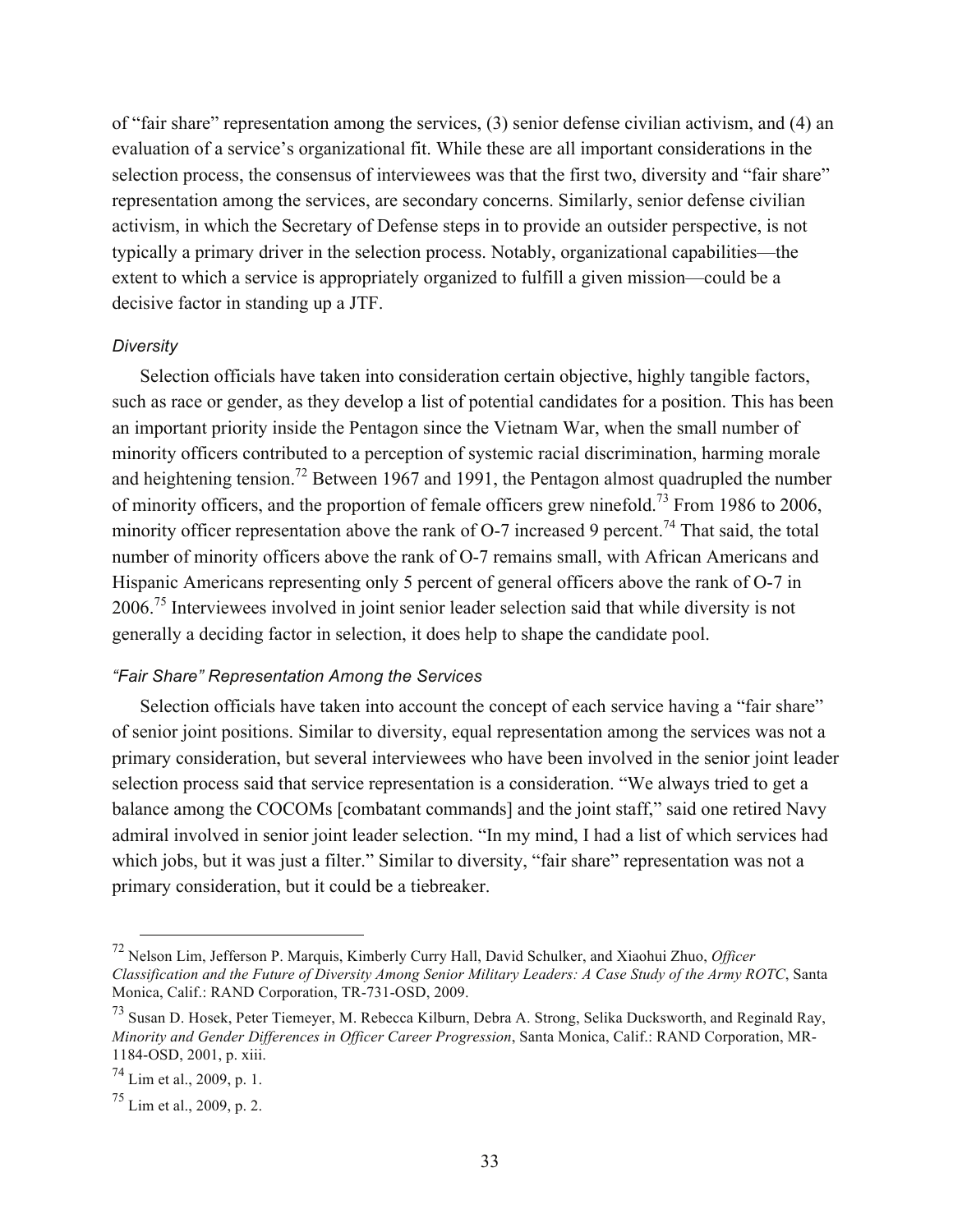of "fair share" representation among the services, (3) senior defense civilian activism, and (4) an evaluation of a service's organizational fit. While these are all important considerations in the selection process, the consensus of interviewees was that the first two, diversity and "fair share" representation among the services, are secondary concerns. Similarly, senior defense civilian activism, in which the Secretary of Defense steps in to provide an outsider perspective, is not typically a primary driver in the selection process. Notably, organizational capabilities—the extent to which a service is appropriately organized to fulfill a given mission—could be a decisive factor in standing up a JTF.

#### *Diversity*

Selection officials have taken into consideration certain objective, highly tangible factors, such as race or gender, as they develop a list of potential candidates for a position. This has been an important priority inside the Pentagon since the Vietnam War, when the small number of minority officers contributed to a perception of systemic racial discrimination, harming morale and heightening tension.<sup>72</sup> Between 1967 and 1991, the Pentagon almost quadrupled the number of minority officers, and the proportion of female officers grew ninefold.<sup>73</sup> From 1986 to 2006, minority officer representation above the rank of O-7 increased 9 percent.<sup>74</sup> That said, the total number of minority officers above the rank of O-7 remains small, with African Americans and Hispanic Americans representing only 5 percent of general officers above the rank of O-7 in 2006.75 Interviewees involved in joint senior leader selection said that while diversity is not generally a deciding factor in selection, it does help to shape the candidate pool.

#### *"Fair Share" Representation Among the Services*

Selection officials have taken into account the concept of each service having a "fair share" of senior joint positions. Similar to diversity, equal representation among the services was not a primary consideration, but several interviewees who have been involved in the senior joint leader selection process said that service representation is a consideration. "We always tried to get a balance among the COCOMs [combatant commands] and the joint staff," said one retired Navy admiral involved in senior joint leader selection. "In my mind, I had a list of which services had which jobs, but it was just a filter." Similar to diversity, "fair share" representation was not a primary consideration, but it could be a tiebreaker.

 <sup>72</sup> Nelson Lim, Jefferson P. Marquis, Kimberly Curry Hall, David Schulker, and Xiaohui Zhuo, *Officer Classification and the Future of Diversity Among Senior Military Leaders: A Case Study of the Army ROTC*, Santa Monica, Calif.: RAND Corporation, TR-731-OSD, 2009.

<sup>&</sup>lt;sup>73</sup> Susan D. Hosek, Peter Tiemeyer, M. Rebecca Kilburn, Debra A. Strong, Selika Ducksworth, and Reginald Ray, *Minority and Gender Differences in Officer Career Progression*, Santa Monica, Calif.: RAND Corporation, MR-1184-OSD, 2001, p. xiii.

<sup>74</sup> Lim et al., 2009, p. 1.

 $^{75}$  Lim et al., 2009, p. 2.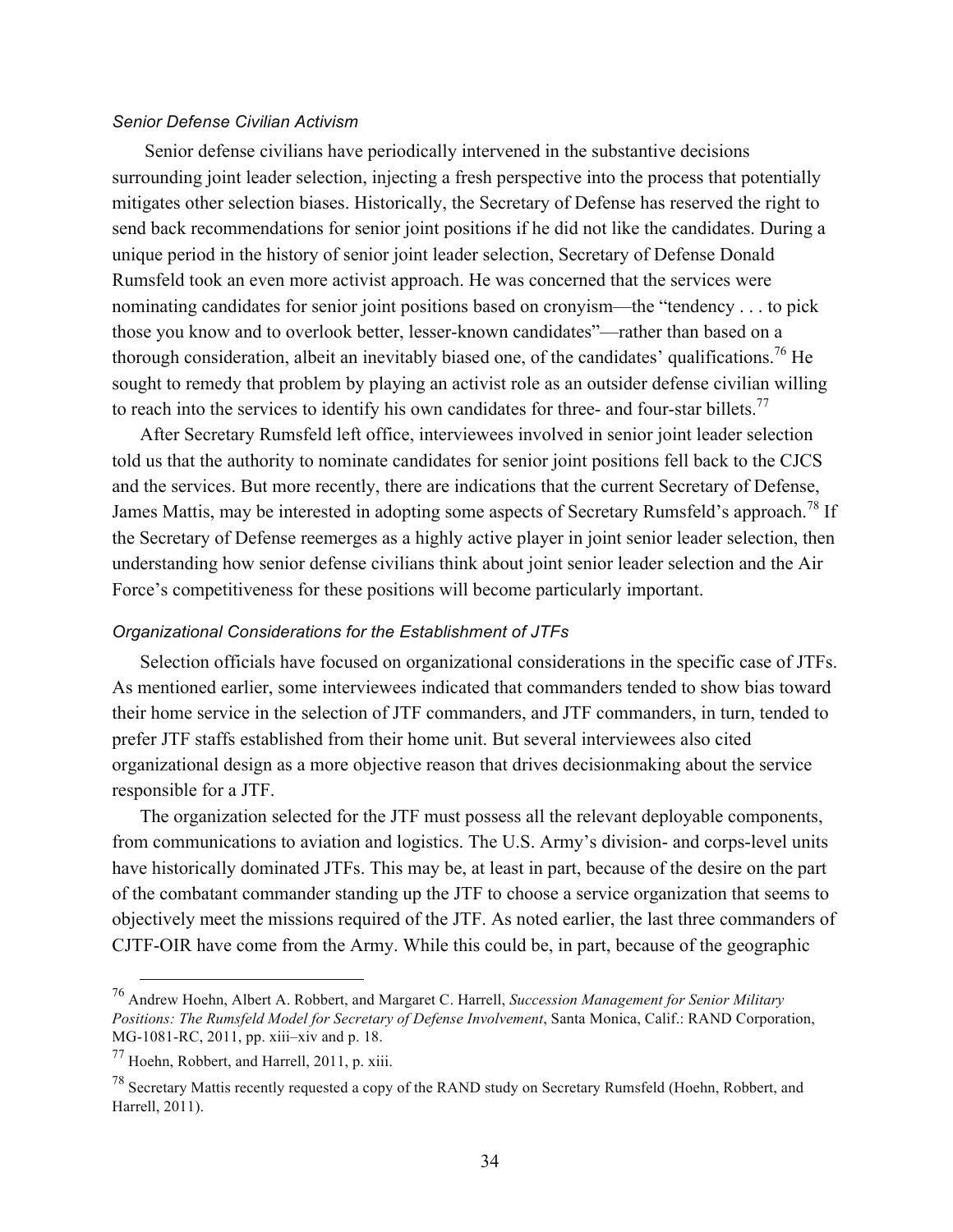#### *Senior Defense Civilian Activism*

 Senior defense civilians have periodically intervened in the substantive decisions surrounding joint leader selection, injecting a fresh perspective into the process that potentially mitigates other selection biases. Historically, the Secretary of Defense has reserved the right to send back recommendations for senior joint positions if he did not like the candidates. During a unique period in the history of senior joint leader selection, Secretary of Defense Donald Rumsfeld took an even more activist approach. He was concerned that the services were nominating candidates for senior joint positions based on cronyism—the "tendency . . . to pick those you know and to overlook better, lesser-known candidates"—rather than based on a thorough consideration, albeit an inevitably biased one, of the candidates' qualifications.<sup>76</sup> He sought to remedy that problem by playing an activist role as an outsider defense civilian willing to reach into the services to identify his own candidates for three- and four-star billets.<sup>77</sup>

After Secretary Rumsfeld left office, interviewees involved in senior joint leader selection told us that the authority to nominate candidates for senior joint positions fell back to the CJCS and the services. But more recently, there are indications that the current Secretary of Defense, James Mattis, may be interested in adopting some aspects of Secretary Rumsfeld's approach.<sup>78</sup> If the Secretary of Defense reemerges as a highly active player in joint senior leader selection, then understanding how senior defense civilians think about joint senior leader selection and the Air Force's competitiveness for these positions will become particularly important.

#### *Organizational Considerations for the Establishment of JTFs*

Selection officials have focused on organizational considerations in the specific case of JTFs. As mentioned earlier, some interviewees indicated that commanders tended to show bias toward their home service in the selection of JTF commanders, and JTF commanders, in turn, tended to prefer JTF staffs established from their home unit. But several interviewees also cited organizational design as a more objective reason that drives decisionmaking about the service responsible for a JTF.

The organization selected for the JTF must possess all the relevant deployable components, from communications to aviation and logistics. The U.S. Army's division- and corps-level units have historically dominated JTFs. This may be, at least in part, because of the desire on the part of the combatant commander standing up the JTF to choose a service organization that seems to objectively meet the missions required of the JTF. As noted earlier, the last three commanders of CJTF-OIR have come from the Army. While this could be, in part, because of the geographic

 <sup>76</sup> Andrew Hoehn, Albert A. Robbert, and Margaret C. Harrell, *Succession Management for Senior Military Positions: The Rumsfeld Model for Secretary of Defense Involvement*, Santa Monica, Calif.: RAND Corporation, MG-1081-RC, 2011, pp. xiii–xiv and p. 18.

<sup>77</sup> Hoehn, Robbert, and Harrell, 2011, p. xiii.

<sup>&</sup>lt;sup>78</sup> Secretary Mattis recently requested a copy of the RAND study on Secretary Rumsfeld (Hoehn, Robbert, and Harrell, 2011).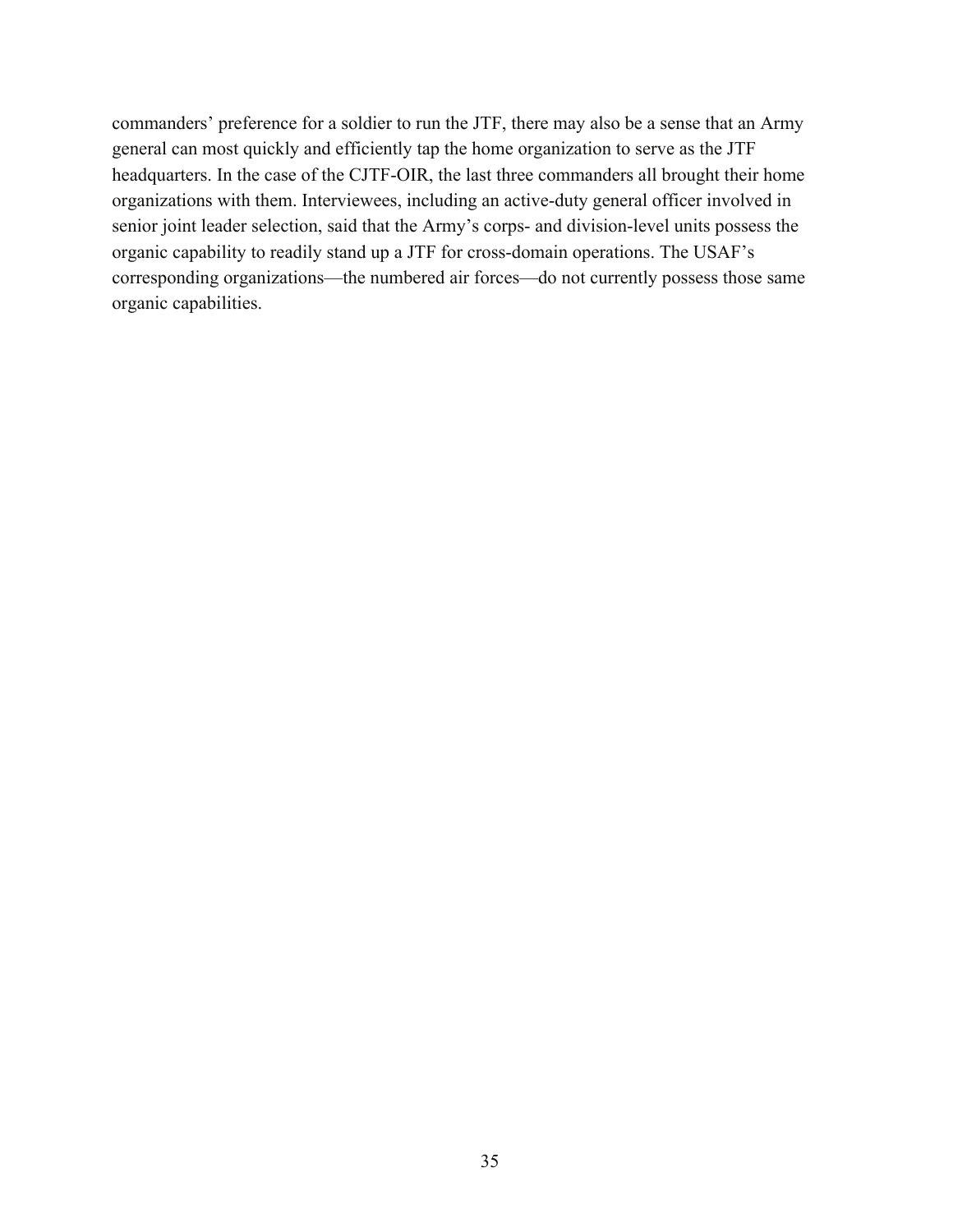commanders' preference for a soldier to run the JTF, there may also be a sense that an Army general can most quickly and efficiently tap the home organization to serve as the JTF headquarters. In the case of the CJTF-OIR, the last three commanders all brought their home organizations with them. Interviewees, including an active-duty general officer involved in senior joint leader selection, said that the Army's corps- and division-level units possess the organic capability to readily stand up a JTF for cross-domain operations. The USAF's corresponding organizations—the numbered air forces—do not currently possess those same organic capabilities.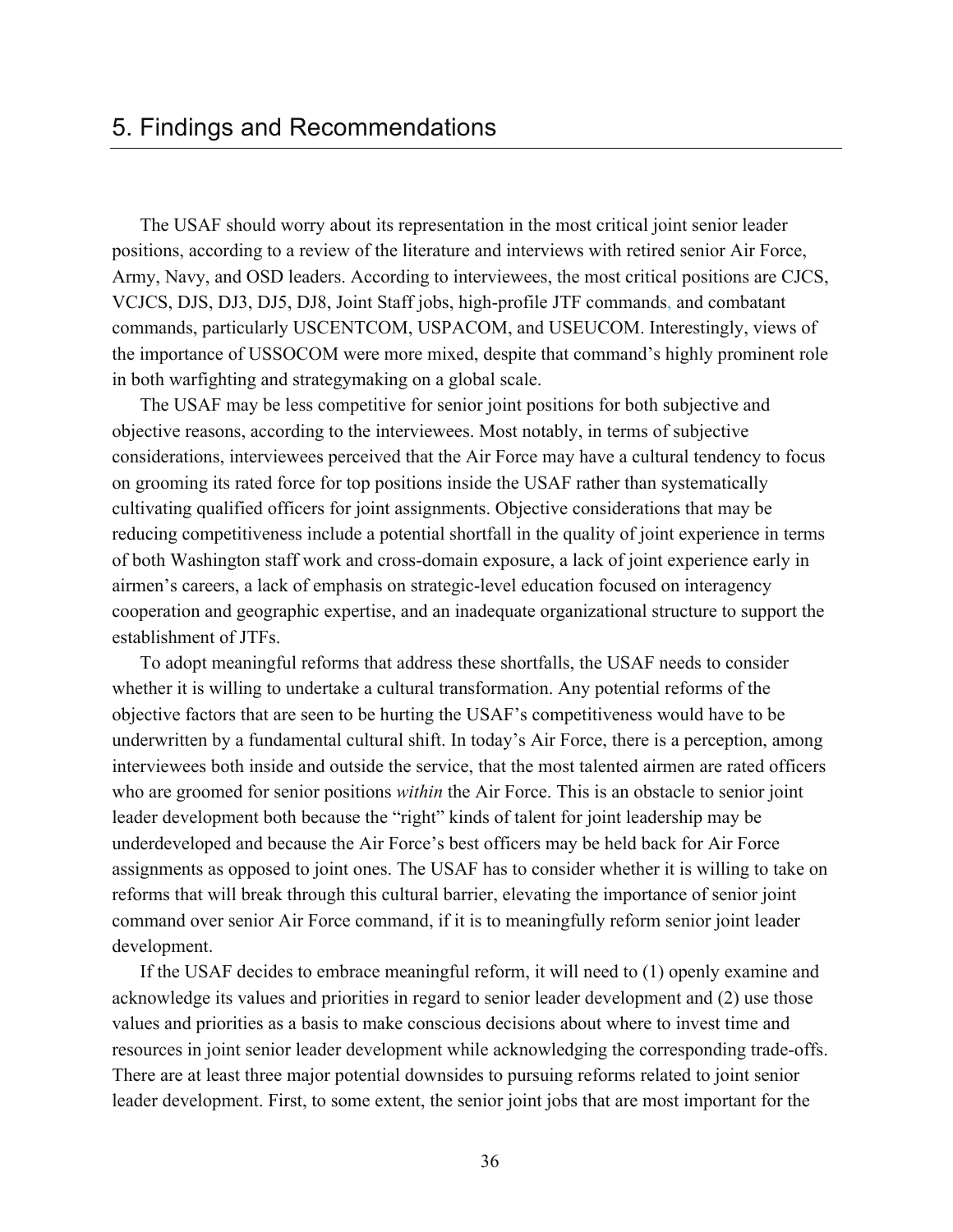The USAF should worry about its representation in the most critical joint senior leader positions, according to a review of the literature and interviews with retired senior Air Force, Army, Navy, and OSD leaders. According to interviewees, the most critical positions are CJCS, VCJCS, DJS, DJ3, DJ5, DJ8, Joint Staff jobs, high-profile JTF commands, and combatant commands, particularly USCENTCOM, USPACOM, and USEUCOM. Interestingly, views of the importance of USSOCOM were more mixed, despite that command's highly prominent role in both warfighting and strategymaking on a global scale.

The USAF may be less competitive for senior joint positions for both subjective and objective reasons, according to the interviewees. Most notably, in terms of subjective considerations, interviewees perceived that the Air Force may have a cultural tendency to focus on grooming its rated force for top positions inside the USAF rather than systematically cultivating qualified officers for joint assignments. Objective considerations that may be reducing competitiveness include a potential shortfall in the quality of joint experience in terms of both Washington staff work and cross-domain exposure, a lack of joint experience early in airmen's careers, a lack of emphasis on strategic-level education focused on interagency cooperation and geographic expertise, and an inadequate organizational structure to support the establishment of JTFs.

To adopt meaningful reforms that address these shortfalls, the USAF needs to consider whether it is willing to undertake a cultural transformation. Any potential reforms of the objective factors that are seen to be hurting the USAF's competitiveness would have to be underwritten by a fundamental cultural shift. In today's Air Force, there is a perception, among interviewees both inside and outside the service, that the most talented airmen are rated officers who are groomed for senior positions *within* the Air Force. This is an obstacle to senior joint leader development both because the "right" kinds of talent for joint leadership may be underdeveloped and because the Air Force's best officers may be held back for Air Force assignments as opposed to joint ones. The USAF has to consider whether it is willing to take on reforms that will break through this cultural barrier, elevating the importance of senior joint command over senior Air Force command, if it is to meaningfully reform senior joint leader development.

If the USAF decides to embrace meaningful reform, it will need to (1) openly examine and acknowledge its values and priorities in regard to senior leader development and (2) use those values and priorities as a basis to make conscious decisions about where to invest time and resources in joint senior leader development while acknowledging the corresponding trade-offs. There are at least three major potential downsides to pursuing reforms related to joint senior leader development. First, to some extent, the senior joint jobs that are most important for the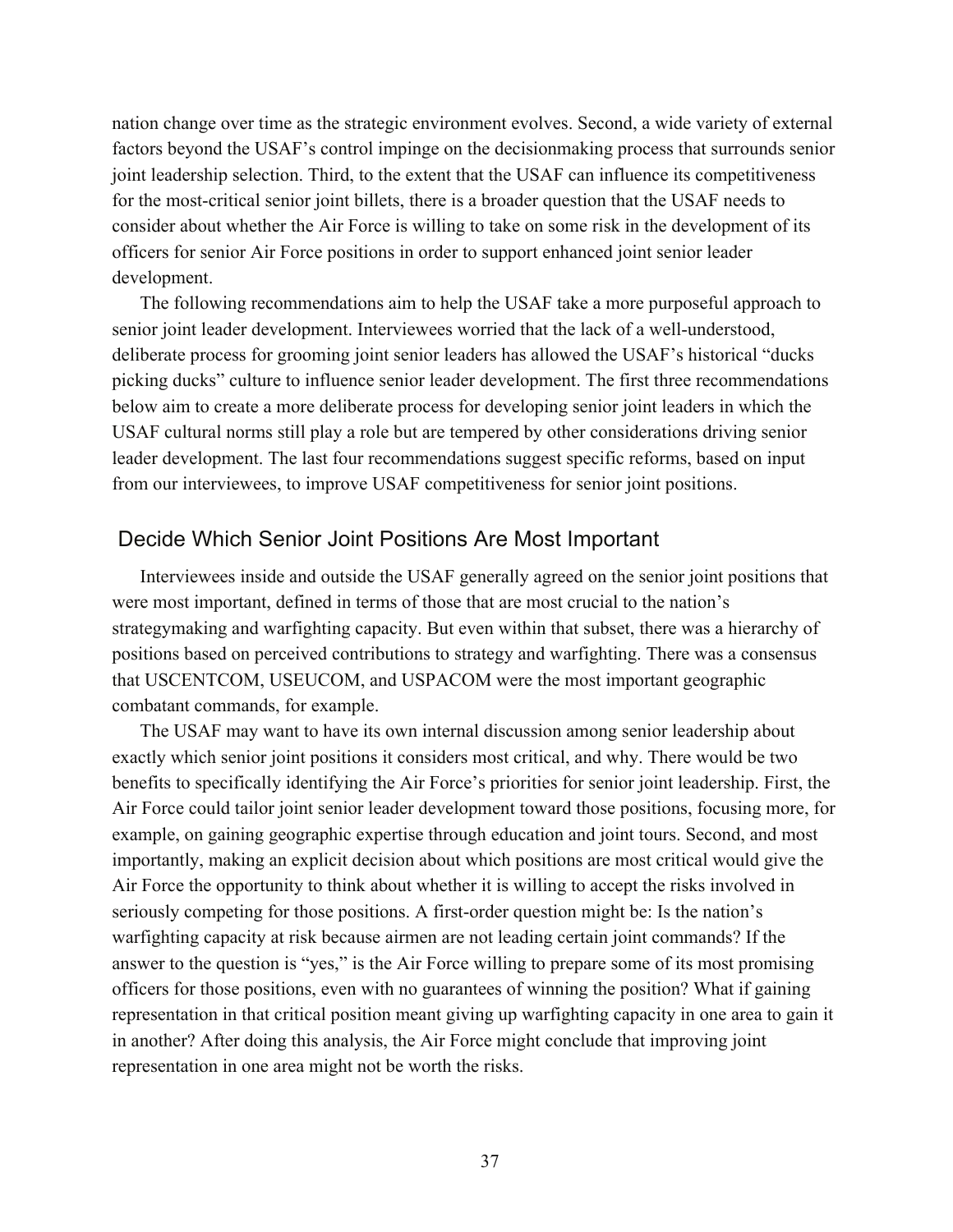nation change over time as the strategic environment evolves. Second, a wide variety of external factors beyond the USAF's control impinge on the decisionmaking process that surrounds senior joint leadership selection. Third, to the extent that the USAF can influence its competitiveness for the most-critical senior joint billets, there is a broader question that the USAF needs to consider about whether the Air Force is willing to take on some risk in the development of its officers for senior Air Force positions in order to support enhanced joint senior leader development.

The following recommendations aim to help the USAF take a more purposeful approach to senior joint leader development. Interviewees worried that the lack of a well-understood, deliberate process for grooming joint senior leaders has allowed the USAF's historical "ducks picking ducks" culture to influence senior leader development. The first three recommendations below aim to create a more deliberate process for developing senior joint leaders in which the USAF cultural norms still play a role but are tempered by other considerations driving senior leader development. The last four recommendations suggest specific reforms, based on input from our interviewees, to improve USAF competitiveness for senior joint positions.

## Decide Which Senior Joint Positions Are Most Important

Interviewees inside and outside the USAF generally agreed on the senior joint positions that were most important, defined in terms of those that are most crucial to the nation's strategymaking and warfighting capacity. But even within that subset, there was a hierarchy of positions based on perceived contributions to strategy and warfighting. There was a consensus that USCENTCOM, USEUCOM, and USPACOM were the most important geographic combatant commands, for example.

The USAF may want to have its own internal discussion among senior leadership about exactly which senior joint positions it considers most critical, and why. There would be two benefits to specifically identifying the Air Force's priorities for senior joint leadership. First, the Air Force could tailor joint senior leader development toward those positions, focusing more, for example, on gaining geographic expertise through education and joint tours. Second, and most importantly, making an explicit decision about which positions are most critical would give the Air Force the opportunity to think about whether it is willing to accept the risks involved in seriously competing for those positions. A first-order question might be: Is the nation's warfighting capacity at risk because airmen are not leading certain joint commands? If the answer to the question is "yes," is the Air Force willing to prepare some of its most promising officers for those positions, even with no guarantees of winning the position? What if gaining representation in that critical position meant giving up warfighting capacity in one area to gain it in another? After doing this analysis, the Air Force might conclude that improving joint representation in one area might not be worth the risks.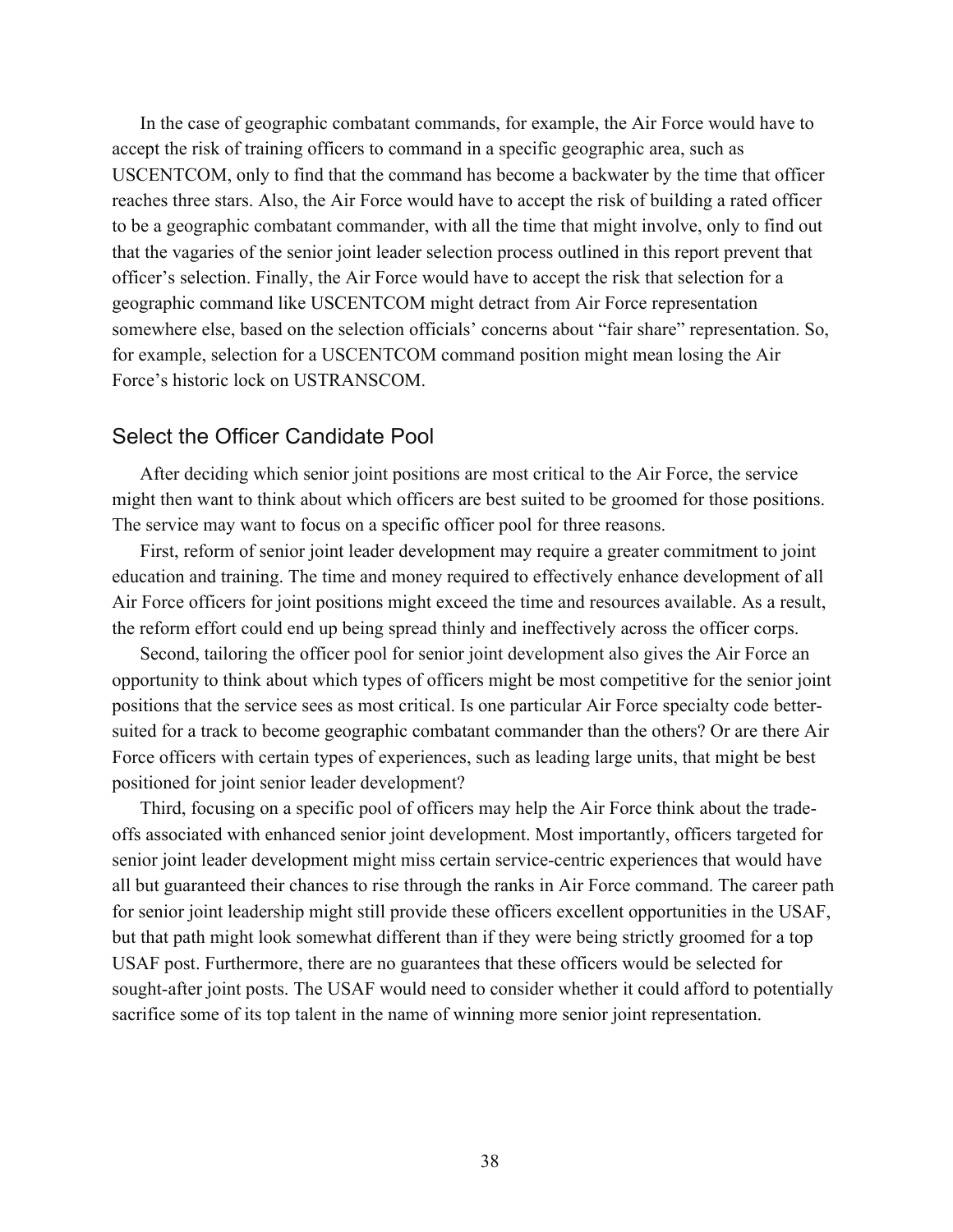In the case of geographic combatant commands, for example, the Air Force would have to accept the risk of training officers to command in a specific geographic area, such as USCENTCOM, only to find that the command has become a backwater by the time that officer reaches three stars. Also, the Air Force would have to accept the risk of building a rated officer to be a geographic combatant commander, with all the time that might involve, only to find out that the vagaries of the senior joint leader selection process outlined in this report prevent that officer's selection. Finally, the Air Force would have to accept the risk that selection for a geographic command like USCENTCOM might detract from Air Force representation somewhere else, based on the selection officials' concerns about "fair share" representation. So, for example, selection for a USCENTCOM command position might mean losing the Air Force's historic lock on USTRANSCOM.

## Select the Officer Candidate Pool

After deciding which senior joint positions are most critical to the Air Force, the service might then want to think about which officers are best suited to be groomed for those positions. The service may want to focus on a specific officer pool for three reasons.

First, reform of senior joint leader development may require a greater commitment to joint education and training. The time and money required to effectively enhance development of all Air Force officers for joint positions might exceed the time and resources available. As a result, the reform effort could end up being spread thinly and ineffectively across the officer corps.

Second, tailoring the officer pool for senior joint development also gives the Air Force an opportunity to think about which types of officers might be most competitive for the senior joint positions that the service sees as most critical. Is one particular Air Force specialty code bettersuited for a track to become geographic combatant commander than the others? Or are there Air Force officers with certain types of experiences, such as leading large units, that might be best positioned for joint senior leader development?

Third, focusing on a specific pool of officers may help the Air Force think about the tradeoffs associated with enhanced senior joint development. Most importantly, officers targeted for senior joint leader development might miss certain service-centric experiences that would have all but guaranteed their chances to rise through the ranks in Air Force command. The career path for senior joint leadership might still provide these officers excellent opportunities in the USAF, but that path might look somewhat different than if they were being strictly groomed for a top USAF post. Furthermore, there are no guarantees that these officers would be selected for sought-after joint posts. The USAF would need to consider whether it could afford to potentially sacrifice some of its top talent in the name of winning more senior joint representation.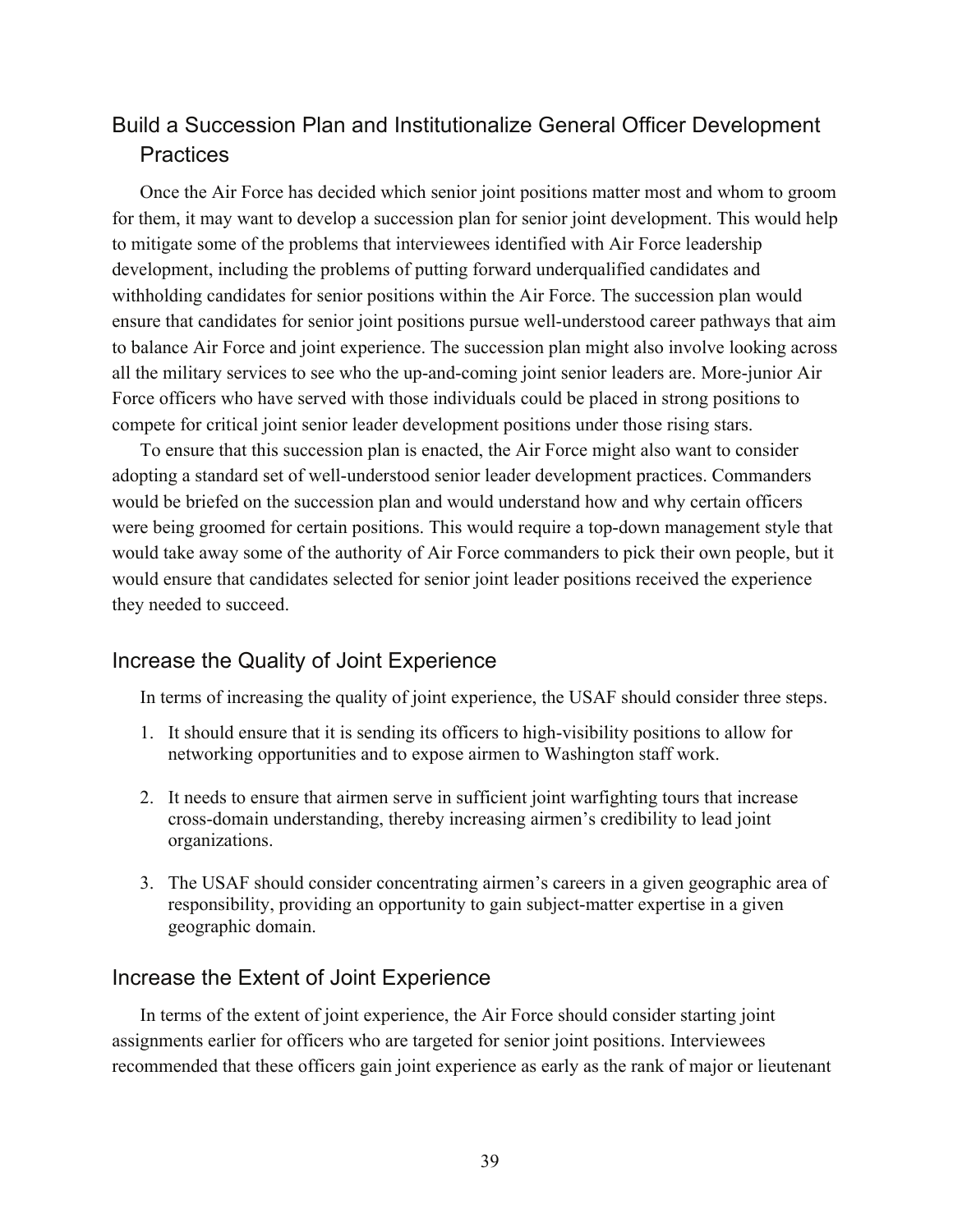# Build a Succession Plan and Institutionalize General Officer Development **Practices**

Once the Air Force has decided which senior joint positions matter most and whom to groom for them, it may want to develop a succession plan for senior joint development. This would help to mitigate some of the problems that interviewees identified with Air Force leadership development, including the problems of putting forward underqualified candidates and withholding candidates for senior positions within the Air Force. The succession plan would ensure that candidates for senior joint positions pursue well-understood career pathways that aim to balance Air Force and joint experience. The succession plan might also involve looking across all the military services to see who the up-and-coming joint senior leaders are. More-junior Air Force officers who have served with those individuals could be placed in strong positions to compete for critical joint senior leader development positions under those rising stars.

To ensure that this succession plan is enacted, the Air Force might also want to consider adopting a standard set of well-understood senior leader development practices. Commanders would be briefed on the succession plan and would understand how and why certain officers were being groomed for certain positions. This would require a top-down management style that would take away some of the authority of Air Force commanders to pick their own people, but it would ensure that candidates selected for senior joint leader positions received the experience they needed to succeed.

# Increase the Quality of Joint Experience

In terms of increasing the quality of joint experience, the USAF should consider three steps.

- 1. It should ensure that it is sending its officers to high-visibility positions to allow for networking opportunities and to expose airmen to Washington staff work.
- 2. It needs to ensure that airmen serve in sufficient joint warfighting tours that increase cross-domain understanding, thereby increasing airmen's credibility to lead joint organizations.
- 3. The USAF should consider concentrating airmen's careers in a given geographic area of responsibility, providing an opportunity to gain subject-matter expertise in a given geographic domain.

# Increase the Extent of Joint Experience

In terms of the extent of joint experience, the Air Force should consider starting joint assignments earlier for officers who are targeted for senior joint positions. Interviewees recommended that these officers gain joint experience as early as the rank of major or lieutenant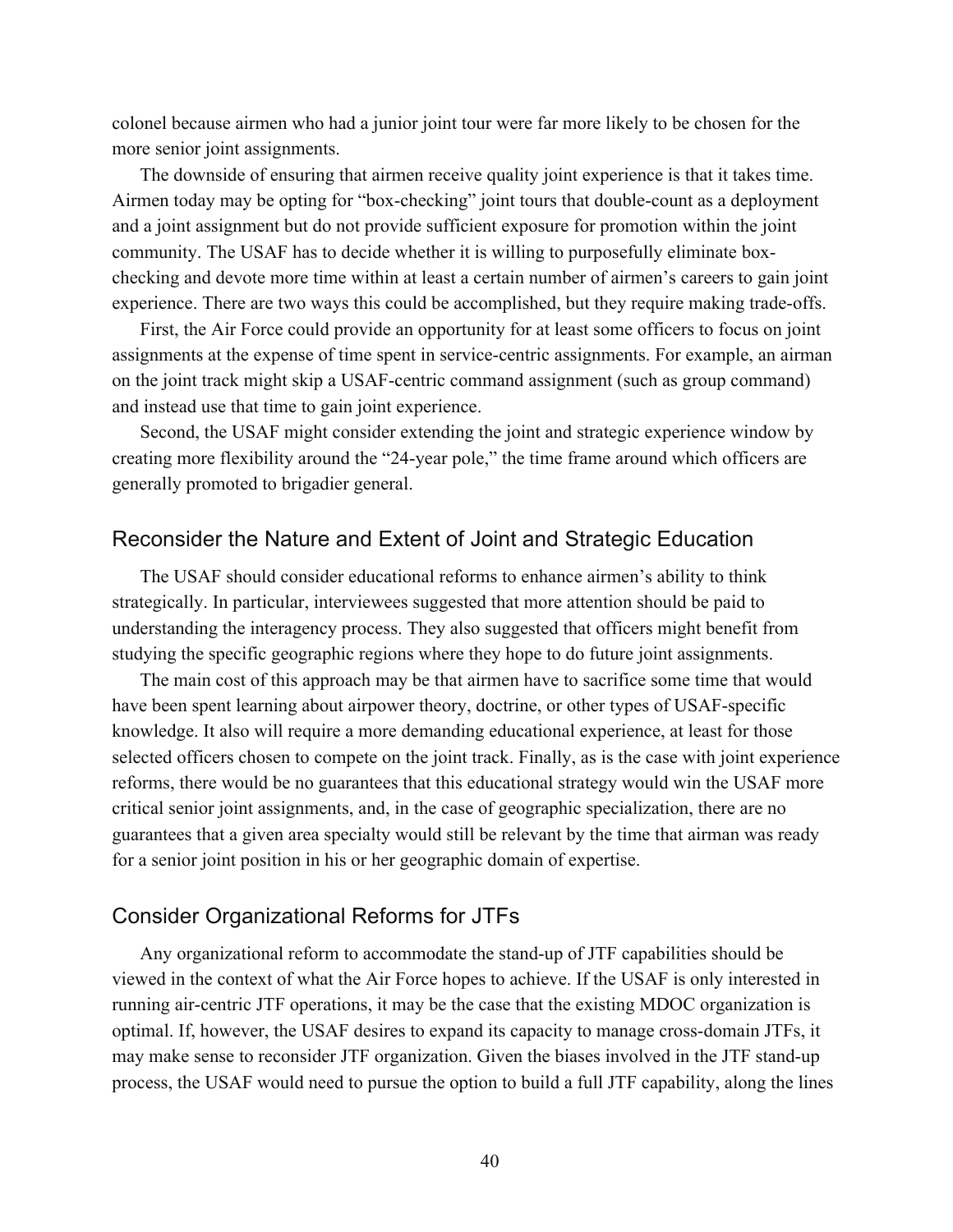colonel because airmen who had a junior joint tour were far more likely to be chosen for the more senior joint assignments.

The downside of ensuring that airmen receive quality joint experience is that it takes time. Airmen today may be opting for "box-checking" joint tours that double-count as a deployment and a joint assignment but do not provide sufficient exposure for promotion within the joint community. The USAF has to decide whether it is willing to purposefully eliminate boxchecking and devote more time within at least a certain number of airmen's careers to gain joint experience. There are two ways this could be accomplished, but they require making trade-offs.

First, the Air Force could provide an opportunity for at least some officers to focus on joint assignments at the expense of time spent in service-centric assignments. For example, an airman on the joint track might skip a USAF-centric command assignment (such as group command) and instead use that time to gain joint experience.

Second, the USAF might consider extending the joint and strategic experience window by creating more flexibility around the "24-year pole," the time frame around which officers are generally promoted to brigadier general.

### Reconsider the Nature and Extent of Joint and Strategic Education

The USAF should consider educational reforms to enhance airmen's ability to think strategically. In particular, interviewees suggested that more attention should be paid to understanding the interagency process. They also suggested that officers might benefit from studying the specific geographic regions where they hope to do future joint assignments.

The main cost of this approach may be that airmen have to sacrifice some time that would have been spent learning about airpower theory, doctrine, or other types of USAF-specific knowledge. It also will require a more demanding educational experience, at least for those selected officers chosen to compete on the joint track. Finally, as is the case with joint experience reforms, there would be no guarantees that this educational strategy would win the USAF more critical senior joint assignments, and, in the case of geographic specialization, there are no guarantees that a given area specialty would still be relevant by the time that airman was ready for a senior joint position in his or her geographic domain of expertise.

# Consider Organizational Reforms for JTFs

Any organizational reform to accommodate the stand-up of JTF capabilities should be viewed in the context of what the Air Force hopes to achieve. If the USAF is only interested in running air-centric JTF operations, it may be the case that the existing MDOC organization is optimal. If, however, the USAF desires to expand its capacity to manage cross-domain JTFs, it may make sense to reconsider JTF organization. Given the biases involved in the JTF stand-up process, the USAF would need to pursue the option to build a full JTF capability, along the lines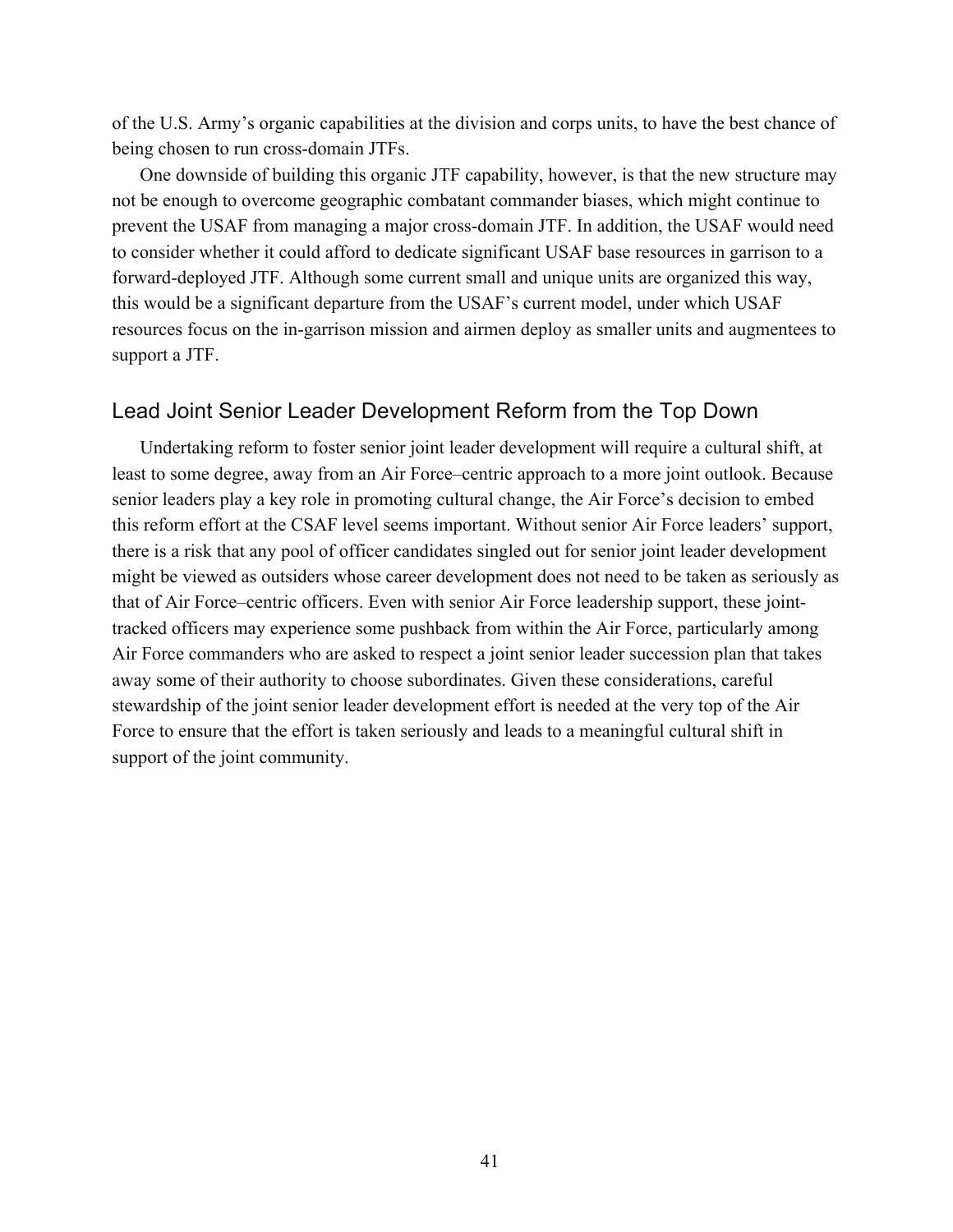of the U.S. Army's organic capabilities at the division and corps units, to have the best chance of being chosen to run cross-domain JTFs.

One downside of building this organic JTF capability, however, is that the new structure may not be enough to overcome geographic combatant commander biases, which might continue to prevent the USAF from managing a major cross-domain JTF. In addition, the USAF would need to consider whether it could afford to dedicate significant USAF base resources in garrison to a forward-deployed JTF. Although some current small and unique units are organized this way, this would be a significant departure from the USAF's current model, under which USAF resources focus on the in-garrison mission and airmen deploy as smaller units and augmentees to support a JTF.

#### Lead Joint Senior Leader Development Reform from the Top Down

Undertaking reform to foster senior joint leader development will require a cultural shift, at least to some degree, away from an Air Force–centric approach to a more joint outlook. Because senior leaders play a key role in promoting cultural change, the Air Force's decision to embed this reform effort at the CSAF level seems important. Without senior Air Force leaders' support, there is a risk that any pool of officer candidates singled out for senior joint leader development might be viewed as outsiders whose career development does not need to be taken as seriously as that of Air Force–centric officers. Even with senior Air Force leadership support, these jointtracked officers may experience some pushback from within the Air Force, particularly among Air Force commanders who are asked to respect a joint senior leader succession plan that takes away some of their authority to choose subordinates. Given these considerations, careful stewardship of the joint senior leader development effort is needed at the very top of the Air Force to ensure that the effort is taken seriously and leads to a meaningful cultural shift in support of the joint community.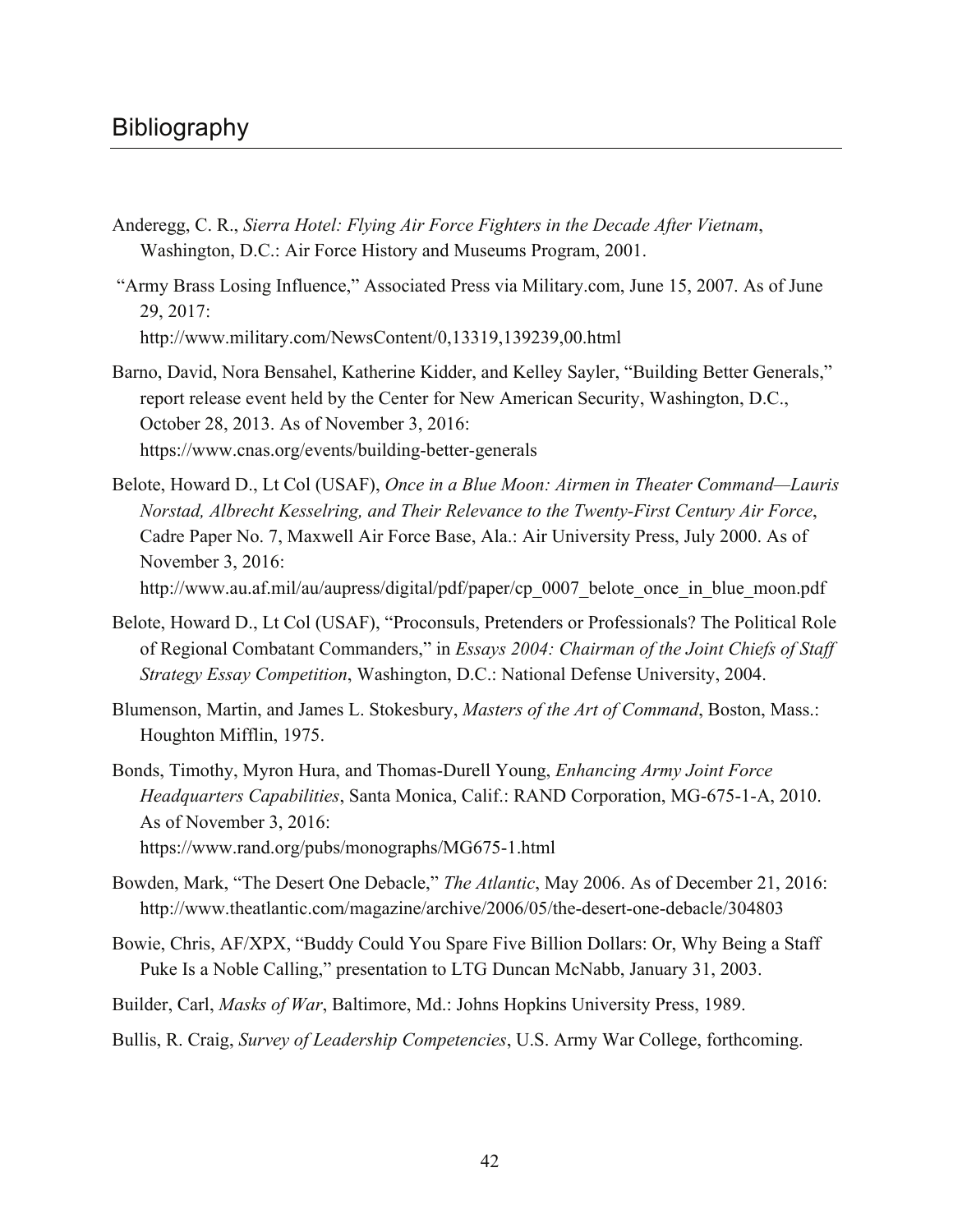- Anderegg, C. R., *Sierra Hotel: Flying Air Force Fighters in the Decade After Vietnam*, Washington, D.C.: Air Force History and Museums Program, 2001.
- "Army Brass Losing Influence," Associated Press via Military.com, June 15, 2007. As of June 29, 2017: <http://www.military.com/NewsContent/0,13319,139239,00.html>
- Barno, David, Nora Bensahel, Katherine Kidder, and Kelley Sayler, "Building Better Generals," report release event held by the Center for New American Security, Washington, D.C., October 28, 2013. As of November 3, 2016: <https://www.cnas.org/events/building-better-generals>
- Belote, Howard D., Lt Col (USAF), *Once in a Blue Moon: Airmen in Theater Command—Lauris Norstad, Albrecht Kesselring, and Their Relevance to the Twenty-First Century Air Force*, Cadre Paper No. 7, Maxwell Air Force Base, Ala.: Air University Press, July 2000. As of November 3, 2016: [http://www.au.af.mil/au/aupress/digital/pdf/paper/cp\\_0007\\_belote\\_once\\_in\\_blue\\_moon.pdf](http://www.au.af.mil/au/aupress/digital/pdf/paper/cp_0007_belote_once_in_blue_moon.pdf)
- Belote, Howard D., Lt Col (USAF), "Proconsuls, Pretenders or Professionals? The Political Role of Regional Combatant Commanders," in *Essays 2004: Chairman of the Joint Chiefs of Staff Strategy Essay Competition*, Washington, D.C.: National Defense University, 2004.
- Blumenson, Martin, and James L. Stokesbury, *Masters of the Art of Command*, Boston, Mass.: Houghton Mifflin, 1975.
- Bonds, Timothy, Myron Hura, and Thomas-Durell Young, *Enhancing Army Joint Force Headquarters Capabilities*, Santa Monica, Calif.: RAND Corporation, MG-675-1-A, 2010. As of November 3, 2016: <https://www.rand.org/pubs/monographs/MG675-1.html>
- Bowden, Mark, "The Desert One Debacle," *The Atlantic*, May 2006. As of December 21, 2016: <http://www.theatlantic.com/magazine/archive/2006/05/the-desert-one-debacle/304803>
- Bowie, Chris, AF/XPX, "Buddy Could You Spare Five Billion Dollars: Or, Why Being a Staff Puke Is a Noble Calling," presentation to LTG Duncan McNabb, January 31, 2003.
- Builder, Carl, *Masks of War*, Baltimore, Md.: Johns Hopkins University Press, 1989.
- Bullis, R. Craig, *Survey of Leadership Competencies*, U.S. Army War College, forthcoming.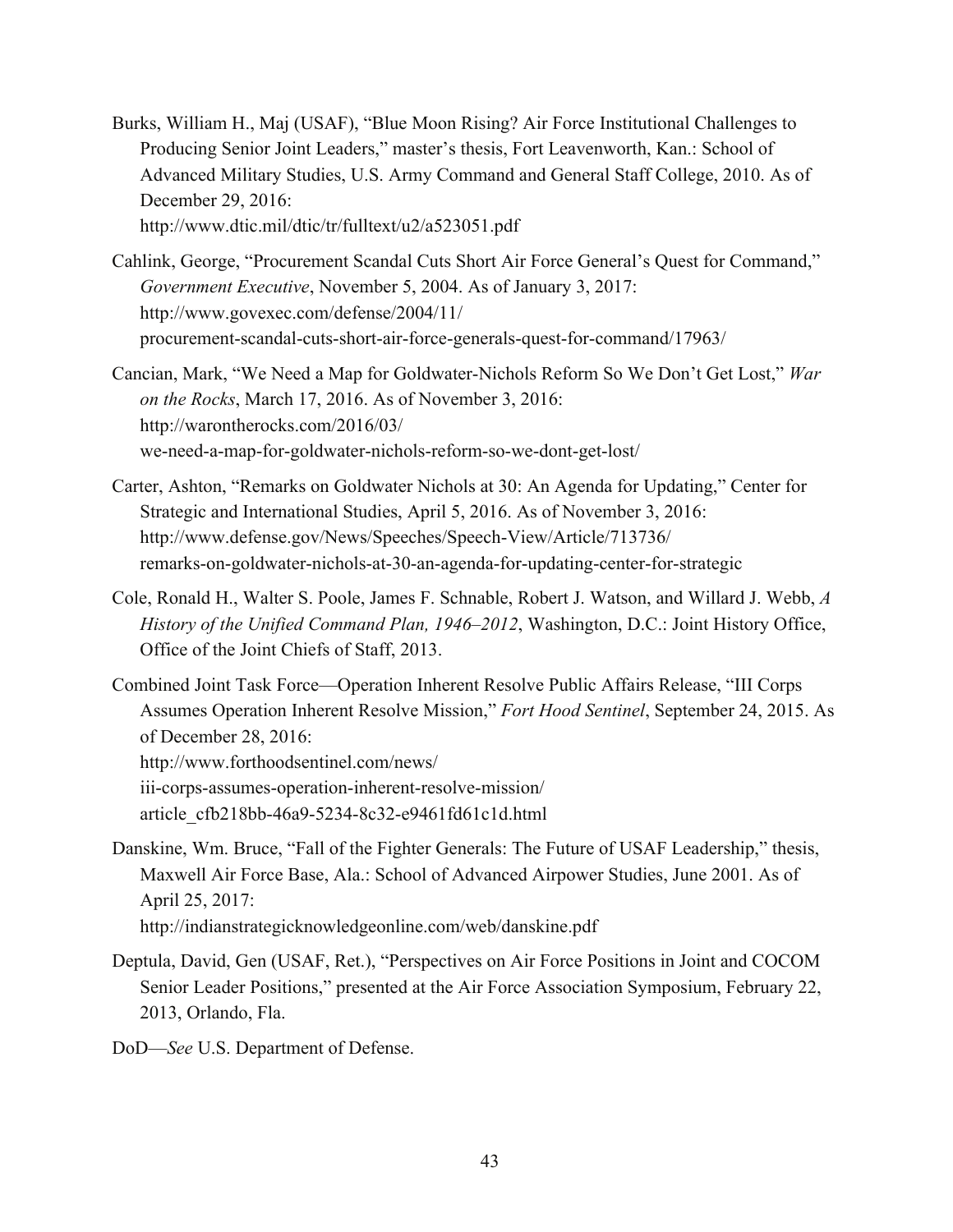- Burks, William H., Maj (USAF), "Blue Moon Rising? Air Force Institutional Challenges to Producing Senior Joint Leaders," master's thesis, Fort Leavenworth, Kan.: School of Advanced Military Studies, U.S. Army Command and General Staff College, 2010. As of December 29, 2016: <http://www.dtic.mil/dtic/tr/fulltext/u2/a523051.pdf>
- Cahlink, George, "Procurement Scandal Cuts Short Air Force General's Quest for Command," *Government Executive*, November 5, 2004. As of January 3, 2017: http://www.govexec.com/defense/2004/11/ [procurement-scandal-cuts-short-air-force-generals-quest-for-command/17963/](http://www.govexec.com/defense/2004/11/procurement-scandal-cuts-short-air-force-generals-quest-for-command/17963/)
- Cancian, Mark, "We Need a Map for Goldwater-Nichols Reform So We Don't Get Lost," *War on the Rocks*, March 17, 2016. As of November 3, 2016: http://warontherocks.com/2016/03/ [we-need-a-map-for-goldwater-nichols-reform-so-we-dont-get-lost/](http://warontherocks.com/2016/03/we-need-a-map-for-goldwater-nichols-reform-so-we-dont-get-lost/)
- Carter, Ashton, "Remarks on Goldwater Nichols at 30: An Agenda for Updating," Center for Strategic and International Studies, April 5, 2016. As of November 3, 2016: http://www.defense.gov/News/Speeches/Speech-View/Article/713736/ [remarks-on-goldwater-nichols-at-30-an-agenda-for-updating-center-for-strategic](http://www.defense.gov/News/Speeches/Speech-View/Article/713736/remarks-on-goldwater-nichols-at-30-an-agenda-for-updating-center-for-strategic)
- Cole, Ronald H., Walter S. Poole, James F. Schnable, Robert J. Watson, and Willard J. Webb, *A History of the Unified Command Plan, 1946–2012*, Washington, D.C.: Joint History Office, Office of the Joint Chiefs of Staff, 2013.
- Combined Joint Task Force—Operation Inherent Resolve Public Affairs Release, "III Corps Assumes Operation Inherent Resolve Mission," *Fort Hood Sentinel*, September 24, 2015. As of December 28, 2016:
	- http://www.forthoodsentinel.com/news/
	- iii-corps-assumes-operation-inherent-resolve-mission/
	- [article\\_cfb218bb-46a9-5234-8c32-e9461fd61c1d.html](http://www.forthoodsentinel.com/news/iii-corps-assumes-operation-inherent-resolve-mission/article_cfb218bb-46a9-5234-8c32-e9461fd61c1d.html)
- Danskine, Wm. Bruce, "Fall of the Fighter Generals: The Future of USAF Leadership," thesis, Maxwell Air Force Base, Ala.: School of Advanced Airpower Studies, June 2001. As of April 25, 2017:
	- <http://indianstrategicknowledgeonline.com/web/danskine.pdf>
- Deptula, David, Gen (USAF, Ret.), "Perspectives on Air Force Positions in Joint and COCOM Senior Leader Positions," presented at the Air Force Association Symposium, February 22, 2013, Orlando, Fla.
- DoD—*See* U.S. Department of Defense.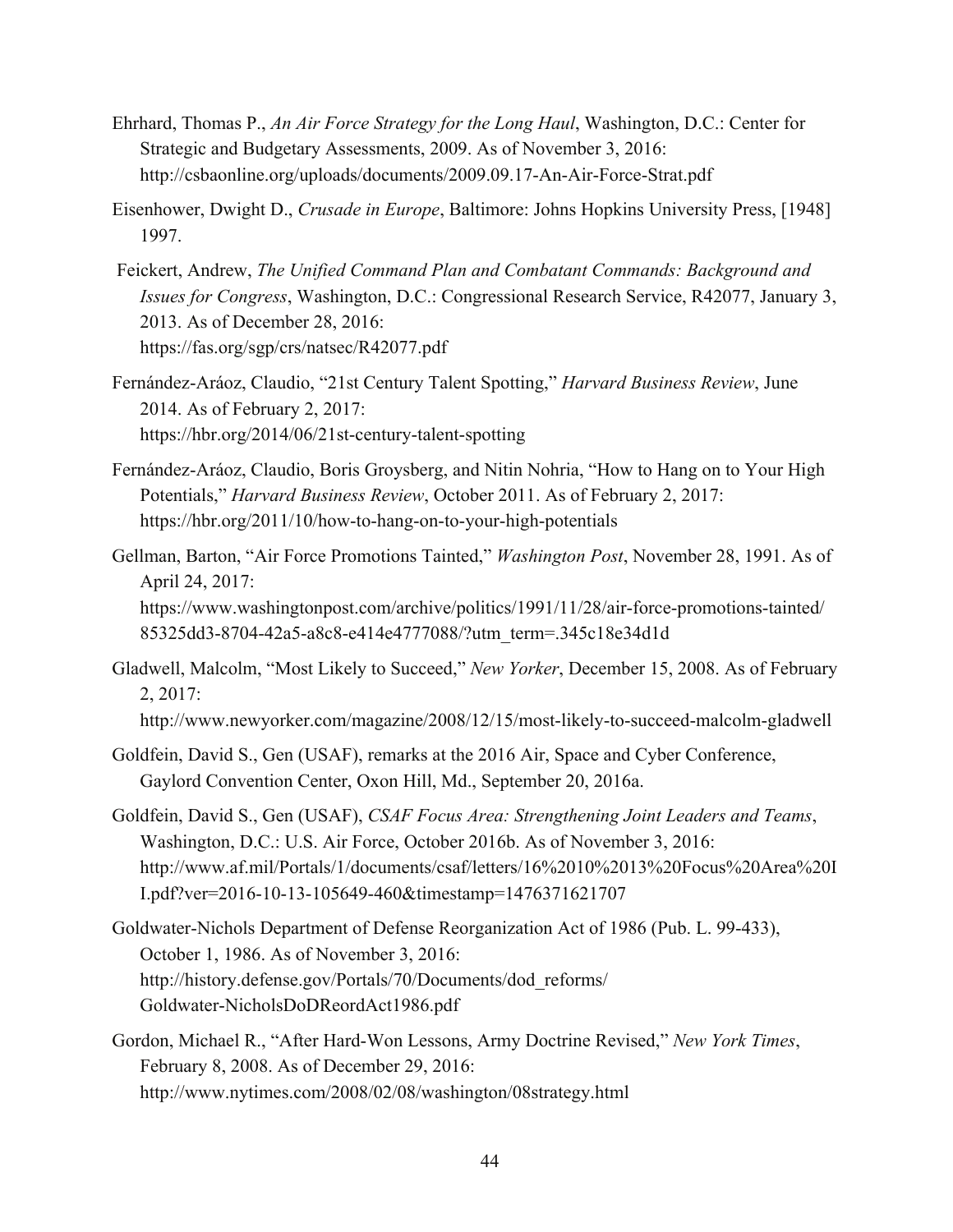- Ehrhard, Thomas P., *An Air Force Strategy for the Long Haul*, Washington, D.C.: Center for Strategic and Budgetary Assessments, 2009. As of November 3, 2016: <http://csbaonline.org/uploads/documents/2009.09.17-An-Air-Force-Strat.pdf>
- Eisenhower, Dwight D., *Crusade in Europe*, Baltimore: Johns Hopkins University Press, [1948] 1997.
- Feickert, Andrew, *The Unified Command Plan and Combatant Commands: Background and Issues for Congress*, Washington, D.C.: Congressional Research Service, R42077, January 3, 2013. As of December 28, 2016: <https://fas.org/sgp/crs/natsec/R42077.pdf>
- Fernández-Aráoz, Claudio, "21st Century Talent Spotting," *Harvard Business Review*, June 2014. As of February 2, 2017: <https://hbr.org/2014/06/21st-century-talent-spotting>
- Fernández-Aráoz, Claudio, Boris Groysberg, and Nitin Nohria, "How to Hang on to Your High Potentials," *Harvard Business Review*, October 2011. As of February 2, 2017: <https://hbr.org/2011/10/how-to-hang-on-to-your-high-potentials>
- Gellman, Barton, "Air Force Promotions Tainted," *Washington Post*, November 28, 1991. As of April 24, 2017: [https://www.washingtonpost.com/archive/politics/1991/11/28/air-force-promotions-tainted/](https://www.washingtonpost.com/archive/politics/1991/11/28/air-force-promotions-tainted/85325dd3-8704-42a5-a8c8-e414e4777088/?utm_term=.345c18e34d1d)  85325dd3-8704-42a5-a8c8-e414e4777088/?utm\_term=.345c18e34d1d
- Gladwell, Malcolm, "Most Likely to Succeed," *New Yorker*, December 15, 2008. As of February 2, 2017: <http://www.newyorker.com/magazine/2008/12/15/most-likely-to-succeed-malcolm-gladwell>
- Goldfein, David S., Gen (USAF), remarks at the 2016 Air, Space and Cyber Conference, Gaylord Convention Center, Oxon Hill, Md., September 20, 2016a.
- Goldfein, David S., Gen (USAF), *CSAF Focus Area: Strengthening Joint Leaders and Teams*, Washington, D.C.: U.S. Air Force, October 2016b. As of November 3, 2016: [http://www.af.mil/Portals/1/documents/csaf/letters/16%2010%2013%20Focus%20Area%20I](http://www.af.mil/Portals/1/documents/csaf/letters/16%2010%2013%20Focus%20Area%20II.pdf?ver=2016-10-13-105649-460×tamp=1476371621707) I.pdf?ver=2016-10-13-105649-460&timestamp=1476371621707
- Goldwater-Nichols Department of Defense Reorganization Act of 1986 (Pub. L. 99-433), October 1, 1986. As of November 3, 2016: [http://history.defense.gov/Portals/70/Documents/dod\\_reforms/](http://history.defense.gov/Portals/70/Documents/dod_reforms/Goldwater-NicholsDoDReordAct1986.pdf)  Goldwater-NicholsDoDReordAct1986.pdf
- Gordon, Michael R., "After Hard-Won Lessons, Army Doctrine Revised," *New York Times*, February 8, 2008. As of December 29, 2016: <http://www.nytimes.com/2008/02/08/washington/08strategy.html>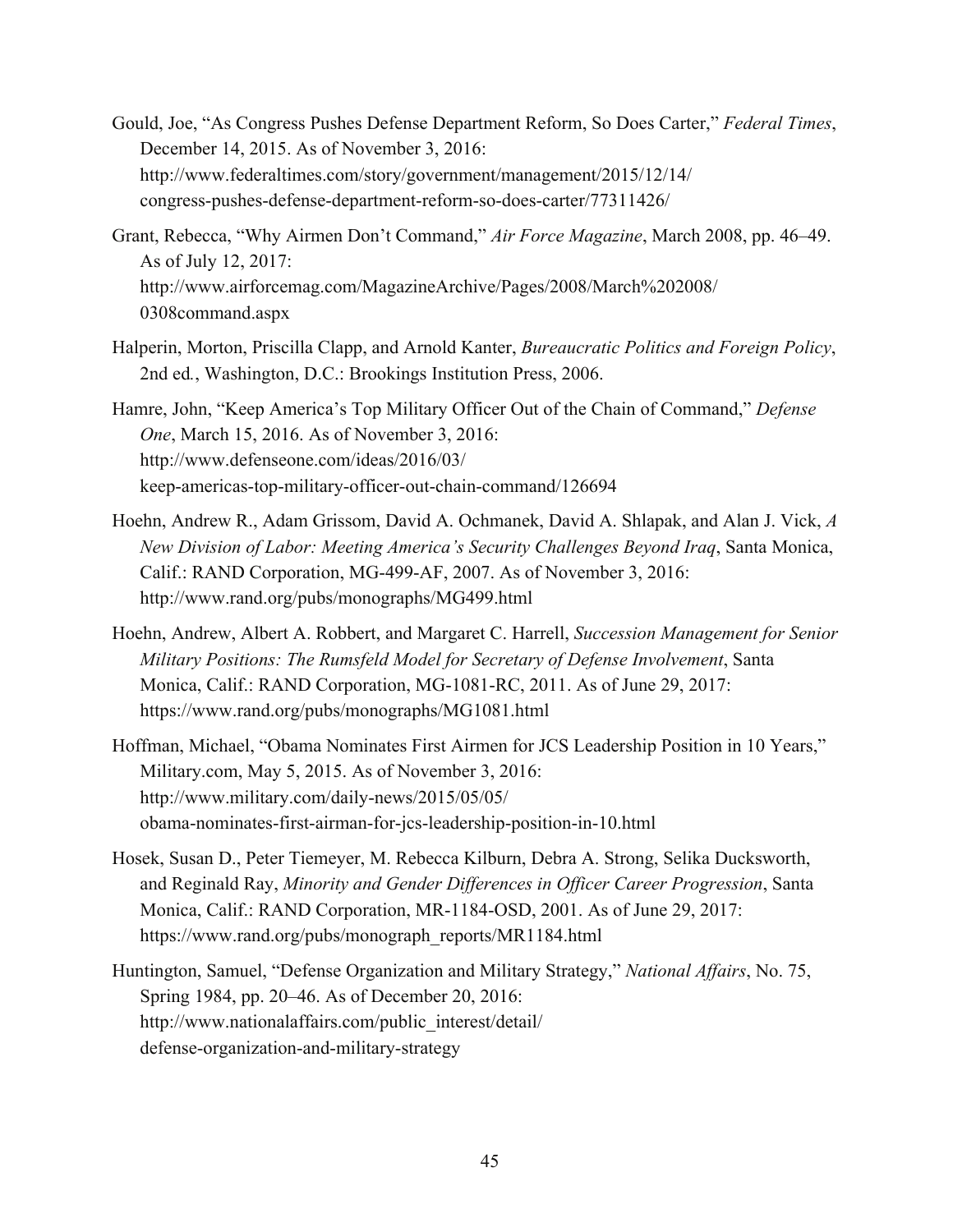- Gould, Joe, "As Congress Pushes Defense Department Reform, So Does Carter," *Federal Times*, December 14, 2015. As of November 3, 2016: [http://www.federaltimes.com/story/government/management/2015/12/14/](http://www.federaltimes.com/story/government/management/2015/12/14/congress-pushes-defense-department-reform-so-does-carter/77311426/)  congress-pushes-defense-department-reform-so-does-carter/77311426/
- Grant, Rebecca, "Why Airmen Don't Command," *Air Force Magazine*, March 2008, pp. 46–49. As of July 12, 2017: [http://www.airforcemag.com/MagazineArchive/Pages/2008/March%202008/](http://www.airforcemag.com/MagazineArchive/Pages/2008/March%202008/0308command.aspx)  0308command.aspx
- Halperin, Morton, Priscilla Clapp, and Arnold Kanter, *Bureaucratic Politics and Foreign Policy*, 2nd ed*.*, Washington, D.C.: Brookings Institution Press, 2006.
- Hamre, John, "Keep America's Top Military Officer Out of the Chain of Command," *Defense One*, March 15, 2016. As of November 3, 2016: http://www.defenseone.com/ideas/2016/03/ [keep-americas-top-military-officer-out-chain-command/126694](http://www.defenseone.com/ideas/2016/03/keep-americas-top-military-officer-out-chain-command/126694)
- Hoehn, Andrew R., Adam Grissom, David A. Ochmanek, David A. Shlapak, and Alan J. Vick, *A New Division of Labor: Meeting America's Security Challenges Beyond Iraq*, Santa Monica, Calif.: RAND Corporation, MG-499-AF, 2007. As of November 3, 2016: <http://www.rand.org/pubs/monographs/MG499.html>
- Hoehn, Andrew, Albert A. Robbert, and Margaret C. Harrell, *Succession Management for Senior Military Positions: The Rumsfeld Model for Secretary of Defense Involvement*, Santa Monica, Calif.: RAND Corporation, MG-1081-RC, 2011. As of June 29, 2017: <https://www.rand.org/pubs/monographs/MG1081.html>
- Hoffman, Michael, "Obama Nominates First Airmen for JCS Leadership Position in 10 Years," Military.com, May 5, 2015. As of November 3, 2016: http://www.military.com/daily-news/2015/05/05/ [obama-nominates-first-airman-for-jcs-leadership-position-in-10.html](http://www.military.com/daily-news/2015/05/05/obama-nominates-first-airman-for-jcs-leadership-position-in-10.html)
- Hosek, Susan D., Peter Tiemeyer, M. Rebecca Kilburn, Debra A. Strong, Selika Ducksworth, and Reginald Ray, *Minority and Gender Differences in Officer Career Progression*, Santa Monica, Calif.: RAND Corporation, MR-1184-OSD, 2001. As of June 29, 2017: [https://www.rand.org/pubs/monograph\\_reports/MR1184.html](https://www.rand.org/pubs/monograph_reports/MR1184.html)
- Huntington, Samuel, "Defense Organization and Military Strategy," *National Affairs*, No. 75, Spring 1984, pp. 20–46. As of December 20, 2016: [http://www.nationalaffairs.com/public\\_interest/detail/](http://www.nationalaffairs.com/public_interest/detail/defense-organization-and-military-strategy)  defense-organization-and-military-strategy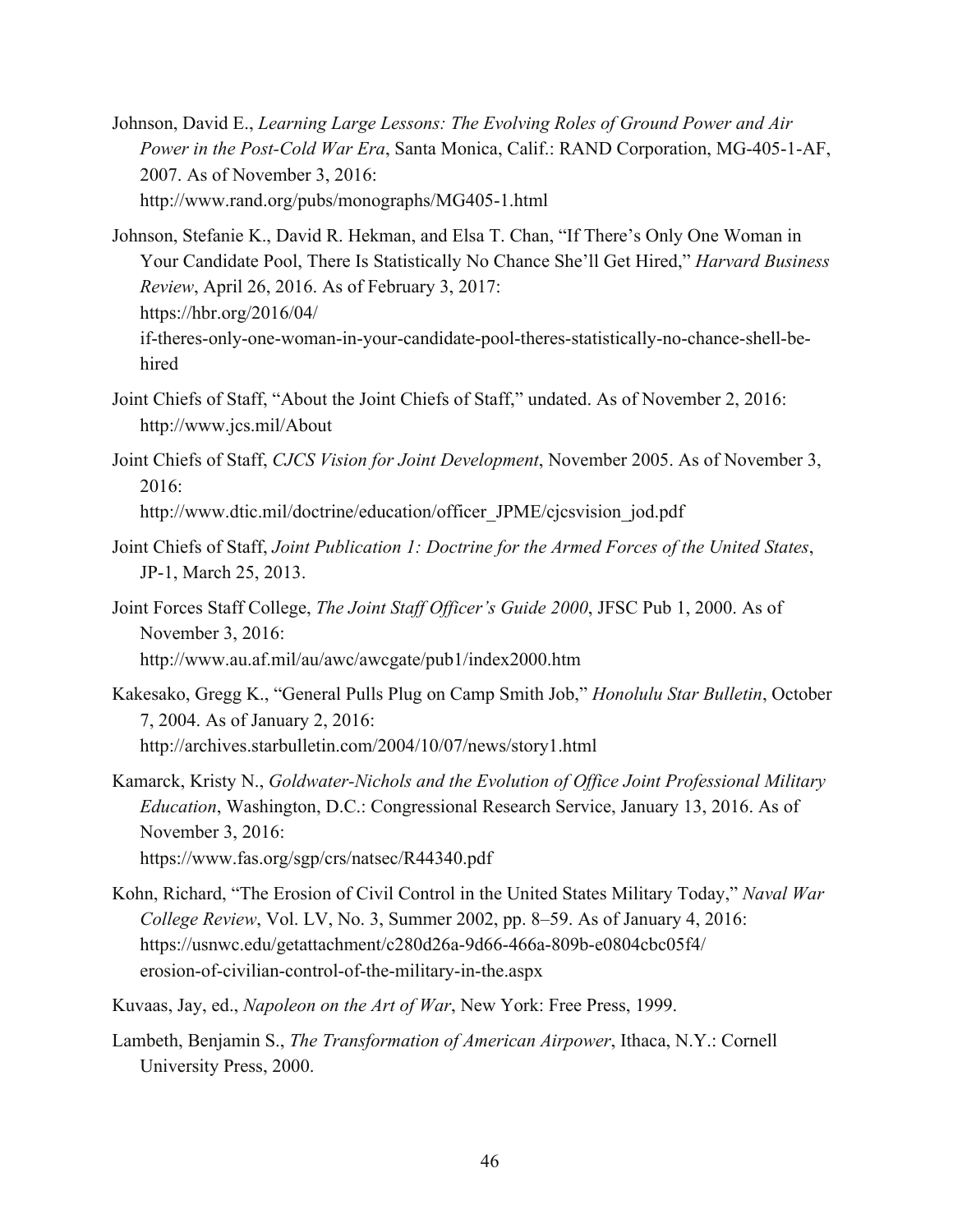- Johnson, David E., *Learning Large Lessons: The Evolving Roles of Ground Power and Air Power in the Post-Cold War Era*, Santa Monica, Calif.: RAND Corporation, MG-405-1-AF, 2007. As of November 3, 2016: <http://www.rand.org/pubs/monographs/MG405-1.html>
- Johnson, Stefanie K., David R. Hekman, and Elsa T. Chan, "If There's Only One Woman in Your Candidate Pool, There Is Statistically No Chance She'll Get Hired," *Harvard Business Review*, April 26, 2016. As of February 3, 2017: https://hbr.org/2016/04/ [if-theres-only-one-woman-in-your-candidate-pool-theres-statistically-no-chance-shell-be](https://hbr.org/2016/04/if-theres-only-one-woman-in-your-candidate-pool-theres-statistically-no-chance-shell-be-hired)hired
- Joint Chiefs of Staff, "About the Joint Chiefs of Staff," undated. As of November 2, 2016: <http://www.jcs.mil/About>
- Joint Chiefs of Staff, *CJCS Vision for Joint Development*, November 2005. As of November 3, 2016:

[http://www.dtic.mil/doctrine/education/officer\\_JPME/cjcsvision\\_jod.pdf](http://www.dtic.mil/doctrine/education/officer_JPME/cjcsvision_jod.pdf) 

- Joint Chiefs of Staff, *Joint Publication 1: Doctrine for the Armed Forces of the United States*, JP-1, March 25, 2013.
- Joint Forces Staff College, *The Joint Staff Officer's Guide 2000*, JFSC Pub 1, 2000. As of November 3, 2016: <http://www.au.af.mil/au/awc/awcgate/pub1/index2000.htm>
- Kakesako, Gregg K., "General Pulls Plug on Camp Smith Job," *Honolulu Star Bulletin*, October 7, 2004. As of January 2, 2016: <http://archives.starbulletin.com/2004/10/07/news/story1.html>
- Kamarck, Kristy N., *Goldwater-Nichols and the Evolution of Office Joint Professional Military Education*, Washington, D.C.: Congressional Research Service, January 13, 2016. As of November 3, 2016: <https://www.fas.org/sgp/crs/natsec/R44340.pdf>
- Kohn, Richard, "The Erosion of Civil Control in the United States Military Today," *Naval War College Review*, Vol. LV, No. 3, Summer 2002, pp. 8–59. As of January 4, 2016: [https://usnwc.edu/getattachment/c280d26a-9d66-466a-809b-e0804cbc05f4/](https://usnwc.edu/getattachment/c280d26a-9d66-466a-809b-e0804cbc05f4/erosion-of-civilian-control-of-the-military-in-the.aspx)  erosion-of-civilian-control-of-the-military-in-the.aspx
- Kuvaas, Jay, ed., *Napoleon on the Art of War*, New York: Free Press, 1999.
- Lambeth, Benjamin S., *The Transformation of American Airpower*, Ithaca, N.Y.: Cornell University Press, 2000.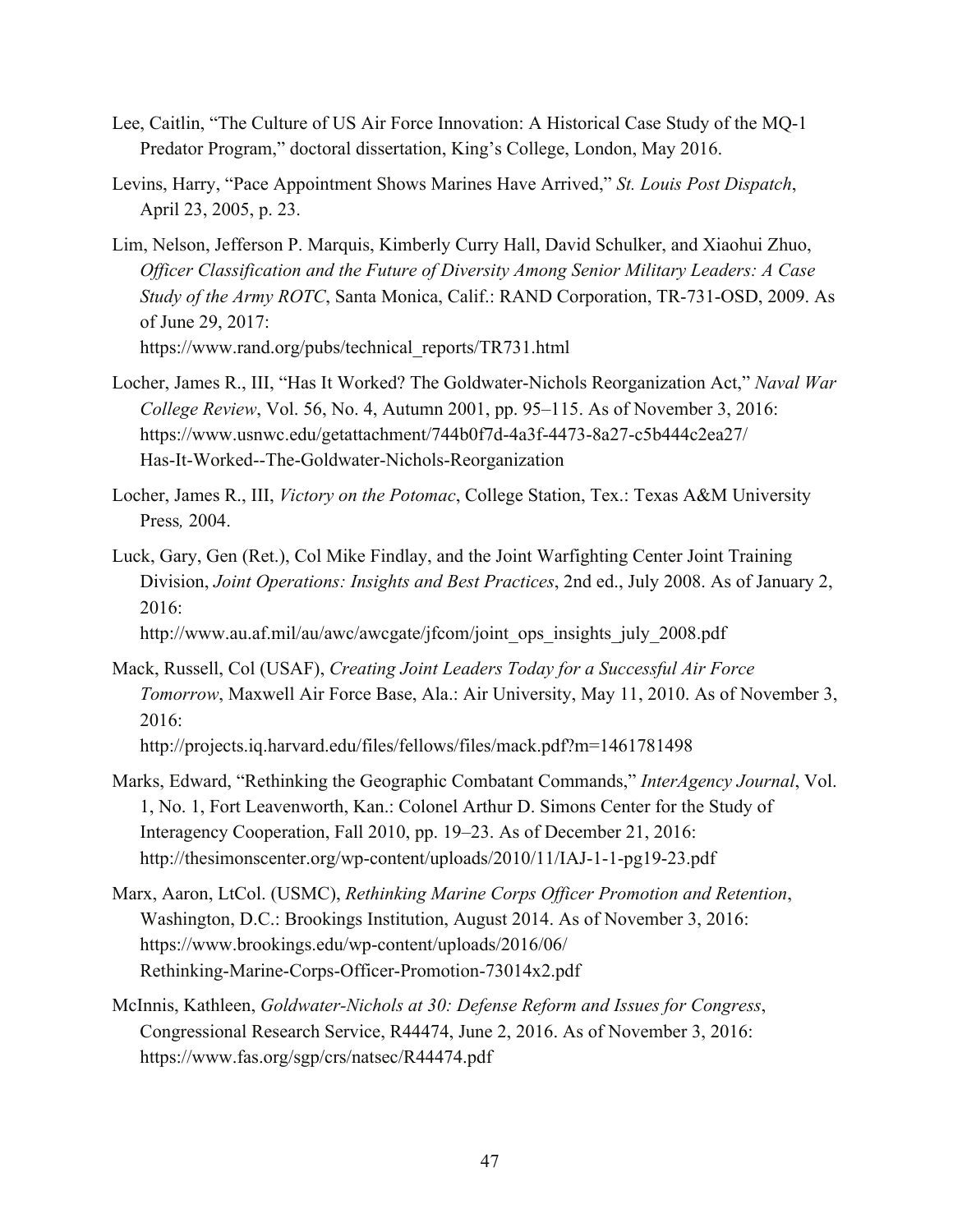- Lee, Caitlin, "The Culture of US Air Force Innovation: A Historical Case Study of the MQ-1 Predator Program," doctoral dissertation, King's College, London, May 2016.
- Levins, Harry, "Pace Appointment Shows Marines Have Arrived," *St. Louis Post Dispatch*, April 23, 2005, p. 23.
- Lim, Nelson, Jefferson P. Marquis, Kimberly Curry Hall, David Schulker, and Xiaohui Zhuo, *Officer Classification and the Future of Diversity Among Senior Military Leaders: A Case Study of the Army ROTC*, Santa Monica, Calif.: RAND Corporation, TR-731-OSD, 2009. As of June 29, 2017: [https://www.rand.org/pubs/technical\\_reports/TR731.html](https://www.rand.org/pubs/technical_reports/TR731.html)
- Locher, James R., III, "Has It Worked? The Goldwater-Nichols Reorganization Act," *Naval War College Review*, Vol. 56, No. 4, Autumn 2001, pp. 95–115. As of November 3, 2016: [https://www.usnwc.edu/getattachment/744b0f7d-4a3f-4473-8a27-c5b444c2ea27/](https://www.usnwc.edu/getattachment/744b0f7d-4a3f-4473-8a27-c5b444c2ea27/Has-It-Worked--The-Goldwater-Nichols-Reorganization)  Has-It-Worked--The-Goldwater-Nichols-Reorganization
- Locher, James R., III, *Victory on the Potomac*, College Station, Tex.: Texas A&M University Press*,* 2004.
- Luck, Gary, Gen (Ret.), Col Mike Findlay, and the Joint Warfighting Center Joint Training Division, *Joint Operations: Insights and Best Practices*, 2nd ed., July 2008. As of January 2, 2016:

http://www.au.af.mil/au/awc/awcgate/jfcom/joint\_ops\_insights\_july\_2008.pdf

Mack, Russell, Col (USAF), *Creating Joint Leaders Today for a Successful Air Force Tomorrow*, Maxwell Air Force Base, Ala.: Air University, May 11, 2010. As of November 3, 2016:

<http://projects.iq.harvard.edu/files/fellows/files/mack.pdf?m=1461781498>

- Marks, Edward, "Rethinking the Geographic Combatant Commands," *InterAgency Journal*, Vol. 1, No. 1, Fort Leavenworth, Kan.: Colonel Arthur D. Simons Center for the Study of Interagency Cooperation, Fall 2010, pp. 19–23. As of December 21, 2016: <http://thesimonscenter.org/wp-content/uploads/2010/11/IAJ-1-1-pg19-23.pdf>
- Marx, Aaron, LtCol. (USMC), *Rethinking Marine Corps Officer Promotion and Retention*, Washington, D.C.: Brookings Institution, August 2014. As of November 3, 2016: https://www.brookings.edu/wp-content/uploads/2016/06/ [Rethinking-Marine-Corps-Officer-Promotion-73014x2.pdf](https://www.brookings.edu/wp-content/uploads/2016/06/Rethinking-Marine-Corps-Officer-Promotion-73014x2.pdf)
- McInnis, Kathleen, *Goldwater-Nichols at 30: Defense Reform and Issues for Congress*, Congressional Research Service, R44474, June 2, 2016. As of November 3, 2016: <https://www.fas.org/sgp/crs/natsec/R44474.pdf>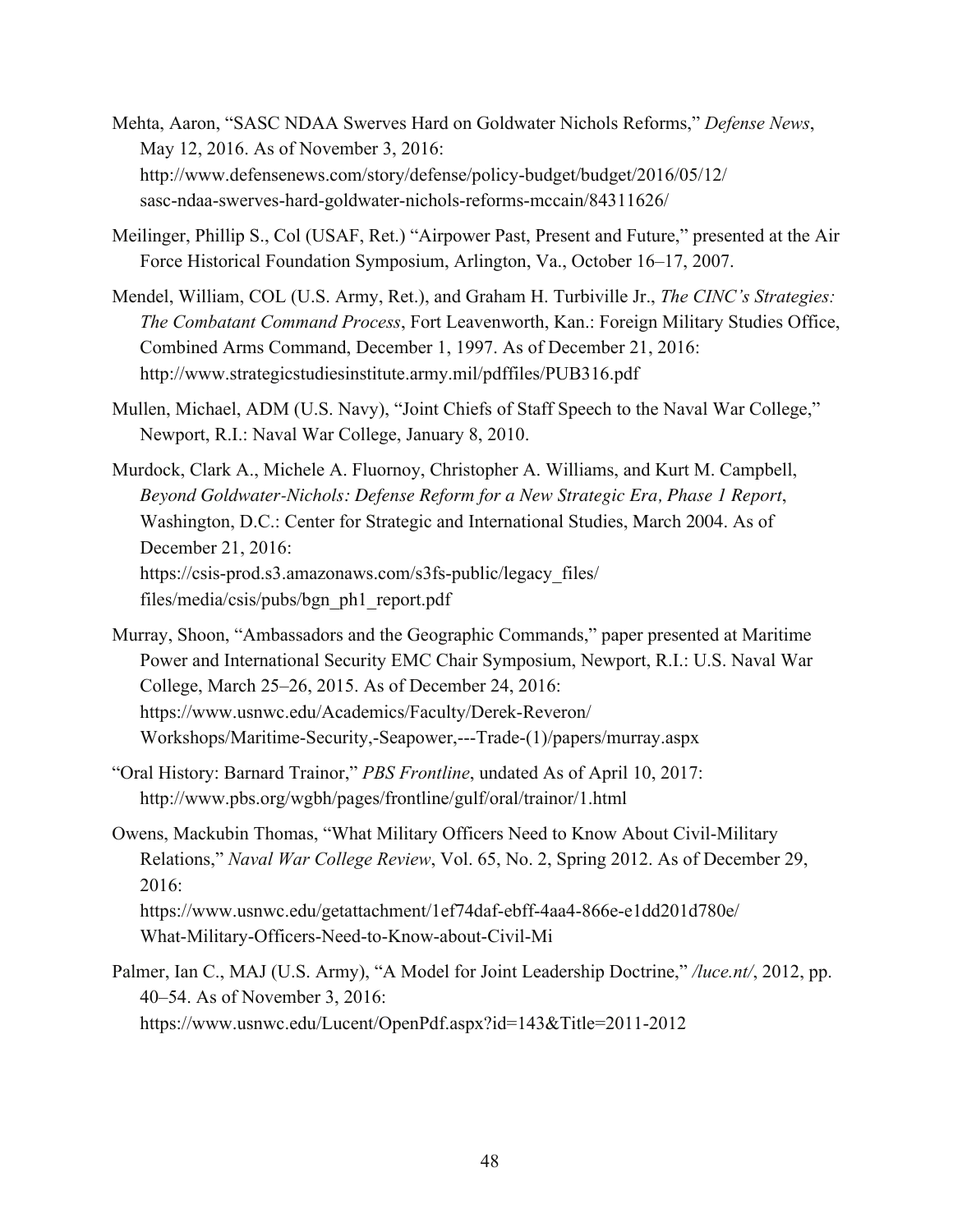- Mehta, Aaron, "SASC NDAA Swerves Hard on Goldwater Nichols Reforms," *Defense News*, May 12, 2016. As of November 3, 2016: [http://www.defensenews.com/story/defense/policy-budget/budget/2016/05/12/](http://www.defensenews.com/story/defense/policy-budget/budget/2016/05/12/sasc-ndaa-swerves-hard-goldwater-nichols-reforms-mccain/84311626/)  sasc-ndaa-swerves-hard-goldwater-nichols-reforms-mccain/84311626/
- Meilinger, Phillip S., Col (USAF, Ret.) "Airpower Past, Present and Future," presented at the Air Force Historical Foundation Symposium, Arlington, Va., October 16–17, 2007.
- Mendel, William, COL (U.S. Army, Ret.), and Graham H. Turbiville Jr., *The CINC's Strategies: The Combatant Command Process*, Fort Leavenworth, Kan.: Foreign Military Studies Office, Combined Arms Command, December 1, 1997. As of December 21, 2016: <http://www.strategicstudiesinstitute.army.mil/pdffiles/PUB316.pdf>
- Mullen, Michael, ADM (U.S. Navy), "Joint Chiefs of Staff Speech to the Naval War College," Newport, R.I.: Naval War College, January 8, 2010.
- Murdock, Clark A., Michele A. Fluornoy, Christopher A. Williams, and Kurt M. Campbell, *Beyond Goldwater-Nichols: Defense Reform for a New Strategic Era, Phase 1 Report*, Washington, D.C.: Center for Strategic and International Studies, March 2004. As of December 21, 2016: [https://csis-prod.s3.amazonaws.com/s3fs-public/legacy\\_files/](https://csis-prod.s3.amazonaws.com/s3fs-public/legacy_files/files/media/csis/pubs/bgn_ph1_report.pdf)  files/media/csis/pubs/bgn\_ph1\_report.pdf
- Murray, Shoon, "Ambassadors and the Geographic Commands," paper presented at Maritime Power and International Security EMC Chair Symposium, Newport, R.I.: U.S. Naval War College, March 25–26, 2015. As of December 24, 2016: https://www.usnwc.edu/Academics/Faculty/Derek-Reveron/ [Workshops/Maritime-Security,-Seapower,---Trade-\(1\)/papers/murray.aspx](https://www.usnwc.edu/Academics/Faculty/Derek-Reveron/Workshops/Maritime-Security,-Seapower,---Trade-(1)/papers/murray.aspx)
- "Oral History: Barnard Trainor," *PBS Frontline*, undated As of April 10, 2017: <http://www.pbs.org/wgbh/pages/frontline/gulf/oral/trainor/1.html>
- Owens, Mackubin Thomas, "What Military Officers Need to Know About Civil-Military Relations," *Naval War College Review*, Vol. 65, No. 2, Spring 2012. As of December 29, 2016: [https://www.usnwc.edu/getattachment/1ef74daf-ebff-4aa4-866e-e1dd201d780e/](https://www.usnwc.edu/getattachment/1ef74daf-ebff-4aa4-866e-e1dd201d780e/What-Military-Officers-Need-to-Know-about-Civil-Mi)  What-Military-Officers-Need-to-Know-about-Civil-Mi
- Palmer, Ian C., MAJ (U.S. Army), "A Model for Joint Leadership Doctrine," */luce.nt/*, 2012, pp. 40–54. As of November 3, 2016: <https://www.usnwc.edu/Lucent/OpenPdf.aspx?id=143&Title=2011-2012>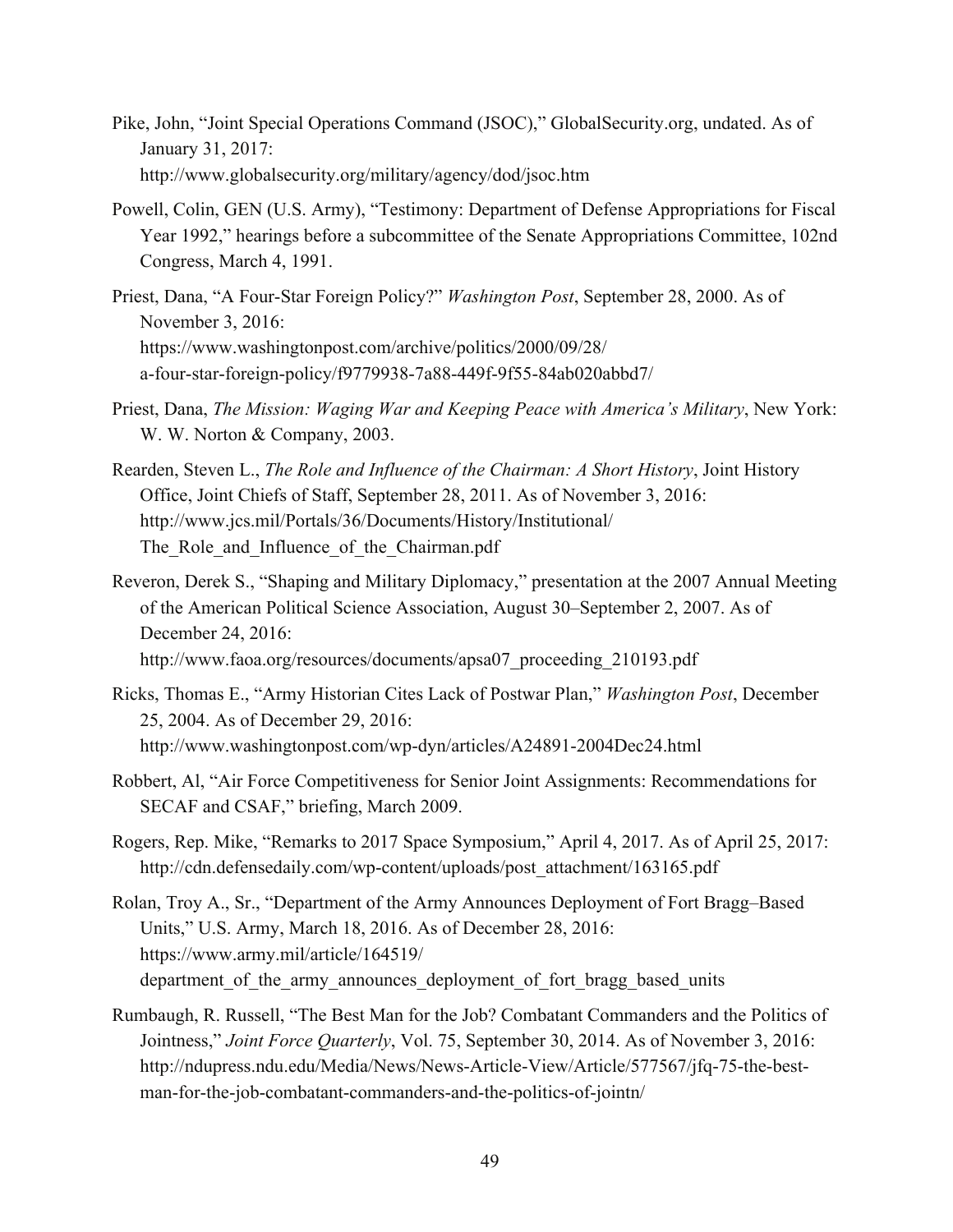- Pike, John, "Joint Special Operations Command (JSOC)," GlobalSecurity.org, undated. As of January 31, 2017: <http://www.globalsecurity.org/military/agency/dod/jsoc.htm>
- Powell, Colin, GEN (U.S. Army), "Testimony: Department of Defense Appropriations for Fiscal Year 1992," hearings before a subcommittee of the Senate Appropriations Committee, 102nd Congress, March 4, 1991.
- Priest, Dana, "A Four-Star Foreign Policy?" *Washington Post*, September 28, 2000. As of November 3, 2016: https://www.washingtonpost.com/archive/politics/2000/09/28/ [a-four-star-foreign-policy/f9779938-7a88-449f-9f55-84ab020abbd7/](https://www.washingtonpost.com/archive/politics/2000/09/28/a-four-star-foreign-policy/f9779938-7a88-449f-9f55-84ab020abbd7/)
- Priest, Dana, *The Mission: Waging War and Keeping Peace with America's Military*, New York: W. W. Norton & Company, 2003.
- Rearden, Steven L., *The Role and Influence of the Chairman: A Short History*, Joint History Office, Joint Chiefs of Staff, September 28, 2011. As of November 3, 2016: [http://www.jcs.mil/Portals/36/Documents/History/Institutional/](http://www.jcs.mil/Portals/36/Documents/History/Institutional/The_Role_and_Influence_of_the_Chairman.pdf)  The Role and Influence of the Chairman.pdf
- Reveron, Derek S., "Shaping and Military Diplomacy," presentation at the 2007 Annual Meeting of the American Political Science Association, August 30–September 2, 2007. As of December 24, 2016: http://www.faoa.org/resources/documents/apsa07\_proceeding\_210193.pdf
- Ricks, Thomas E., "Army Historian Cites Lack of Postwar Plan," *Washington Post*, December 25, 2004. As of December 29, 2016: <http://www.washingtonpost.com/wp-dyn/articles/A24891-2004Dec24.html>
- Robbert, Al, "Air Force Competitiveness for Senior Joint Assignments: Recommendations for SECAF and CSAF," briefing, March 2009.
- Rogers, Rep. Mike, "Remarks to 2017 Space Symposium," April 4, 2017. As of April 25, 2017: http://cdn.defensedaily.com/wp-content/uploads/post\_attachment/163165.pdf
- Rolan, Troy A., Sr., "Department of the Army Announces Deployment of Fort Bragg–Based Units," U.S. Army, March 18, 2016. As of December 28, 2016: https://www.army.mil/article/164519/ department of the army announces deployment of fort bragg based units
- Rumbaugh, R. Russell, "The Best Man for the Job? Combatant Commanders and the Politics of Jointness," *Joint Force Quarterly*, Vol. 75, September 30, 2014. As of November 3, 2016: [http://ndupress.ndu.edu/Media/News/News-Article-View/Article/577567/jfq-75-the-best](http://ndupress.ndu.edu/Media/News/News-Article-View/Article/577567/jfq-75-the-best-man-for-the-job-combatant-commanders-and-the-politics-of-jointn/)man-for-the-job-combatant-commanders-and-the-politics-of-jointn/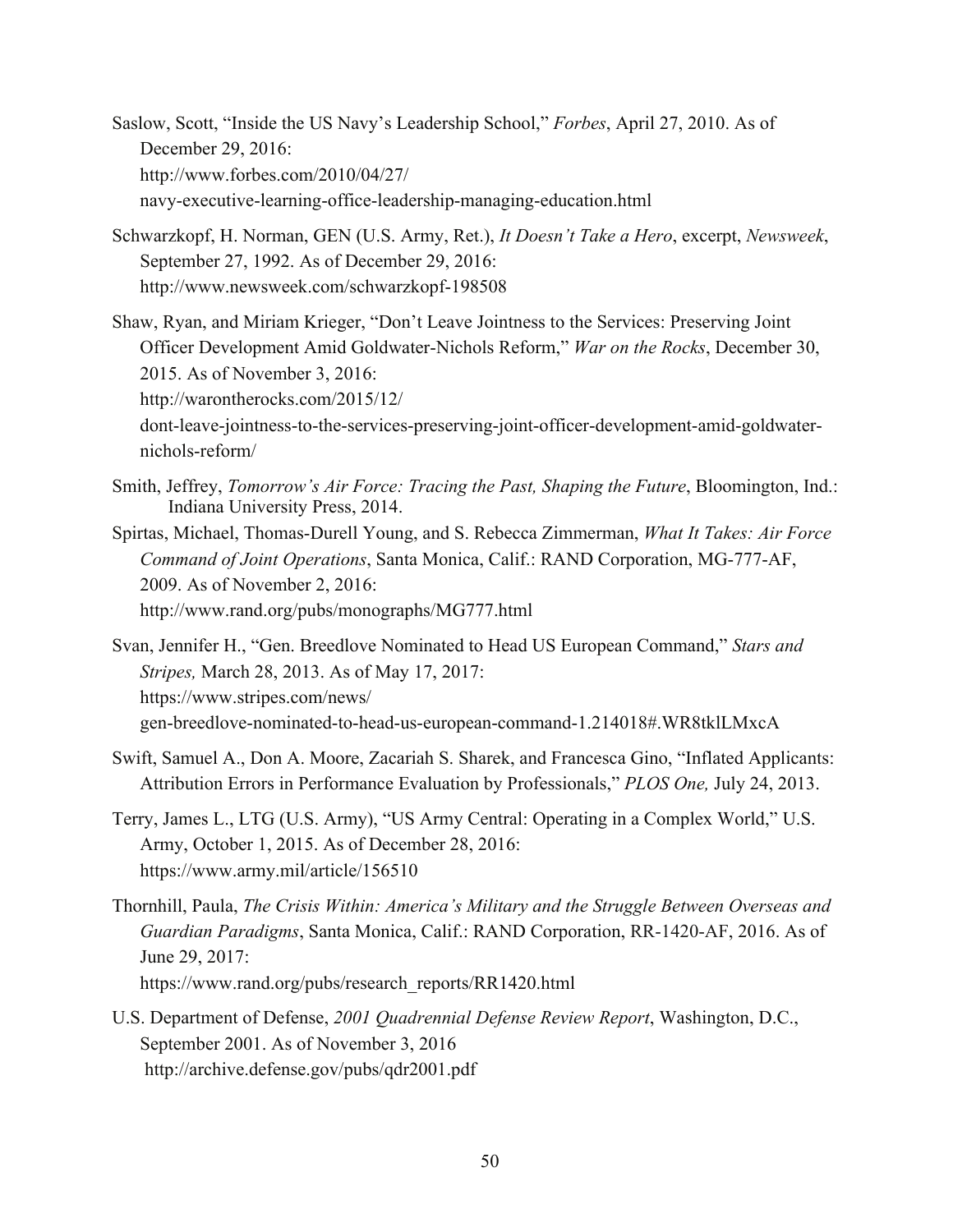Saslow, Scott, "Inside the US Navy's Leadership School," *Forbes*, April 27, 2010. As of December 29, 2016: http://www.forbes.com/2010/04/27/ [navy-executive-learning-office-leadership-managing-education.html](http://www.forbes.com/2010/04/27/navy-executive-learning-office-leadership-managing-education.html) 

Schwarzkopf, H. Norman, GEN (U.S. Army, Ret.), *It Doesn't Take a Hero*, excerpt, *Newsweek*, September 27, 1992. As of December 29, 2016: <http://www.newsweek.com/schwarzkopf-198508>

Shaw, Ryan, and Miriam Krieger, "Don't Leave Jointness to the Services: Preserving Joint Officer Development Amid Goldwater-Nichols Reform," *War on the Rocks*, December 30, 2015. As of November 3, 2016: http://warontherocks.com/2015/12/

[dont-leave-jointness-to-the-services-preserving-joint-officer-development-amid-goldwater](http://warontherocks.com/2015/12/http://warontherocks.com/2015/12/dont-leave-jointness-to-the-services-preserving-joint-officer-development-amid-goldwater-nichols-reform/)nichols-reform/

- Smith, Jeffrey, *Tomorrow's Air Force: Tracing the Past, Shaping the Future*, Bloomington, Ind.: Indiana University Press, 2014.
- Spirtas, Michael, Thomas-Durell Young, and S. Rebecca Zimmerman, *What It Takes: Air Force Command of Joint Operations*, Santa Monica, Calif.: RAND Corporation, MG-777-AF, 2009. As of November 2, 2016: <http://www.rand.org/pubs/monographs/MG777.html>
- Svan, Jennifer H., "Gen. Breedlove Nominated to Head US European Command," *Stars and Stripes,* March 28, 2013. As of May 17, 2017: https://www.stripes.com/news/ [gen-breedlove-nominated-to-head-us-european-command-1.214018#.WR8tklLMxcA](https://www.stripes.com/news/gen-breedlove-nominated-to-head-us-european-command-1.214018#.WR8tklLMxcA)
- Swift, Samuel A., Don A. Moore, Zacariah S. Sharek, and Francesca Gino, "Inflated Applicants: Attribution Errors in Performance Evaluation by Professionals," *PLOS One,* July 24, 2013.
- Terry, James L., LTG (U.S. Army), "US Army Central: Operating in a Complex World," U.S. Army, October 1, 2015. As of December 28, 2016: <https://www.army.mil/article/156510>
- Thornhill, Paula, *The Crisis Within: America's Military and the Struggle Between Overseas and Guardian Paradigms*, Santa Monica, Calif.: RAND Corporation, RR-1420-AF, 2016. As of June 29, 2017: [https://www.rand.org/pubs/research\\_reports/RR1420.html](https://www.rand.org/pubs/research_reports/RR1420.html)
- U.S. Department of Defense, *2001 Quadrennial Defense Review Report*, Washington, D.C., September 2001. As of November 3, 2016 <http://archive.defense.gov/pubs/qdr2001.pdf>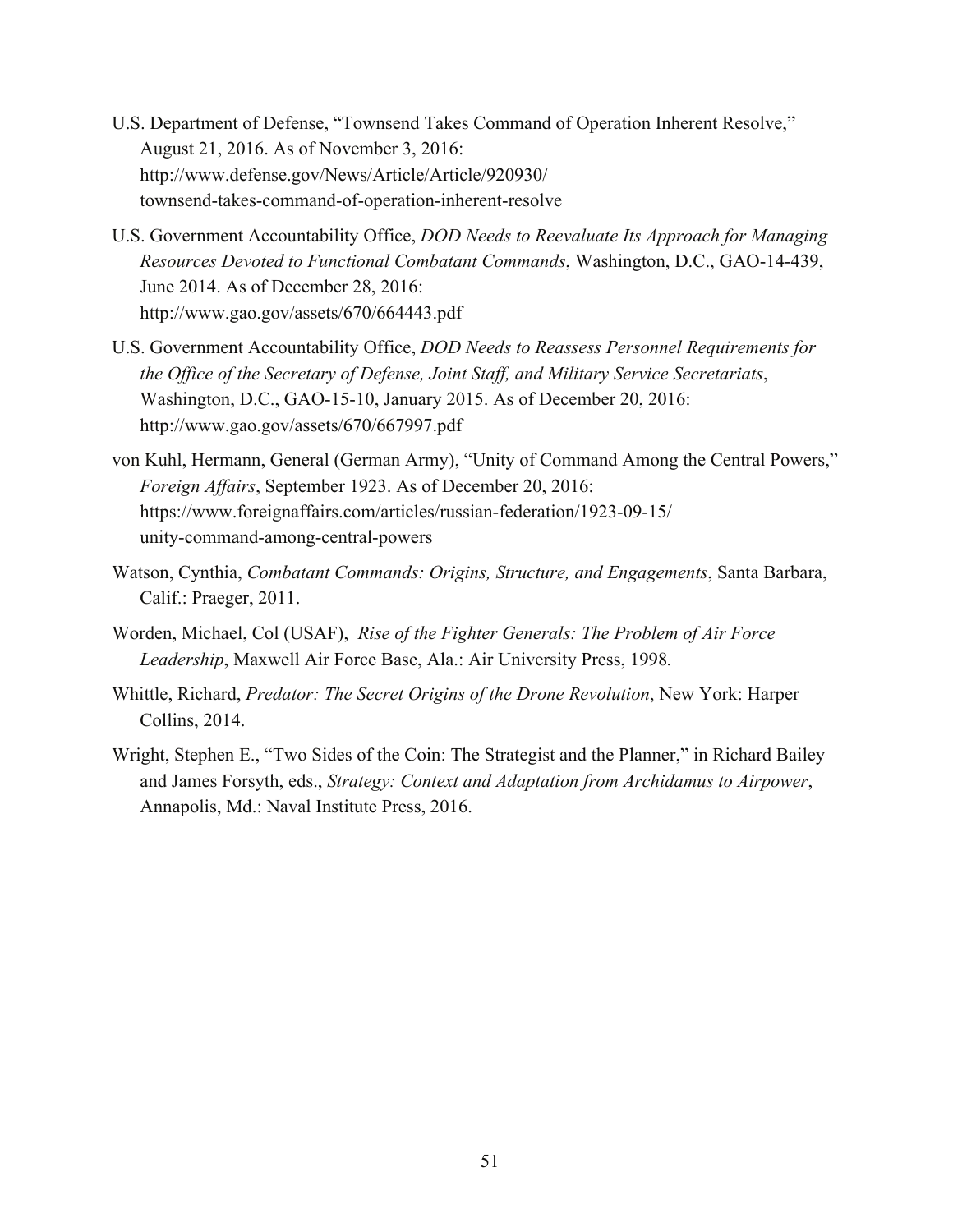- U.S. Department of Defense, "Townsend Takes Command of Operation Inherent Resolve," August 21, 2016. As of November 3, 2016: http://www.defense.gov/News/Article/Article/920930/ [townsend-takes-command-of-operation-inherent-resolve](http://www.defense.gov/News/Article/Article/920930/townsend-takes-command-of-operation-inherent-resolve)
- U.S. Government Accountability Office, *DOD Needs to Reevaluate Its Approach for Managing Resources Devoted to Functional Combatant Commands*, Washington, D.C., GAO-14-439, June 2014. As of December 28, 2016: <http://www.gao.gov/assets/670/664443.pdf>
- U.S. Government Accountability Office, *DOD Needs to Reassess Personnel Requirements for the Office of the Secretary of Defense, Joint Staff, and Military Service Secretariats*, Washington, D.C., GAO-15-10, January 2015. As of December 20, 2016: <http://www.gao.gov/assets/670/667997.pdf>
- von Kuhl, Hermann, General (German Army), "Unity of Command Among the Central Powers," *Foreign Affairs*, September 1923. As of December 20, 2016: [https://www.foreignaffairs.com/articles/russian-federation/1923-09-15/](https://www.foreignaffairs.com/articles/russian-federation/1923-09-15/unity-command-among-central-powers) unity-command-among-central-powers
- Watson, Cynthia, *Combatant Commands: Origins, Structure, and Engagements*, Santa Barbara, Calif.: Praeger, 2011.
- Worden, Michael, Col (USAF), *Rise of the Fighter Generals: The Problem of Air Force Leadership*, Maxwell Air Force Base, Ala.: Air University Press, 1998*.*
- Whittle, Richard, *Predator: The Secret Origins of the Drone Revolution*, New York: Harper Collins, 2014.
- Wright, Stephen E., "Two Sides of the Coin: The Strategist and the Planner," in Richard Bailey and James Forsyth, eds., *Strategy: Context and Adaptation from Archidamus to Airpower*, Annapolis, Md.: Naval Institute Press, 2016.